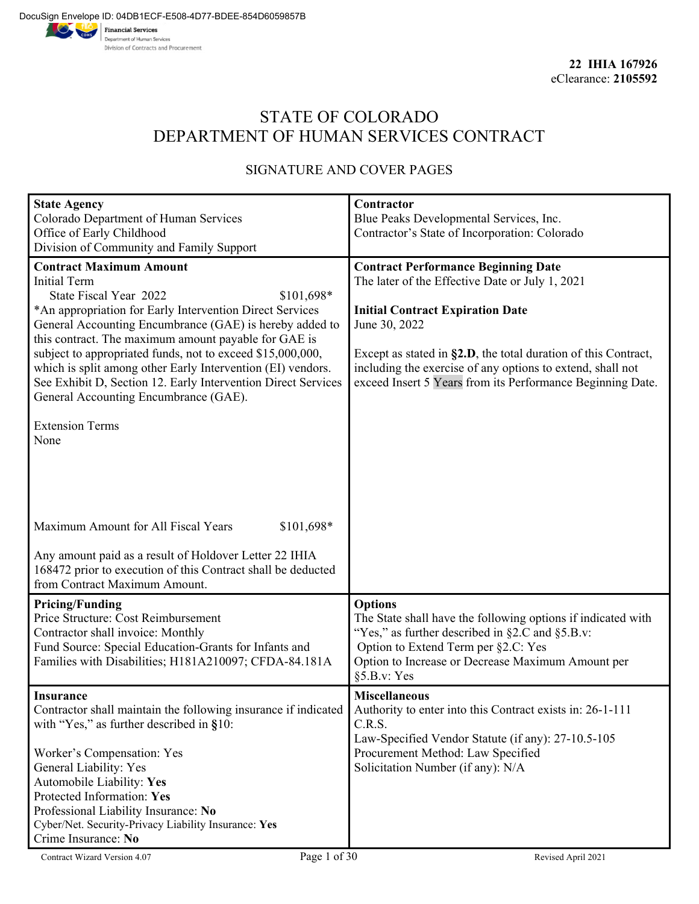# STATE OF COLORADO DEPARTMENT OF HUMAN SERVICES CONTRACT

### SIGNATURE AND COVER PAGES

| <b>State Agency</b>                                                                                             | Contractor                                                             |
|-----------------------------------------------------------------------------------------------------------------|------------------------------------------------------------------------|
| Colorado Department of Human Services                                                                           | Blue Peaks Developmental Services, Inc.                                |
| Office of Early Childhood                                                                                       | Contractor's State of Incorporation: Colorado                          |
| Division of Community and Family Support                                                                        |                                                                        |
| <b>Contract Maximum Amount</b>                                                                                  | <b>Contract Performance Beginning Date</b>                             |
| <b>Initial Term</b>                                                                                             | The later of the Effective Date or July 1, 2021                        |
| State Fiscal Year 2022<br>\$101,698*                                                                            |                                                                        |
| *An appropriation for Early Intervention Direct Services                                                        | <b>Initial Contract Expiration Date</b>                                |
| General Accounting Encumbrance (GAE) is hereby added to<br>this contract. The maximum amount payable for GAE is | June 30, 2022                                                          |
| subject to appropriated funds, not to exceed \$15,000,000,                                                      | Except as stated in §2.D, the total duration of this Contract,         |
| which is split among other Early Intervention (EI) vendors.                                                     | including the exercise of any options to extend, shall not             |
| See Exhibit D, Section 12. Early Intervention Direct Services                                                   | exceed Insert 5 Years from its Performance Beginning Date.             |
| General Accounting Encumbrance (GAE).                                                                           |                                                                        |
|                                                                                                                 |                                                                        |
| <b>Extension Terms</b>                                                                                          |                                                                        |
| None                                                                                                            |                                                                        |
|                                                                                                                 |                                                                        |
|                                                                                                                 |                                                                        |
|                                                                                                                 |                                                                        |
|                                                                                                                 |                                                                        |
| Maximum Amount for All Fiscal Years<br>\$101,698*                                                               |                                                                        |
| Any amount paid as a result of Holdover Letter 22 IHIA                                                          |                                                                        |
| 168472 prior to execution of this Contract shall be deducted                                                    |                                                                        |
| from Contract Maximum Amount.                                                                                   |                                                                        |
| <b>Pricing/Funding</b>                                                                                          | <b>Options</b>                                                         |
| Price Structure: Cost Reimbursement                                                                             | The State shall have the following options if indicated with           |
| Contractor shall invoice: Monthly                                                                               | "Yes," as further described in §2.C and §5.B.v:                        |
| Fund Source: Special Education-Grants for Infants and                                                           | Option to Extend Term per §2.C: Yes                                    |
| Families with Disabilities; H181A210097; CFDA-84.181A                                                           | Option to Increase or Decrease Maximum Amount per                      |
|                                                                                                                 | §5.B.v: Yes                                                            |
| <b>Insurance</b>                                                                                                | <b>Miscellaneous</b>                                                   |
| Contractor shall maintain the following insurance if indicated                                                  | Authority to enter into this Contract exists in: 26-1-111              |
| with "Yes," as further described in $§10$ :                                                                     | C.R.S.                                                                 |
|                                                                                                                 | Law-Specified Vendor Statute (if any): 27-10.5-105                     |
| Worker's Compensation: Yes                                                                                      | Procurement Method: Law Specified<br>Solicitation Number (if any): N/A |
| General Liability: Yes<br>Automobile Liability: Yes                                                             |                                                                        |
| Protected Information: Yes                                                                                      |                                                                        |
| Professional Liability Insurance: No                                                                            |                                                                        |
| Cyber/Net. Security-Privacy Liability Insurance: Yes                                                            |                                                                        |
| Crime Insurance: No                                                                                             |                                                                        |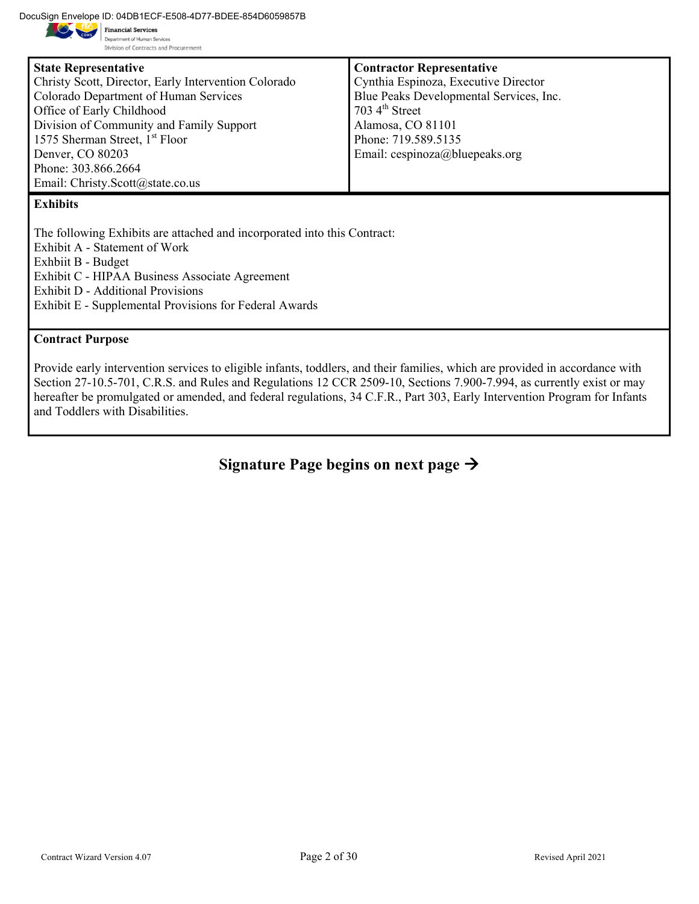DocuSign Envelope ID: 04DB1ECF-E508-4D77-BDEE-854D6059857B<br>
Financial Services



Department of Human Services Division of Contracts and Procurement

| <b>State Representative</b>                          | <b>Contractor Representative</b>        |
|------------------------------------------------------|-----------------------------------------|
| Christy Scott, Director, Early Intervention Colorado | Cynthia Espinoza, Executive Director    |
| Colorado Department of Human Services                | Blue Peaks Developmental Services, Inc. |
| Office of Early Childhood                            | $703\,4^{\text{th}}$ Street             |
| Division of Community and Family Support             | Alamosa, CO 81101                       |
| 1575 Sherman Street, 1 <sup>st</sup> Floor           | Phone: 719.589.5135                     |
| Denver, CO 80203                                     | Email: cespinoza@bluepeaks.org          |
| Phone: 303.866.2664                                  |                                         |
| Email: Christy.Scott@state.co.us                     |                                         |
|                                                      |                                         |

#### **Exhibits**

The following Exhibits are attached and incorporated into this Contract: Exhibit A - Statement of Work Exhbiit B - Budget Exhibit C - HIPAA Business Associate Agreement Exhibit D - Additional Provisions Exhibit E - Supplemental Provisions for Federal Awards

#### **Contract Purpose**

Provide early intervention services to eligible infants, toddlers, and their families, which are provided in accordance with Section 27-10.5-701, C.R.S. and Rules and Regulations 12 CCR 2509-10, Sections 7.900-7.994, as currently exist or may hereafter be promulgated or amended, and federal regulations, 34 C.F.R., Part 303, Early Intervention Program for Infants and Toddlers with Disabilities.

**Signature Page begins on next page**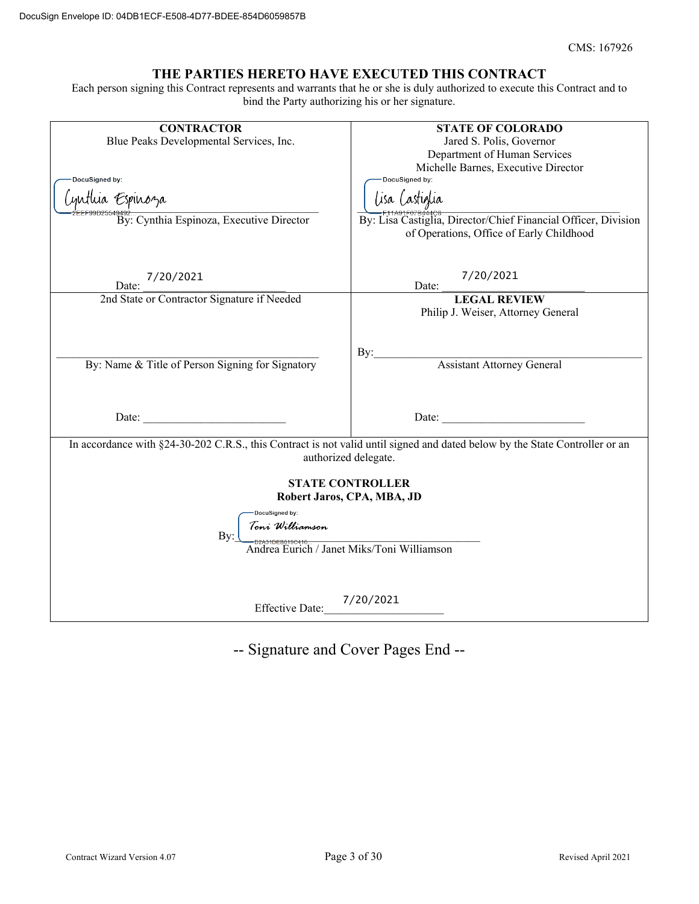#### **THE PARTIES HERETO HAVE EXECUTED THIS CONTRACT**

Each person signing this Contract represents and warrants that he or she is duly authorized to execute this Contract and to bind the Party authorizing his or her signature.

| <b>CONTRACTOR</b>                                                                                                                                   | <b>STATE OF COLORADO</b>                                                                                   |  |  |  |
|-----------------------------------------------------------------------------------------------------------------------------------------------------|------------------------------------------------------------------------------------------------------------|--|--|--|
| Blue Peaks Developmental Services, Inc.                                                                                                             | Jared S. Polis, Governor                                                                                   |  |  |  |
|                                                                                                                                                     | Department of Human Services                                                                               |  |  |  |
|                                                                                                                                                     | Michelle Barnes, Executive Director                                                                        |  |  |  |
| DocuSigned by:                                                                                                                                      | DocuSigned by:                                                                                             |  |  |  |
| 'yutlua Espinoza                                                                                                                                    | lisa lastiglia                                                                                             |  |  |  |
| 9492<br>By: Cynthia Espinoza, Executive Director                                                                                                    | By: Lisa Castiglia, Director/Chief Financial Officer, Division<br>of Operations, Office of Early Childhood |  |  |  |
| 7/20/2021<br>Date:                                                                                                                                  | 7/20/2021<br>Date:                                                                                         |  |  |  |
| 2nd State or Contractor Signature if Needed                                                                                                         | <b>LEGAL REVIEW</b>                                                                                        |  |  |  |
|                                                                                                                                                     | Philip J. Weiser, Attorney General                                                                         |  |  |  |
| By: Name & Title of Person Signing for Signatory                                                                                                    | By:<br><b>Assistant Attorney General</b>                                                                   |  |  |  |
|                                                                                                                                                     |                                                                                                            |  |  |  |
|                                                                                                                                                     |                                                                                                            |  |  |  |
|                                                                                                                                                     |                                                                                                            |  |  |  |
| <u> 1990 - Johann Barbara, martxa</u><br>Date:                                                                                                      | <u> 1990 - Johann Barbara, martin a</u><br>Date:                                                           |  |  |  |
| In accordance with §24-30-202 C.R.S., this Contract is not valid until signed and dated below by the State Controller or an<br>authorized delegate. |                                                                                                            |  |  |  |
|                                                                                                                                                     | <b>STATE CONTROLLER</b>                                                                                    |  |  |  |
| Robert Jaros, CPA, MBA, JD                                                                                                                          |                                                                                                            |  |  |  |
| DocuSigned by:                                                                                                                                      |                                                                                                            |  |  |  |
| Toni Williamson                                                                                                                                     |                                                                                                            |  |  |  |
| By:<br>– <sub>p2A31</sub> pEB6196416<br>Andrea Eurich / Janet Miks/Toni Williamson                                                                  |                                                                                                            |  |  |  |
|                                                                                                                                                     |                                                                                                            |  |  |  |
|                                                                                                                                                     |                                                                                                            |  |  |  |
|                                                                                                                                                     |                                                                                                            |  |  |  |
| <b>Effective Date:</b>                                                                                                                              | 7/20/2021                                                                                                  |  |  |  |
|                                                                                                                                                     |                                                                                                            |  |  |  |

-- Signature and Cover Pages End --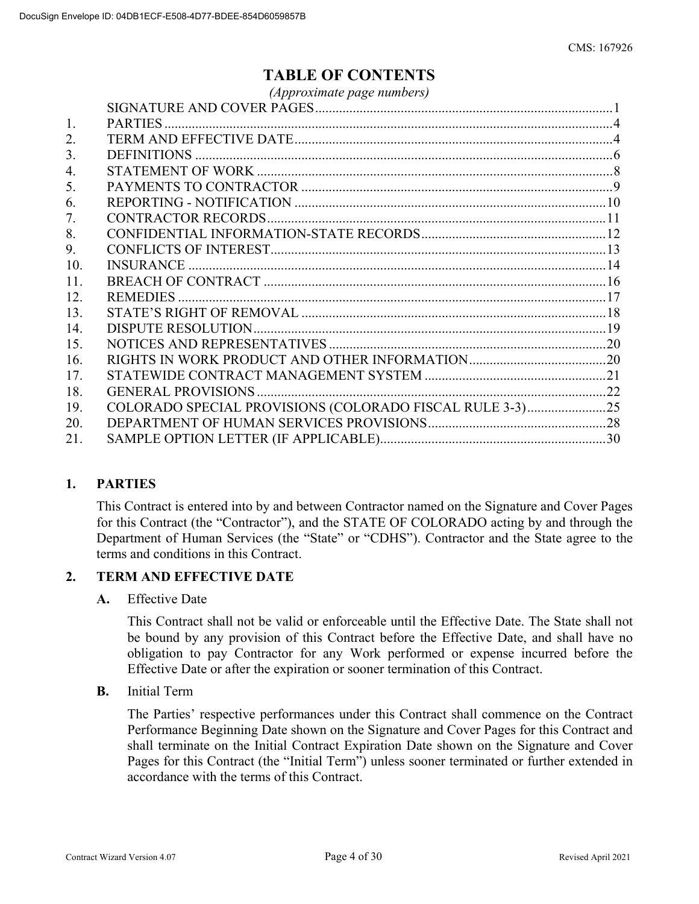# **TABLE OF CONTENTS**

|     | (Approximate page numbers)                               |  |
|-----|----------------------------------------------------------|--|
|     |                                                          |  |
| 1.  |                                                          |  |
| 2.  |                                                          |  |
| 3.  |                                                          |  |
| 4.  |                                                          |  |
| 5.  |                                                          |  |
| 6.  |                                                          |  |
| 7.  |                                                          |  |
| 8.  |                                                          |  |
| 9.  |                                                          |  |
| 10. |                                                          |  |
| 11. |                                                          |  |
| 12. |                                                          |  |
| 13. |                                                          |  |
| 14. |                                                          |  |
| 15. |                                                          |  |
| 16. |                                                          |  |
| 17. |                                                          |  |
| 18. |                                                          |  |
| 19. | COLORADO SPECIAL PROVISIONS (COLORADO FISCAL RULE 3-3)25 |  |
| 20. |                                                          |  |
| 21. |                                                          |  |
|     |                                                          |  |

#### **1. PARTIES**

This Contract is entered into by and between Contractor named on the Signature and Cover Pages for this Contract (the "Contractor"), and the STATE OF COLORADO acting by and through the Department of Human Services (the "State" or "CDHS"). Contractor and the State agree to the terms and conditions in this Contract.

#### **2. TERM AND EFFECTIVE DATE**

#### **A.** Effective Date

This Contract shall not be valid or enforceable until the Effective Date. The State shall not be bound by any provision of this Contract before the Effective Date, and shall have no obligation to pay Contractor for any Work performed or expense incurred before the Effective Date or after the expiration or sooner termination of this Contract.

**B.** Initial Term

The Parties' respective performances under this Contract shall commence on the Contract Performance Beginning Date shown on the Signature and Cover Pages for this Contract and shall terminate on the Initial Contract Expiration Date shown on the Signature and Cover Pages for this Contract (the "Initial Term") unless sooner terminated or further extended in accordance with the terms of this Contract.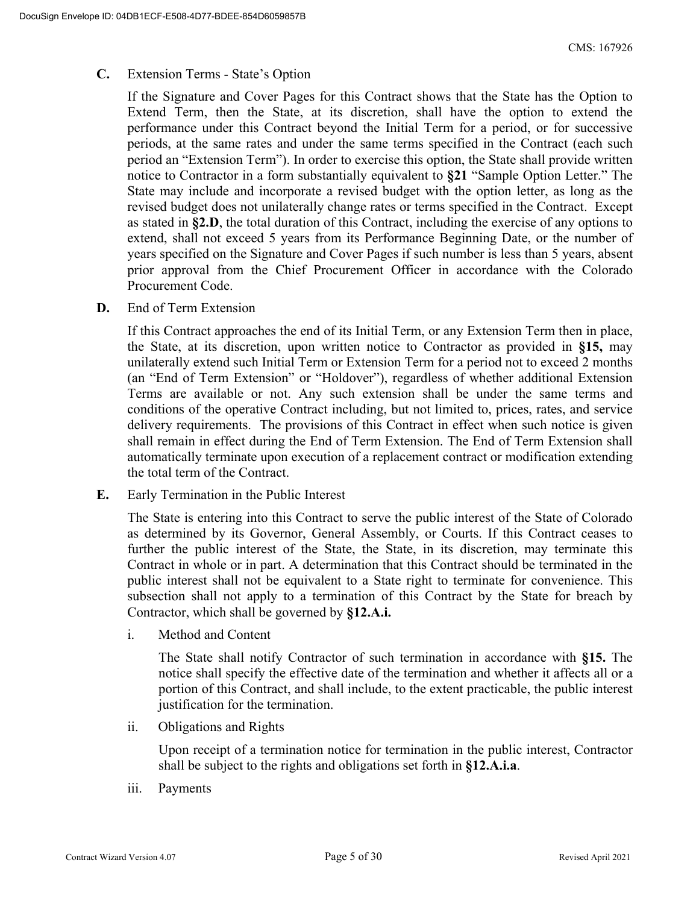#### **C.** Extension Terms - State's Option

If the Signature and Cover Pages for this Contract shows that the State has the Option to Extend Term, then the State, at its discretion, shall have the option to extend the performance under this Contract beyond the Initial Term for a period, or for successive periods, at the same rates and under the same terms specified in the Contract (each such period an "Extension Term"). In order to exercise this option, the State shall provide written notice to Contractor in a form substantially equivalent to **§21** "Sample Option Letter." The State may include and incorporate a revised budget with the option letter, as long as the revised budget does not unilaterally change rates or terms specified in the Contract. Except as stated in **§2.D**, the total duration of this Contract, including the exercise of any options to extend, shall not exceed 5 years from its Performance Beginning Date, or the number of years specified on the Signature and Cover Pages if such number is less than 5 years, absent prior approval from the Chief Procurement Officer in accordance with the Colorado Procurement Code.

**D.** End of Term Extension

If this Contract approaches the end of its Initial Term, or any Extension Term then in place, the State, at its discretion, upon written notice to Contractor as provided in **§15,** may unilaterally extend such Initial Term or Extension Term for a period not to exceed 2 months (an "End of Term Extension" or "Holdover"), regardless of whether additional Extension Terms are available or not. Any such extension shall be under the same terms and conditions of the operative Contract including, but not limited to, prices, rates, and service delivery requirements. The provisions of this Contract in effect when such notice is given shall remain in effect during the End of Term Extension. The End of Term Extension shall automatically terminate upon execution of a replacement contract or modification extending the total term of the Contract.

**E.** Early Termination in the Public Interest

The State is entering into this Contract to serve the public interest of the State of Colorado as determined by its Governor, General Assembly, or Courts. If this Contract ceases to further the public interest of the State, the State, in its discretion, may terminate this Contract in whole or in part. A determination that this Contract should be terminated in the public interest shall not be equivalent to a State right to terminate for convenience. This subsection shall not apply to a termination of this Contract by the State for breach by Contractor, which shall be governed by **§12.A.i.**

i. Method and Content

The State shall notify Contractor of such termination in accordance with **§15.** The notice shall specify the effective date of the termination and whether it affects all or a portion of this Contract, and shall include, to the extent practicable, the public interest justification for the termination.

ii. Obligations and Rights

Upon receipt of a termination notice for termination in the public interest, Contractor shall be subject to the rights and obligations set forth in **§12.A.i.a**.

iii. Payments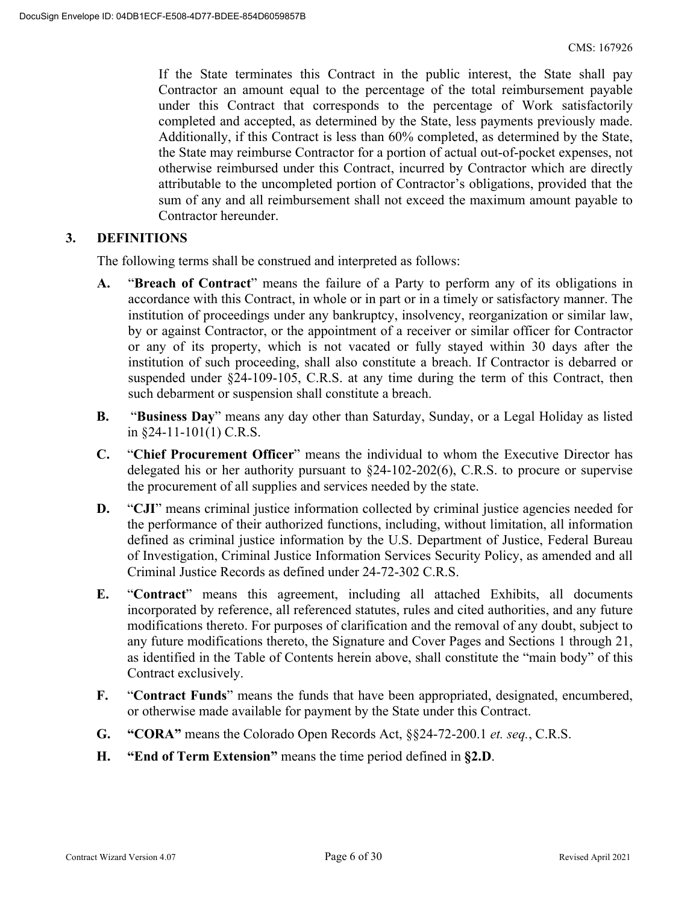If the State terminates this Contract in the public interest, the State shall pay Contractor an amount equal to the percentage of the total reimbursement payable under this Contract that corresponds to the percentage of Work satisfactorily completed and accepted, as determined by the State, less payments previously made. Additionally, if this Contract is less than 60% completed, as determined by the State, the State may reimburse Contractor for a portion of actual out-of-pocket expenses, not otherwise reimbursed under this Contract, incurred by Contractor which are directly attributable to the uncompleted portion of Contractor's obligations, provided that the sum of any and all reimbursement shall not exceed the maximum amount payable to Contractor hereunder.

#### **3. DEFINITIONS**

The following terms shall be construed and interpreted as follows:

- **A.** "**Breach of Contract**" means the failure of a Party to perform any of its obligations in accordance with this Contract, in whole or in part or in a timely or satisfactory manner. The institution of proceedings under any bankruptcy, insolvency, reorganization or similar law, by or against Contractor, or the appointment of a receiver or similar officer for Contractor or any of its property, which is not vacated or fully stayed within 30 days after the institution of such proceeding, shall also constitute a breach. If Contractor is debarred or suspended under §24-109-105, C.R.S. at any time during the term of this Contract, then such debarment or suspension shall constitute a breach.
- **B.** "**Business Day**" means any day other than Saturday, Sunday, or a Legal Holiday as listed in §24-11-101(1) C.R.S.
- **C.** "**Chief Procurement Officer**" means the individual to whom the Executive Director has delegated his or her authority pursuant to §24-102-202(6), C.R.S. to procure or supervise the procurement of all supplies and services needed by the state.
- **D.** "CJI" means criminal justice information collected by criminal justice agencies needed for the performance of their authorized functions, including, without limitation, all information defined as criminal justice information by the U.S. Department of Justice, Federal Bureau of Investigation, Criminal Justice Information Services Security Policy, as amended and all Criminal Justice Records as defined under 24-72-302 C.R.S.
- **E.** "**Contract**" means this agreement, including all attached Exhibits, all documents incorporated by reference, all referenced statutes, rules and cited authorities, and any future modifications thereto. For purposes of clarification and the removal of any doubt, subject to any future modifications thereto, the Signature and Cover Pages and Sections 1 through 21, as identified in the Table of Contents herein above, shall constitute the "main body" of this Contract exclusively.
- **F.** "**Contract Funds**" means the funds that have been appropriated, designated, encumbered, or otherwise made available for payment by the State under this Contract.
- **G. "CORA"** means the Colorado Open Records Act, §§24-72-200.1 *et. seq.*, C.R.S.
- **H. "End of Term Extension"** means the time period defined in **§2.D**.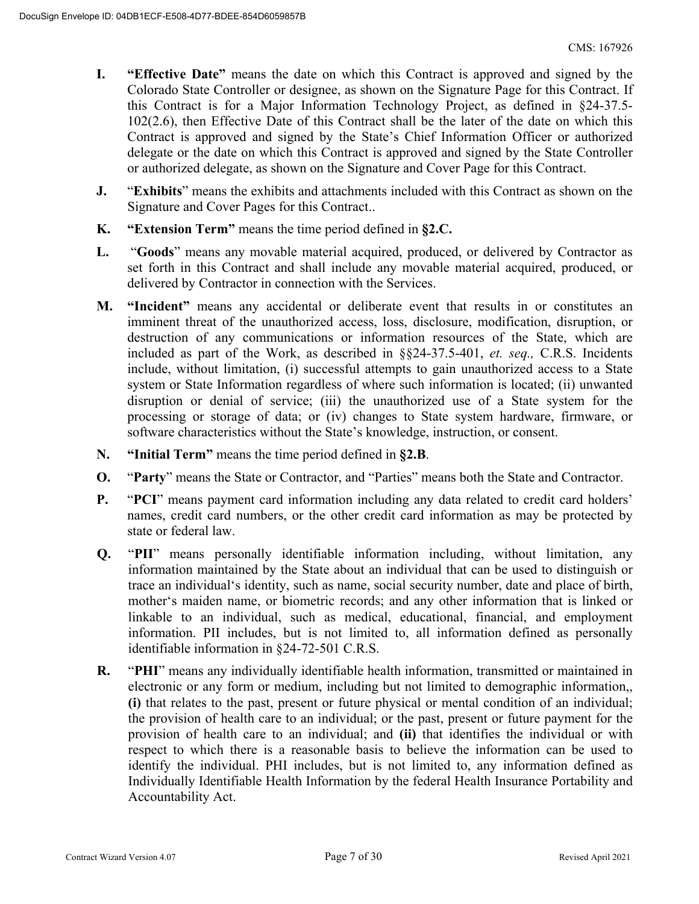- **I. "Effective Date"** means the date on which this Contract is approved and signed by the Colorado State Controller or designee, as shown on the Signature Page for this Contract. If this Contract is for a Major Information Technology Project, as defined in §24-37.5- 102(2.6), then Effective Date of this Contract shall be the later of the date on which this Contract is approved and signed by the State's Chief Information Officer or authorized delegate or the date on which this Contract is approved and signed by the State Controller or authorized delegate, as shown on the Signature and Cover Page for this Contract.
- **J.** "**Exhibits**" means the exhibits and attachments included with this Contract as shown on the Signature and Cover Pages for this Contract..
- **K. "Extension Term"** means the time period defined in **§2.C.**
- **L.** "**Goods**" means any movable material acquired, produced, or delivered by Contractor as set forth in this Contract and shall include any movable material acquired, produced, or delivered by Contractor in connection with the Services.
- **M. "Incident"** means any accidental or deliberate event that results in or constitutes an imminent threat of the unauthorized access, loss, disclosure, modification, disruption, or destruction of any communications or information resources of the State, which are included as part of the Work, as described in §§24-37.5-401, *et. seq.,* C.R.S. Incidents include, without limitation, (i) successful attempts to gain unauthorized access to a State system or State Information regardless of where such information is located; (ii) unwanted disruption or denial of service; (iii) the unauthorized use of a State system for the processing or storage of data; or (iv) changes to State system hardware, firmware, or software characteristics without the State's knowledge, instruction, or consent.
- **N. "Initial Term"** means the time period defined in **§2.B**.
- **O.** "**Party**" means the State or Contractor, and "Parties" means both the State and Contractor.
- **P.** "**PCI**" means payment card information including any data related to credit card holders' names, credit card numbers, or the other credit card information as may be protected by state or federal law.
- **Q.** "**PII**" means personally identifiable information including, without limitation, any information maintained by the State about an individual that can be used to distinguish or trace an individual's identity, such as name, social security number, date and place of birth, mother's maiden name, or biometric records; and any other information that is linked or linkable to an individual, such as medical, educational, financial, and employment information. PII includes, but is not limited to, all information defined as personally identifiable information in §24-72-501 C.R.S.
- **R.** "**PHI**" means any individually identifiable health information, transmitted or maintained in electronic or any form or medium, including but not limited to demographic information,, **(i)** that relates to the past, present or future physical or mental condition of an individual; the provision of health care to an individual; or the past, present or future payment for the provision of health care to an individual; and **(ii)** that identifies the individual or with respect to which there is a reasonable basis to believe the information can be used to identify the individual. PHI includes, but is not limited to, any information defined as Individually Identifiable Health Information by the federal Health Insurance Portability and Accountability Act.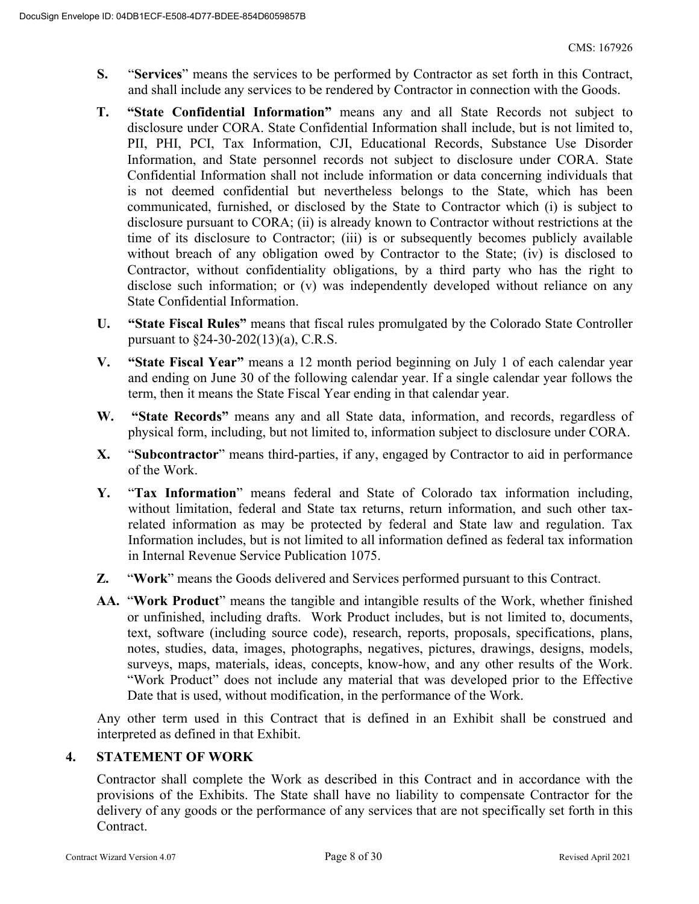- **S.** "**Services**" means the services to be performed by Contractor as set forth in this Contract, and shall include any services to be rendered by Contractor in connection with the Goods.
- **T. "State Confidential Information"** means any and all State Records not subject to disclosure under CORA. State Confidential Information shall include, but is not limited to, PII, PHI, PCI, Tax Information, CJI, Educational Records, Substance Use Disorder Information, and State personnel records not subject to disclosure under CORA. State Confidential Information shall not include information or data concerning individuals that is not deemed confidential but nevertheless belongs to the State, which has been communicated, furnished, or disclosed by the State to Contractor which (i) is subject to disclosure pursuant to CORA; (ii) is already known to Contractor without restrictions at the time of its disclosure to Contractor; (iii) is or subsequently becomes publicly available without breach of any obligation owed by Contractor to the State; (iv) is disclosed to Contractor, without confidentiality obligations, by a third party who has the right to disclose such information; or (v) was independently developed without reliance on any State Confidential Information.
- **U. "State Fiscal Rules"** means that fiscal rules promulgated by the Colorado State Controller pursuant to §24-30-202(13)(a), C.R.S.
- **V. "State Fiscal Year"** means a 12 month period beginning on July 1 of each calendar year and ending on June 30 of the following calendar year. If a single calendar year follows the term, then it means the State Fiscal Year ending in that calendar year.
- **W. "State Records"** means any and all State data, information, and records, regardless of physical form, including, but not limited to, information subject to disclosure under CORA.
- **X.** "**Subcontractor**" means third-parties, if any, engaged by Contractor to aid in performance of the Work.
- **Y.** "**Tax Information**" means federal and State of Colorado tax information including, without limitation, federal and State tax returns, return information, and such other taxrelated information as may be protected by federal and State law and regulation. Tax Information includes, but is not limited to all information defined as federal tax information in Internal Revenue Service Publication 1075.
- **Z.** "**Work**" means the Goods delivered and Services performed pursuant to this Contract.
- **AA.** "**Work Product**" means the tangible and intangible results of the Work, whether finished or unfinished, including drafts. Work Product includes, but is not limited to, documents, text, software (including source code), research, reports, proposals, specifications, plans, notes, studies, data, images, photographs, negatives, pictures, drawings, designs, models, surveys, maps, materials, ideas, concepts, know-how, and any other results of the Work. "Work Product" does not include any material that was developed prior to the Effective Date that is used, without modification, in the performance of the Work.

Any other term used in this Contract that is defined in an Exhibit shall be construed and interpreted as defined in that Exhibit.

#### **4. STATEMENT OF WORK**

Contractor shall complete the Work as described in this Contract and in accordance with the provisions of the Exhibits. The State shall have no liability to compensate Contractor for the delivery of any goods or the performance of any services that are not specifically set forth in this Contract.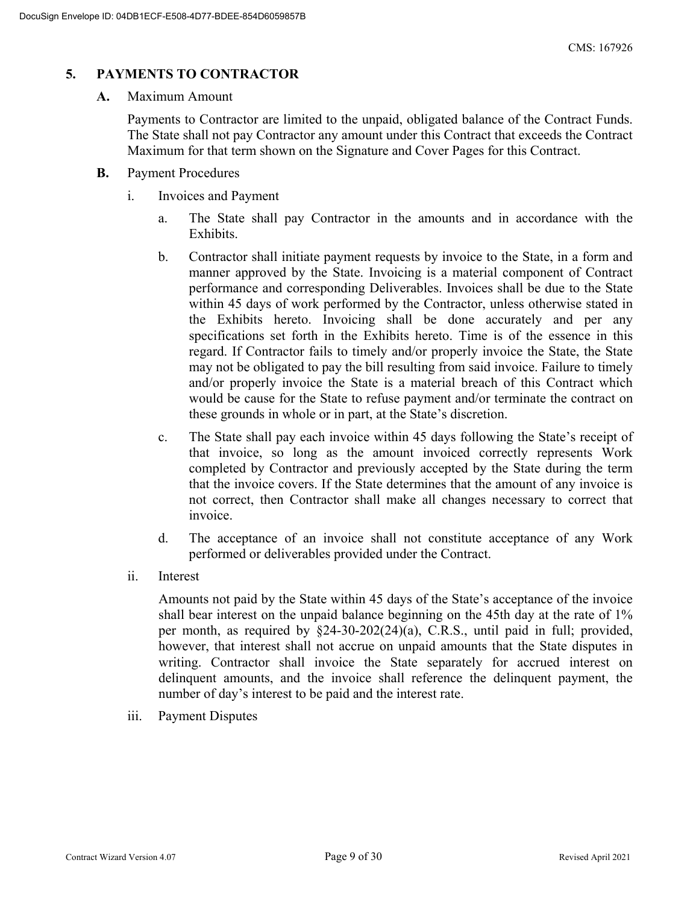#### **5. PAYMENTS TO CONTRACTOR**

#### **A.** Maximum Amount

Payments to Contractor are limited to the unpaid, obligated balance of the Contract Funds. The State shall not pay Contractor any amount under this Contract that exceeds the Contract Maximum for that term shown on the Signature and Cover Pages for this Contract.

- **B.** Payment Procedures
	- i. Invoices and Payment
		- a. The State shall pay Contractor in the amounts and in accordance with the Exhibits.
		- b. Contractor shall initiate payment requests by invoice to the State, in a form and manner approved by the State. Invoicing is a material component of Contract performance and corresponding Deliverables. Invoices shall be due to the State within 45 days of work performed by the Contractor, unless otherwise stated in the Exhibits hereto. Invoicing shall be done accurately and per any specifications set forth in the Exhibits hereto. Time is of the essence in this regard. If Contractor fails to timely and/or properly invoice the State, the State may not be obligated to pay the bill resulting from said invoice. Failure to timely and/or properly invoice the State is a material breach of this Contract which would be cause for the State to refuse payment and/or terminate the contract on these grounds in whole or in part, at the State's discretion.
		- c. The State shall pay each invoice within 45 days following the State's receipt of that invoice, so long as the amount invoiced correctly represents Work completed by Contractor and previously accepted by the State during the term that the invoice covers. If the State determines that the amount of any invoice is not correct, then Contractor shall make all changes necessary to correct that invoice.
		- d. The acceptance of an invoice shall not constitute acceptance of any Work performed or deliverables provided under the Contract.
	- ii. Interest

Amounts not paid by the State within 45 days of the State's acceptance of the invoice shall bear interest on the unpaid balance beginning on the 45th day at the rate of 1% per month, as required by §24-30-202(24)(a), C.R.S., until paid in full; provided, however, that interest shall not accrue on unpaid amounts that the State disputes in writing. Contractor shall invoice the State separately for accrued interest on delinquent amounts, and the invoice shall reference the delinquent payment, the number of day's interest to be paid and the interest rate.

iii. Payment Disputes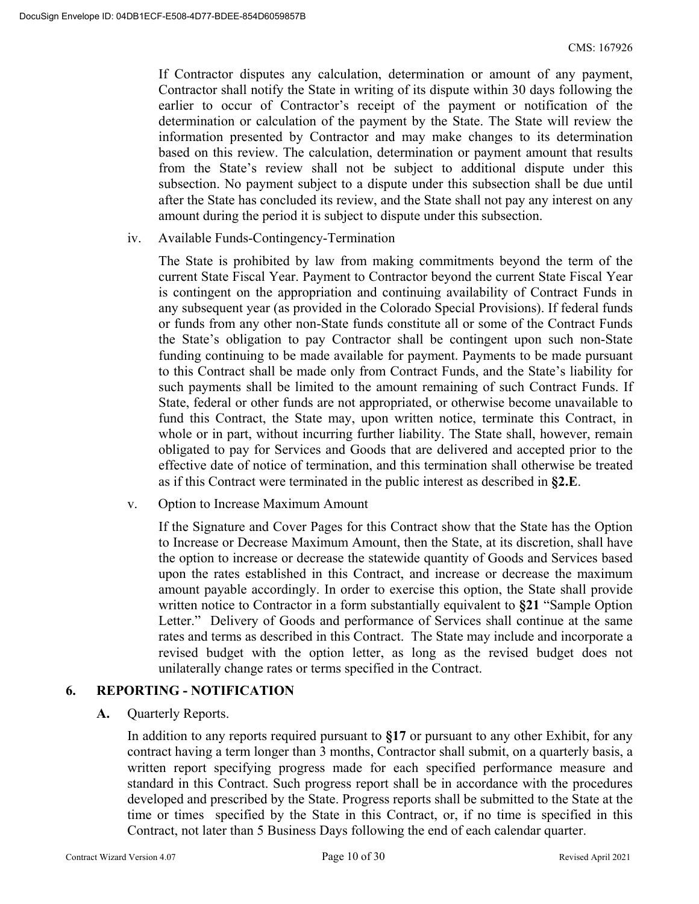If Contractor disputes any calculation, determination or amount of any payment, Contractor shall notify the State in writing of its dispute within 30 days following the earlier to occur of Contractor's receipt of the payment or notification of the determination or calculation of the payment by the State. The State will review the information presented by Contractor and may make changes to its determination based on this review. The calculation, determination or payment amount that results from the State's review shall not be subject to additional dispute under this subsection. No payment subject to a dispute under this subsection shall be due until after the State has concluded its review, and the State shall not pay any interest on any amount during the period it is subject to dispute under this subsection.

iv. Available Funds-Contingency-Termination

The State is prohibited by law from making commitments beyond the term of the current State Fiscal Year. Payment to Contractor beyond the current State Fiscal Year is contingent on the appropriation and continuing availability of Contract Funds in any subsequent year (as provided in the Colorado Special Provisions). If federal funds or funds from any other non-State funds constitute all or some of the Contract Funds the State's obligation to pay Contractor shall be contingent upon such non-State funding continuing to be made available for payment. Payments to be made pursuant to this Contract shall be made only from Contract Funds, and the State's liability for such payments shall be limited to the amount remaining of such Contract Funds. If State, federal or other funds are not appropriated, or otherwise become unavailable to fund this Contract, the State may, upon written notice, terminate this Contract, in whole or in part, without incurring further liability. The State shall, however, remain obligated to pay for Services and Goods that are delivered and accepted prior to the effective date of notice of termination, and this termination shall otherwise be treated as if this Contract were terminated in the public interest as described in **§2.E**.

v. Option to Increase Maximum Amount

If the Signature and Cover Pages for this Contract show that the State has the Option to Increase or Decrease Maximum Amount, then the State, at its discretion, shall have the option to increase or decrease the statewide quantity of Goods and Services based upon the rates established in this Contract, and increase or decrease the maximum amount payable accordingly. In order to exercise this option, the State shall provide written notice to Contractor in a form substantially equivalent to **§21** "Sample Option Letter." Delivery of Goods and performance of Services shall continue at the same rates and terms as described in this Contract. The State may include and incorporate a revised budget with the option letter, as long as the revised budget does not unilaterally change rates or terms specified in the Contract.

#### **6. REPORTING - NOTIFICATION**

**A.** Quarterly Reports.

In addition to any reports required pursuant to **§17** or pursuant to any other Exhibit, for any contract having a term longer than 3 months, Contractor shall submit, on a quarterly basis, a written report specifying progress made for each specified performance measure and standard in this Contract. Such progress report shall be in accordance with the procedures developed and prescribed by the State. Progress reports shall be submitted to the State at the time or times specified by the State in this Contract, or, if no time is specified in this Contract, not later than 5 Business Days following the end of each calendar quarter.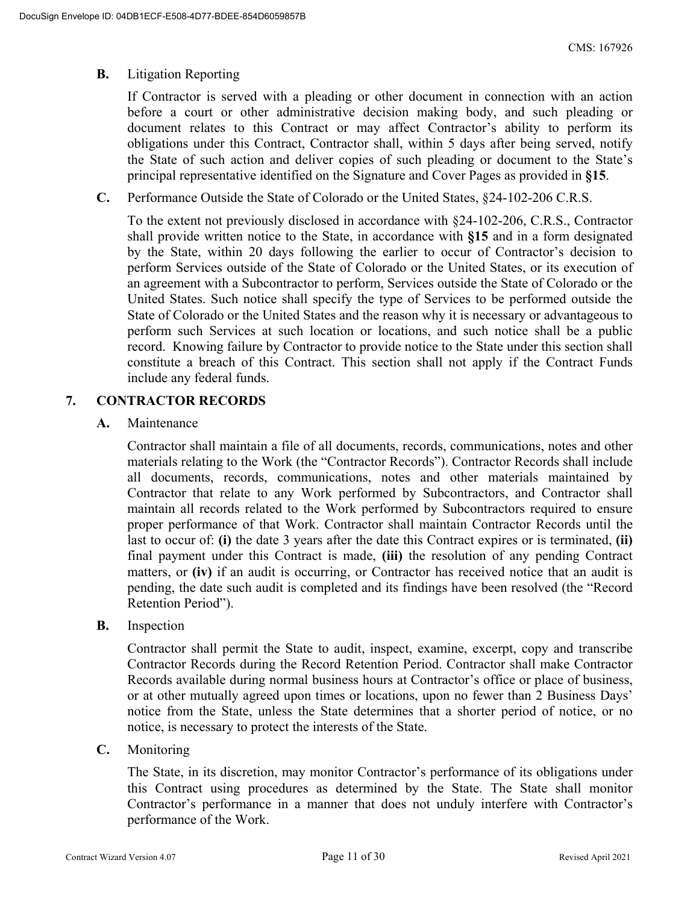#### **B.** Litigation Reporting

If Contractor is served with a pleading or other document in connection with an action before a court or other administrative decision making body, and such pleading or document relates to this Contract or may affect Contractor's ability to perform its obligations under this Contract, Contractor shall, within 5 days after being served, notify the State of such action and deliver copies of such pleading or document to the State's principal representative identified on the Signature and Cover Pages as provided in **§15**.

**C.** Performance Outside the State of Colorado or the United States, §24-102-206 C.R.S.

To the extent not previously disclosed in accordance with §24-102-206, C.R.S., Contractor shall provide written notice to the State, in accordance with **§15** and in a form designated by the State, within 20 days following the earlier to occur of Contractor's decision to perform Services outside of the State of Colorado or the United States, or its execution of an agreement with a Subcontractor to perform, Services outside the State of Colorado or the United States. Such notice shall specify the type of Services to be performed outside the State of Colorado or the United States and the reason why it is necessary or advantageous to perform such Services at such location or locations, and such notice shall be a public record. Knowing failure by Contractor to provide notice to the State under this section shall constitute a breach of this Contract. This section shall not apply if the Contract Funds include any federal funds.

#### **7. CONTRACTOR RECORDS**

**A.** Maintenance

Contractor shall maintain a file of all documents, records, communications, notes and other materials relating to the Work (the "Contractor Records"). Contractor Records shall include all documents, records, communications, notes and other materials maintained by Contractor that relate to any Work performed by Subcontractors, and Contractor shall maintain all records related to the Work performed by Subcontractors required to ensure proper performance of that Work. Contractor shall maintain Contractor Records until the last to occur of: **(i)** the date 3 years after the date this Contract expires or is terminated, **(ii)** final payment under this Contract is made, **(iii)** the resolution of any pending Contract matters, or **(iv)** if an audit is occurring, or Contractor has received notice that an audit is pending, the date such audit is completed and its findings have been resolved (the "Record Retention Period").

**B.** Inspection

Contractor shall permit the State to audit, inspect, examine, excerpt, copy and transcribe Contractor Records during the Record Retention Period. Contractor shall make Contractor Records available during normal business hours at Contractor's office or place of business, or at other mutually agreed upon times or locations, upon no fewer than 2 Business Days' notice from the State, unless the State determines that a shorter period of notice, or no notice, is necessary to protect the interests of the State.

**C.** Monitoring

The State, in its discretion, may monitor Contractor's performance of its obligations under this Contract using procedures as determined by the State. The State shall monitor Contractor's performance in a manner that does not unduly interfere with Contractor's performance of the Work.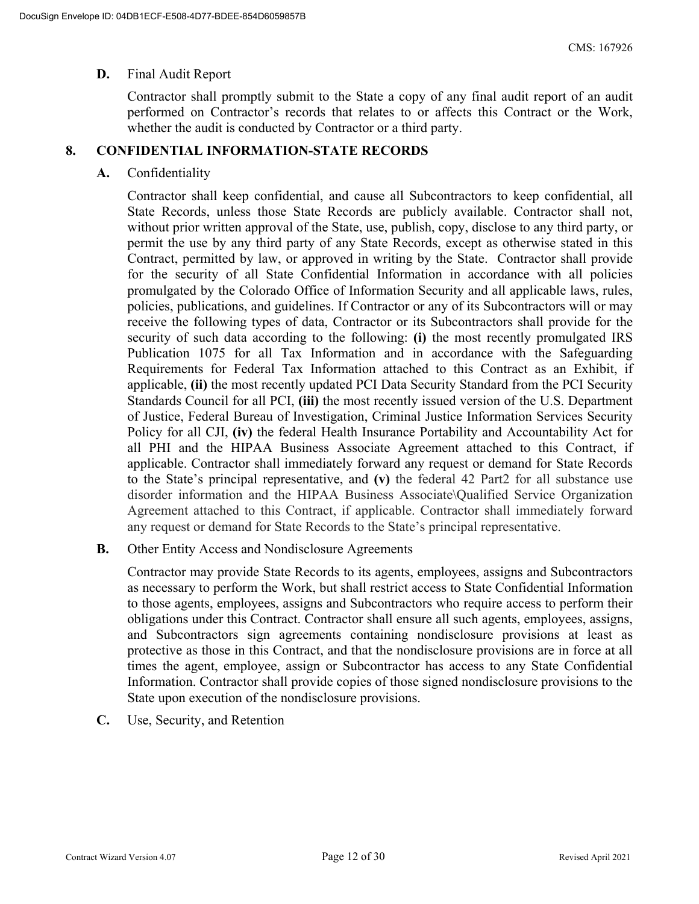#### **D.** Final Audit Report

Contractor shall promptly submit to the State a copy of any final audit report of an audit performed on Contractor's records that relates to or affects this Contract or the Work, whether the audit is conducted by Contractor or a third party.

#### **8. CONFIDENTIAL INFORMATION-STATE RECORDS**

#### **A.** Confidentiality

Contractor shall keep confidential, and cause all Subcontractors to keep confidential, all State Records, unless those State Records are publicly available. Contractor shall not, without prior written approval of the State, use, publish, copy, disclose to any third party, or permit the use by any third party of any State Records, except as otherwise stated in this Contract, permitted by law, or approved in writing by the State. Contractor shall provide for the security of all State Confidential Information in accordance with all policies promulgated by the Colorado Office of Information Security and all applicable laws, rules, policies, publications, and guidelines. If Contractor or any of its Subcontractors will or may receive the following types of data, Contractor or its Subcontractors shall provide for the security of such data according to the following: **(i)** the most recently promulgated IRS Publication 1075 for all Tax Information and in accordance with the Safeguarding Requirements for Federal Tax Information attached to this Contract as an Exhibit, if applicable, **(ii)** the most recently updated PCI Data Security Standard from the PCI Security Standards Council for all PCI, **(iii)** the most recently issued version of the U.S. Department of Justice, Federal Bureau of Investigation, Criminal Justice Information Services Security Policy for all CJI, **(iv)** the federal Health Insurance Portability and Accountability Act for all PHI and the HIPAA Business Associate Agreement attached to this Contract, if applicable. Contractor shall immediately forward any request or demand for State Records to the State's principal representative, and **(v)** the federal 42 Part2 for all substance use disorder information and the HIPAA Business Associate\Qualified Service Organization Agreement attached to this Contract, if applicable. Contractor shall immediately forward any request or demand for State Records to the State's principal representative.

**B.** Other Entity Access and Nondisclosure Agreements

Contractor may provide State Records to its agents, employees, assigns and Subcontractors as necessary to perform the Work, but shall restrict access to State Confidential Information to those agents, employees, assigns and Subcontractors who require access to perform their obligations under this Contract. Contractor shall ensure all such agents, employees, assigns, and Subcontractors sign agreements containing nondisclosure provisions at least as protective as those in this Contract, and that the nondisclosure provisions are in force at all times the agent, employee, assign or Subcontractor has access to any State Confidential Information. Contractor shall provide copies of those signed nondisclosure provisions to the State upon execution of the nondisclosure provisions.

**C.** Use, Security, and Retention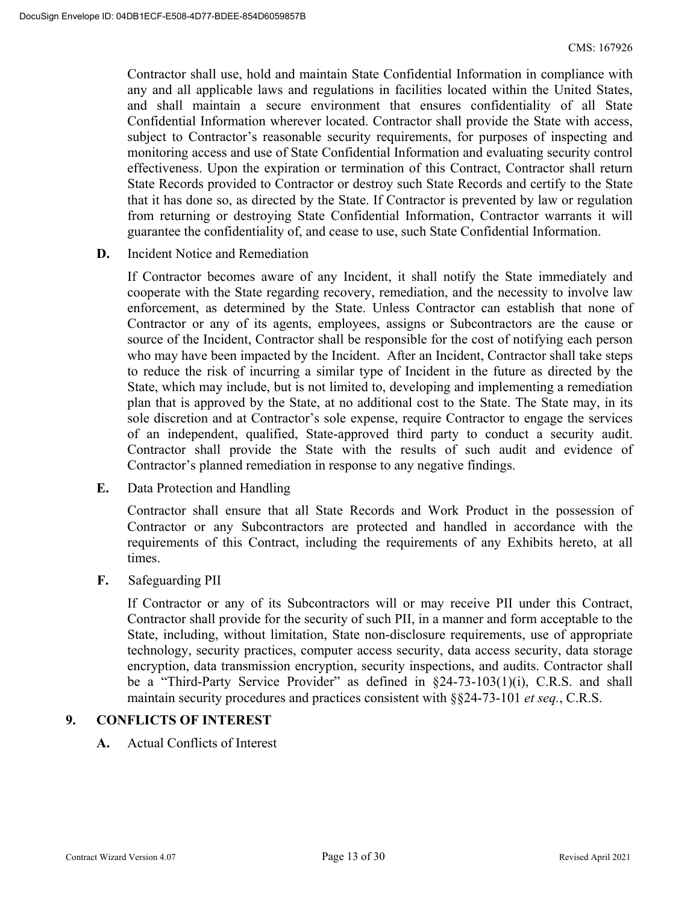Contractor shall use, hold and maintain State Confidential Information in compliance with any and all applicable laws and regulations in facilities located within the United States, and shall maintain a secure environment that ensures confidentiality of all State Confidential Information wherever located. Contractor shall provide the State with access, subject to Contractor's reasonable security requirements, for purposes of inspecting and monitoring access and use of State Confidential Information and evaluating security control effectiveness. Upon the expiration or termination of this Contract, Contractor shall return State Records provided to Contractor or destroy such State Records and certify to the State that it has done so, as directed by the State. If Contractor is prevented by law or regulation from returning or destroying State Confidential Information, Contractor warrants it will guarantee the confidentiality of, and cease to use, such State Confidential Information.

**D.** Incident Notice and Remediation

If Contractor becomes aware of any Incident, it shall notify the State immediately and cooperate with the State regarding recovery, remediation, and the necessity to involve law enforcement, as determined by the State. Unless Contractor can establish that none of Contractor or any of its agents, employees, assigns or Subcontractors are the cause or source of the Incident, Contractor shall be responsible for the cost of notifying each person who may have been impacted by the Incident. After an Incident, Contractor shall take steps to reduce the risk of incurring a similar type of Incident in the future as directed by the State, which may include, but is not limited to, developing and implementing a remediation plan that is approved by the State, at no additional cost to the State. The State may, in its sole discretion and at Contractor's sole expense, require Contractor to engage the services of an independent, qualified, State-approved third party to conduct a security audit. Contractor shall provide the State with the results of such audit and evidence of Contractor's planned remediation in response to any negative findings.

**E.** Data Protection and Handling

Contractor shall ensure that all State Records and Work Product in the possession of Contractor or any Subcontractors are protected and handled in accordance with the requirements of this Contract, including the requirements of any Exhibits hereto, at all times.

**F.** Safeguarding PII

If Contractor or any of its Subcontractors will or may receive PII under this Contract, Contractor shall provide for the security of such PII, in a manner and form acceptable to the State, including, without limitation, State non-disclosure requirements, use of appropriate technology, security practices, computer access security, data access security, data storage encryption, data transmission encryption, security inspections, and audits. Contractor shall be a "Third-Party Service Provider" as defined in §24-73-103(1)(i), C.R.S. and shall maintain security procedures and practices consistent with §§24-73-101 *et seq.*, C.R.S.

#### **9. CONFLICTS OF INTEREST**

**A.** Actual Conflicts of Interest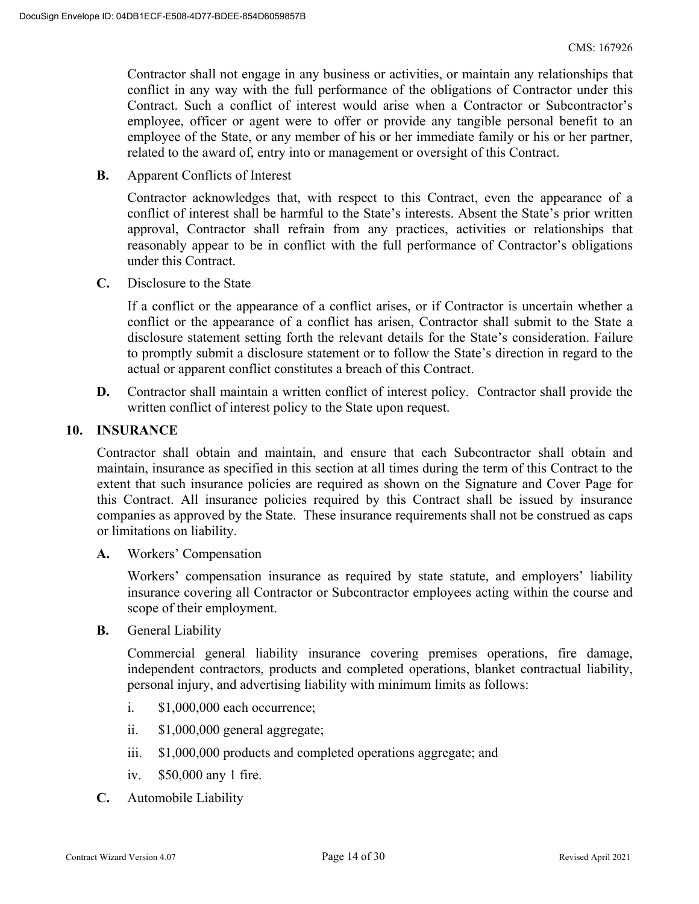Contractor shall not engage in any business or activities, or maintain any relationships that conflict in any way with the full performance of the obligations of Contractor under this Contract. Such a conflict of interest would arise when a Contractor or Subcontractor's employee, officer or agent were to offer or provide any tangible personal benefit to an employee of the State, or any member of his or her immediate family or his or her partner, related to the award of, entry into or management or oversight of this Contract.

**B.** Apparent Conflicts of Interest

Contractor acknowledges that, with respect to this Contract, even the appearance of a conflict of interest shall be harmful to the State's interests. Absent the State's prior written approval, Contractor shall refrain from any practices, activities or relationships that reasonably appear to be in conflict with the full performance of Contractor's obligations under this Contract.

**C.** Disclosure to the State

If a conflict or the appearance of a conflict arises, or if Contractor is uncertain whether a conflict or the appearance of a conflict has arisen, Contractor shall submit to the State a disclosure statement setting forth the relevant details for the State's consideration. Failure to promptly submit a disclosure statement or to follow the State's direction in regard to the actual or apparent conflict constitutes a breach of this Contract.

**D.** Contractor shall maintain a written conflict of interest policy. Contractor shall provide the written conflict of interest policy to the State upon request.

#### **10. INSURANCE**

Contractor shall obtain and maintain, and ensure that each Subcontractor shall obtain and maintain, insurance as specified in this section at all times during the term of this Contract to the extent that such insurance policies are required as shown on the Signature and Cover Page for this Contract. All insurance policies required by this Contract shall be issued by insurance companies as approved by the State. These insurance requirements shall not be construed as caps or limitations on liability.

**A.** Workers' Compensation

 Workers' compensation insurance as required by state statute, and employers' liability insurance covering all Contractor or Subcontractor employees acting within the course and scope of their employment.

**B.** General Liability

Commercial general liability insurance covering premises operations, fire damage, independent contractors, products and completed operations, blanket contractual liability, personal injury, and advertising liability with minimum limits as follows:

- i. \$1,000,000 each occurrence;
- ii. \$1,000,000 general aggregate;
- iii. \$1,000,000 products and completed operations aggregate; and
- iv. \$50,000 any 1 fire.
- **C.** Automobile Liability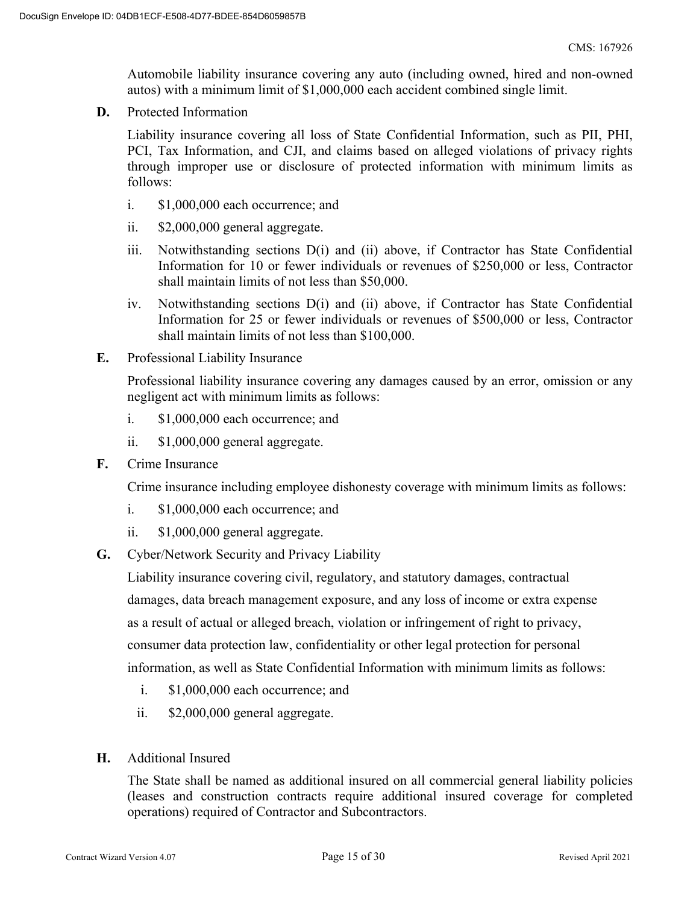Automobile liability insurance covering any auto (including owned, hired and non-owned autos) with a minimum limit of \$1,000,000 each accident combined single limit.

**D.** Protected Information

Liability insurance covering all loss of State Confidential Information, such as PII, PHI, PCI, Tax Information, and CJI, and claims based on alleged violations of privacy rights through improper use or disclosure of protected information with minimum limits as follows:

- i. \$1,000,000 each occurrence; and
- ii. \$2,000,000 general aggregate.
- iii. Notwithstanding sections D(i) and (ii) above, if Contractor has State Confidential Information for 10 or fewer individuals or revenues of \$250,000 or less, Contractor shall maintain limits of not less than \$50,000.
- iv. Notwithstanding sections D(i) and (ii) above, if Contractor has State Confidential Information for 25 or fewer individuals or revenues of \$500,000 or less, Contractor shall maintain limits of not less than \$100,000.
- **E.** Professional Liability Insurance

Professional liability insurance covering any damages caused by an error, omission or any negligent act with minimum limits as follows:

- i. \$1,000,000 each occurrence; and
- ii. \$1,000,000 general aggregate.
- **F.** Crime Insurance

Crime insurance including employee dishonesty coverage with minimum limits as follows:

- i. \$1,000,000 each occurrence; and
- ii. \$1,000,000 general aggregate.
- **G.** Cyber/Network Security and Privacy Liability

Liability insurance covering civil, regulatory, and statutory damages, contractual damages, data breach management exposure, and any loss of income or extra expense as a result of actual or alleged breach, violation or infringement of right to privacy, consumer data protection law, confidentiality or other legal protection for personal information, as well as State Confidential Information with minimum limits as follows:

- i. \$1,000,000 each occurrence; and
- ii. \$2,000,000 general aggregate.
- **H.** Additional Insured

The State shall be named as additional insured on all commercial general liability policies (leases and construction contracts require additional insured coverage for completed operations) required of Contractor and Subcontractors.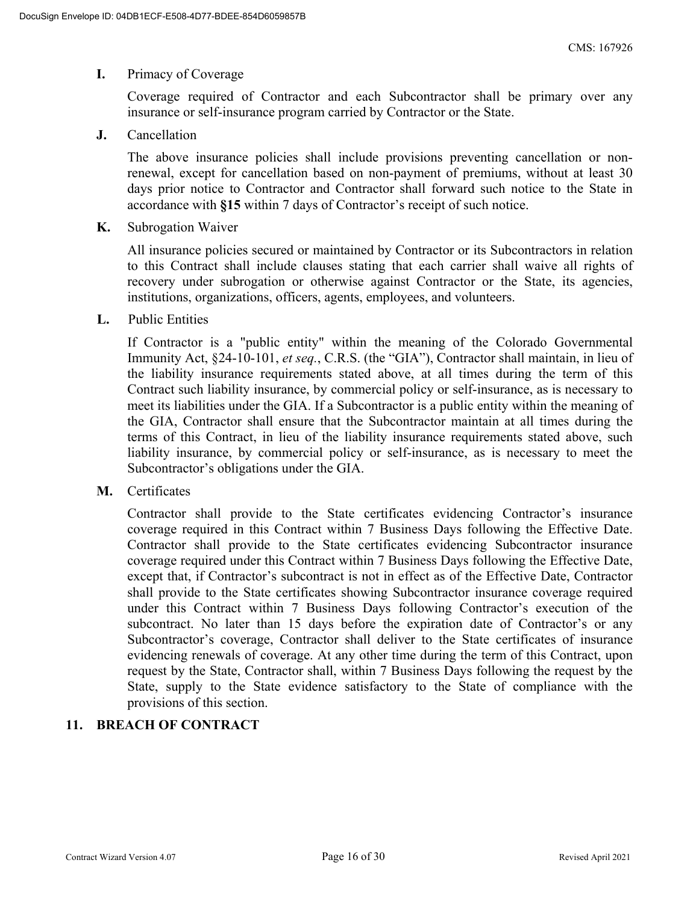#### **I.** Primacy of Coverage

Coverage required of Contractor and each Subcontractor shall be primary over any insurance or self-insurance program carried by Contractor or the State.

**J.** Cancellation

The above insurance policies shall include provisions preventing cancellation or nonrenewal, except for cancellation based on non-payment of premiums, without at least 30 days prior notice to Contractor and Contractor shall forward such notice to the State in accordance with **§15** within 7 days of Contractor's receipt of such notice.

**K.** Subrogation Waiver

All insurance policies secured or maintained by Contractor or its Subcontractors in relation to this Contract shall include clauses stating that each carrier shall waive all rights of recovery under subrogation or otherwise against Contractor or the State, its agencies, institutions, organizations, officers, agents, employees, and volunteers.

**L.** Public Entities

If Contractor is a "public entity" within the meaning of the Colorado Governmental Immunity Act, §24-10-101, *et seq.*, C.R.S. (the "GIA"), Contractor shall maintain, in lieu of the liability insurance requirements stated above, at all times during the term of this Contract such liability insurance, by commercial policy or self-insurance, as is necessary to meet its liabilities under the GIA. If a Subcontractor is a public entity within the meaning of the GIA, Contractor shall ensure that the Subcontractor maintain at all times during the terms of this Contract, in lieu of the liability insurance requirements stated above, such liability insurance, by commercial policy or self-insurance, as is necessary to meet the Subcontractor's obligations under the GIA.

**M.** Certificates

Contractor shall provide to the State certificates evidencing Contractor's insurance coverage required in this Contract within 7 Business Days following the Effective Date. Contractor shall provide to the State certificates evidencing Subcontractor insurance coverage required under this Contract within 7 Business Days following the Effective Date, except that, if Contractor's subcontract is not in effect as of the Effective Date, Contractor shall provide to the State certificates showing Subcontractor insurance coverage required under this Contract within 7 Business Days following Contractor's execution of the subcontract. No later than 15 days before the expiration date of Contractor's or any Subcontractor's coverage, Contractor shall deliver to the State certificates of insurance evidencing renewals of coverage. At any other time during the term of this Contract, upon request by the State, Contractor shall, within 7 Business Days following the request by the State, supply to the State evidence satisfactory to the State of compliance with the provisions of this section.

### **11. BREACH OF CONTRACT**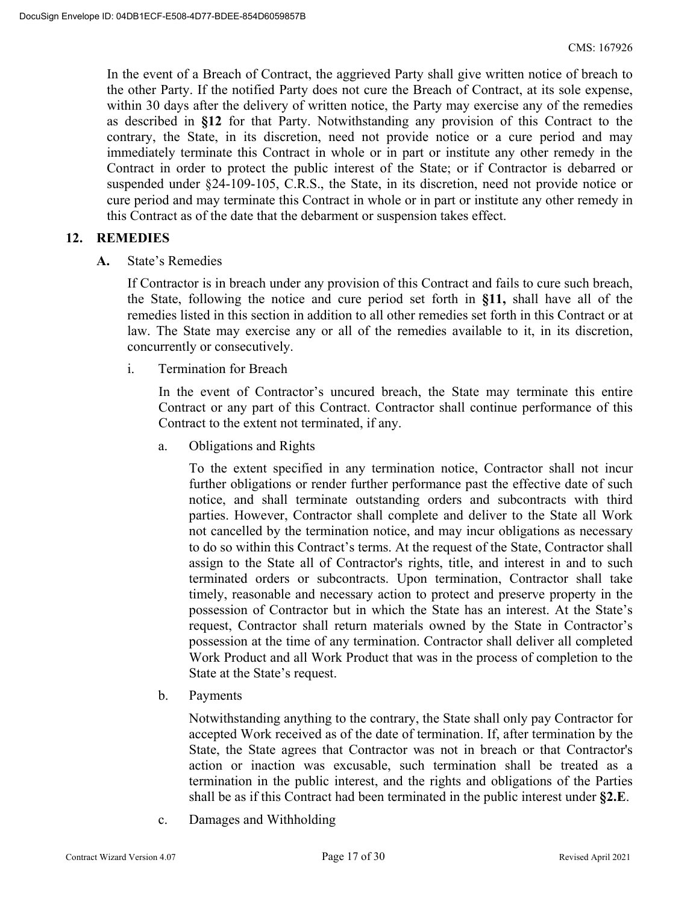In the event of a Breach of Contract, the aggrieved Party shall give written notice of breach to the other Party. If the notified Party does not cure the Breach of Contract, at its sole expense, within 30 days after the delivery of written notice, the Party may exercise any of the remedies as described in **§12** for that Party. Notwithstanding any provision of this Contract to the contrary, the State, in its discretion, need not provide notice or a cure period and may immediately terminate this Contract in whole or in part or institute any other remedy in the Contract in order to protect the public interest of the State; or if Contractor is debarred or suspended under §24-109-105, C.R.S., the State, in its discretion, need not provide notice or cure period and may terminate this Contract in whole or in part or institute any other remedy in this Contract as of the date that the debarment or suspension takes effect.

#### **12. REMEDIES**

**A.** State's Remedies

If Contractor is in breach under any provision of this Contract and fails to cure such breach, the State, following the notice and cure period set forth in **§11,** shall have all of the remedies listed in this section in addition to all other remedies set forth in this Contract or at law. The State may exercise any or all of the remedies available to it, in its discretion, concurrently or consecutively.

i. Termination for Breach

In the event of Contractor's uncured breach, the State may terminate this entire Contract or any part of this Contract. Contractor shall continue performance of this Contract to the extent not terminated, if any.

a. Obligations and Rights

To the extent specified in any termination notice, Contractor shall not incur further obligations or render further performance past the effective date of such notice, and shall terminate outstanding orders and subcontracts with third parties. However, Contractor shall complete and deliver to the State all Work not cancelled by the termination notice, and may incur obligations as necessary to do so within this Contract's terms. At the request of the State, Contractor shall assign to the State all of Contractor's rights, title, and interest in and to such terminated orders or subcontracts. Upon termination, Contractor shall take timely, reasonable and necessary action to protect and preserve property in the possession of Contractor but in which the State has an interest. At the State's request, Contractor shall return materials owned by the State in Contractor's possession at the time of any termination. Contractor shall deliver all completed Work Product and all Work Product that was in the process of completion to the State at the State's request.

b. Payments

Notwithstanding anything to the contrary, the State shall only pay Contractor for accepted Work received as of the date of termination. If, after termination by the State, the State agrees that Contractor was not in breach or that Contractor's action or inaction was excusable, such termination shall be treated as a termination in the public interest, and the rights and obligations of the Parties shall be as if this Contract had been terminated in the public interest under **§2.E**.

c. Damages and Withholding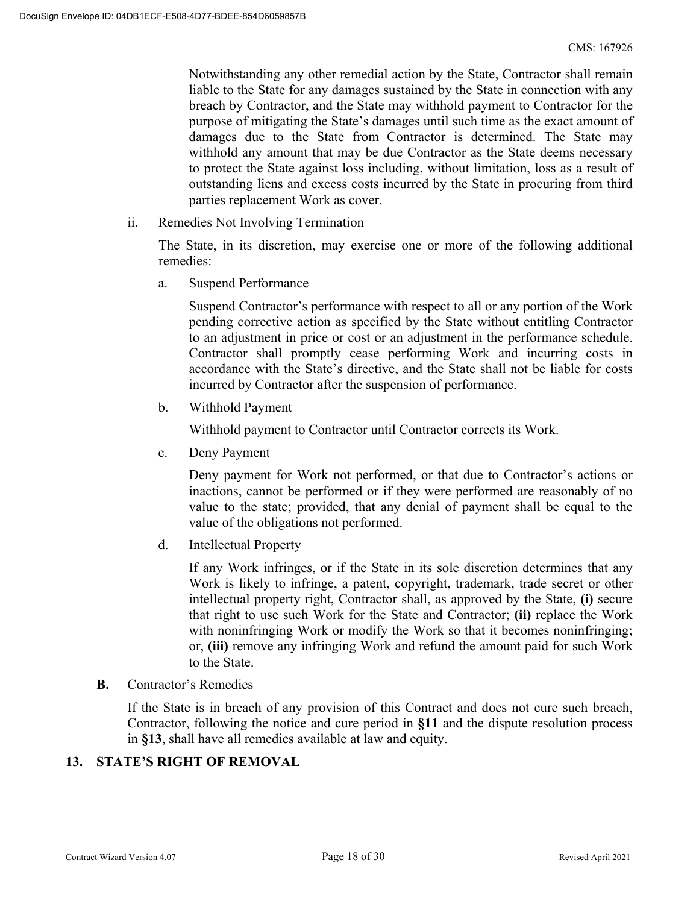Notwithstanding any other remedial action by the State, Contractor shall remain liable to the State for any damages sustained by the State in connection with any breach by Contractor, and the State may withhold payment to Contractor for the purpose of mitigating the State's damages until such time as the exact amount of damages due to the State from Contractor is determined. The State may withhold any amount that may be due Contractor as the State deems necessary to protect the State against loss including, without limitation, loss as a result of outstanding liens and excess costs incurred by the State in procuring from third parties replacement Work as cover.

ii. Remedies Not Involving Termination

The State, in its discretion, may exercise one or more of the following additional remedies:

a. Suspend Performance

Suspend Contractor's performance with respect to all or any portion of the Work pending corrective action as specified by the State without entitling Contractor to an adjustment in price or cost or an adjustment in the performance schedule. Contractor shall promptly cease performing Work and incurring costs in accordance with the State's directive, and the State shall not be liable for costs incurred by Contractor after the suspension of performance.

b. Withhold Payment

Withhold payment to Contractor until Contractor corrects its Work.

c. Deny Payment

Deny payment for Work not performed, or that due to Contractor's actions or inactions, cannot be performed or if they were performed are reasonably of no value to the state; provided, that any denial of payment shall be equal to the value of the obligations not performed.

d. Intellectual Property

If any Work infringes, or if the State in its sole discretion determines that any Work is likely to infringe, a patent, copyright, trademark, trade secret or other intellectual property right, Contractor shall, as approved by the State, **(i)** secure that right to use such Work for the State and Contractor; **(ii)** replace the Work with noninfringing Work or modify the Work so that it becomes noninfringing; or, **(iii)** remove any infringing Work and refund the amount paid for such Work to the State.

**B.** Contractor's Remedies

If the State is in breach of any provision of this Contract and does not cure such breach, Contractor, following the notice and cure period in **§11** and the dispute resolution process in **§13**, shall have all remedies available at law and equity.

#### **13. STATE'S RIGHT OF REMOVAL**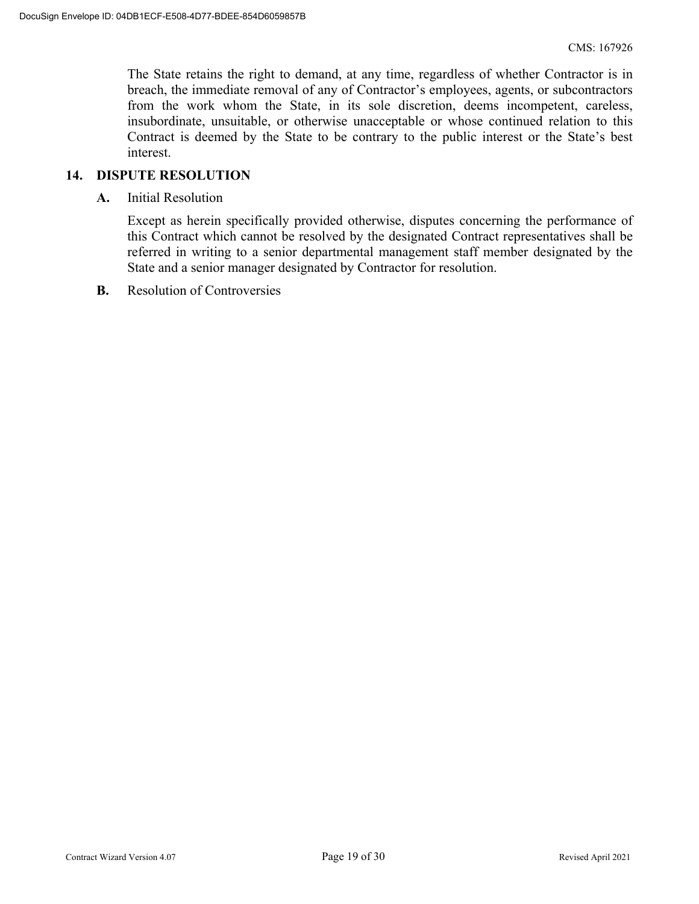The State retains the right to demand, at any time, regardless of whether Contractor is in breach, the immediate removal of any of Contractor's employees, agents, or subcontractors from the work whom the State, in its sole discretion, deems incompetent, careless, insubordinate, unsuitable, or otherwise unacceptable or whose continued relation to this Contract is deemed by the State to be contrary to the public interest or the State's best interest.

#### **14. DISPUTE RESOLUTION**

**A.** Initial Resolution

Except as herein specifically provided otherwise, disputes concerning the performance of this Contract which cannot be resolved by the designated Contract representatives shall be referred in writing to a senior departmental management staff member designated by the State and a senior manager designated by Contractor for resolution.

**B.** Resolution of Controversies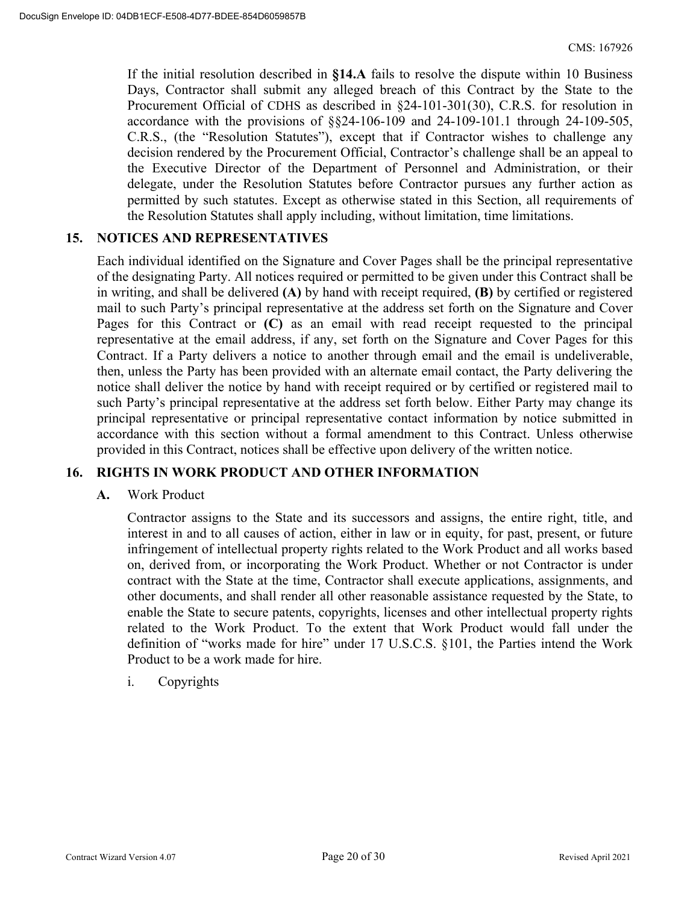If the initial resolution described in **§14.A** fails to resolve the dispute within 10 Business Days, Contractor shall submit any alleged breach of this Contract by the State to the Procurement Official of CDHS as described in §24-101-301(30), C.R.S. for resolution in accordance with the provisions of §§24-106-109 and 24-109-101.1 through 24-109-505, C.R.S., (the "Resolution Statutes"), except that if Contractor wishes to challenge any decision rendered by the Procurement Official, Contractor's challenge shall be an appeal to the Executive Director of the Department of Personnel and Administration, or their delegate, under the Resolution Statutes before Contractor pursues any further action as permitted by such statutes. Except as otherwise stated in this Section, all requirements of the Resolution Statutes shall apply including, without limitation, time limitations.

#### **15. NOTICES AND REPRESENTATIVES**

Each individual identified on the Signature and Cover Pages shall be the principal representative of the designating Party. All notices required or permitted to be given under this Contract shall be in writing, and shall be delivered **(A)** by hand with receipt required, **(B)** by certified or registered mail to such Party's principal representative at the address set forth on the Signature and Cover Pages for this Contract or **(C)** as an email with read receipt requested to the principal representative at the email address, if any, set forth on the Signature and Cover Pages for this Contract. If a Party delivers a notice to another through email and the email is undeliverable, then, unless the Party has been provided with an alternate email contact, the Party delivering the notice shall deliver the notice by hand with receipt required or by certified or registered mail to such Party's principal representative at the address set forth below. Either Party may change its principal representative or principal representative contact information by notice submitted in accordance with this section without a formal amendment to this Contract. Unless otherwise provided in this Contract, notices shall be effective upon delivery of the written notice.

#### **16. RIGHTS IN WORK PRODUCT AND OTHER INFORMATION**

#### **A.** Work Product

Contractor assigns to the State and its successors and assigns, the entire right, title, and interest in and to all causes of action, either in law or in equity, for past, present, or future infringement of intellectual property rights related to the Work Product and all works based on, derived from, or incorporating the Work Product. Whether or not Contractor is under contract with the State at the time, Contractor shall execute applications, assignments, and other documents, and shall render all other reasonable assistance requested by the State, to enable the State to secure patents, copyrights, licenses and other intellectual property rights related to the Work Product. To the extent that Work Product would fall under the definition of "works made for hire" under 17 U.S.C.S. §101, the Parties intend the Work Product to be a work made for hire.

#### i. Copyrights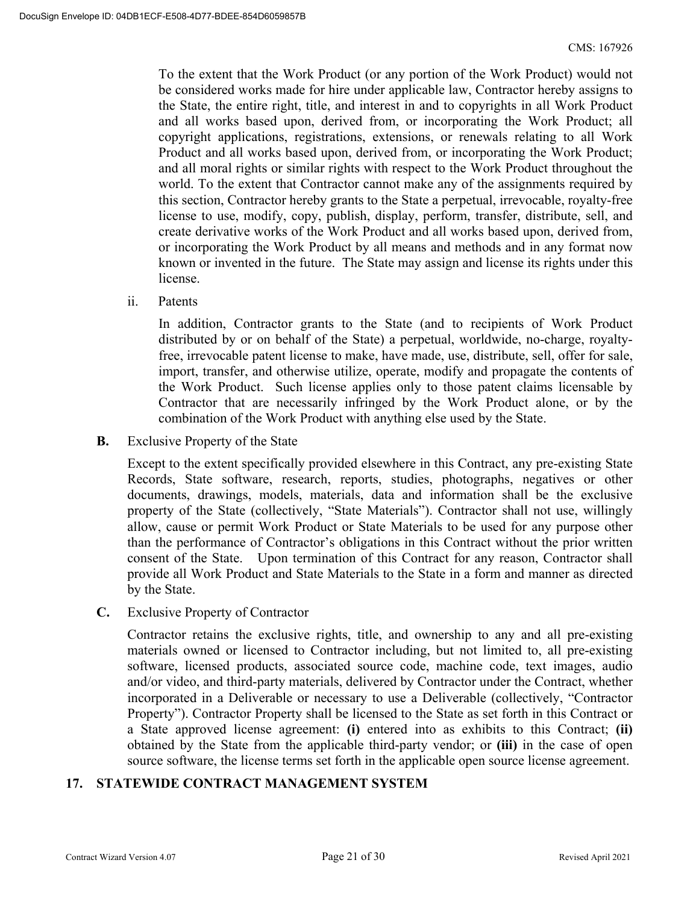To the extent that the Work Product (or any portion of the Work Product) would not be considered works made for hire under applicable law, Contractor hereby assigns to the State, the entire right, title, and interest in and to copyrights in all Work Product and all works based upon, derived from, or incorporating the Work Product; all copyright applications, registrations, extensions, or renewals relating to all Work Product and all works based upon, derived from, or incorporating the Work Product; and all moral rights or similar rights with respect to the Work Product throughout the world. To the extent that Contractor cannot make any of the assignments required by this section, Contractor hereby grants to the State a perpetual, irrevocable, royalty-free license to use, modify, copy, publish, display, perform, transfer, distribute, sell, and create derivative works of the Work Product and all works based upon, derived from, or incorporating the Work Product by all means and methods and in any format now known or invented in the future. The State may assign and license its rights under this license.

ii. Patents

In addition, Contractor grants to the State (and to recipients of Work Product distributed by or on behalf of the State) a perpetual, worldwide, no-charge, royaltyfree, irrevocable patent license to make, have made, use, distribute, sell, offer for sale, import, transfer, and otherwise utilize, operate, modify and propagate the contents of the Work Product. Such license applies only to those patent claims licensable by Contractor that are necessarily infringed by the Work Product alone, or by the combination of the Work Product with anything else used by the State.

**B.** Exclusive Property of the State

Except to the extent specifically provided elsewhere in this Contract, any pre-existing State Records, State software, research, reports, studies, photographs, negatives or other documents, drawings, models, materials, data and information shall be the exclusive property of the State (collectively, "State Materials"). Contractor shall not use, willingly allow, cause or permit Work Product or State Materials to be used for any purpose other than the performance of Contractor's obligations in this Contract without the prior written consent of the State. Upon termination of this Contract for any reason, Contractor shall provide all Work Product and State Materials to the State in a form and manner as directed by the State.

**C.** Exclusive Property of Contractor

Contractor retains the exclusive rights, title, and ownership to any and all pre-existing materials owned or licensed to Contractor including, but not limited to, all pre-existing software, licensed products, associated source code, machine code, text images, audio and/or video, and third-party materials, delivered by Contractor under the Contract, whether incorporated in a Deliverable or necessary to use a Deliverable (collectively, "Contractor Property"). Contractor Property shall be licensed to the State as set forth in this Contract or a State approved license agreement: **(i)** entered into as exhibits to this Contract; **(ii)** obtained by the State from the applicable third-party vendor; or **(iii)** in the case of open source software, the license terms set forth in the applicable open source license agreement.

#### **17. STATEWIDE CONTRACT MANAGEMENT SYSTEM**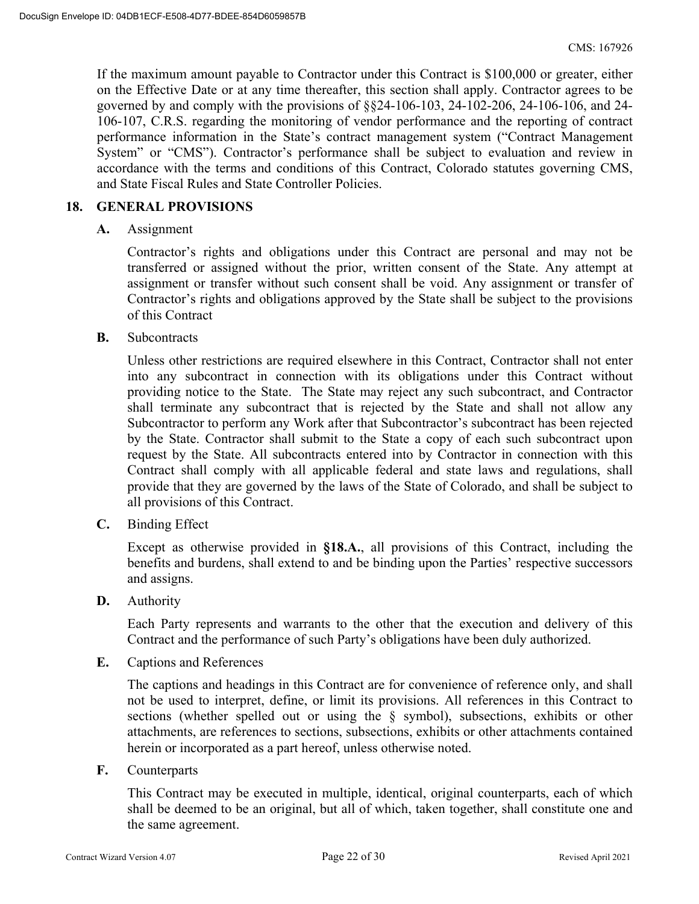If the maximum amount payable to Contractor under this Contract is \$100,000 or greater, either on the Effective Date or at any time thereafter, this section shall apply. Contractor agrees to be governed by and comply with the provisions of §§24-106-103, 24-102-206, 24-106-106, and 24- 106-107, C.R.S. regarding the monitoring of vendor performance and the reporting of contract performance information in the State's contract management system ("Contract Management System" or "CMS"). Contractor's performance shall be subject to evaluation and review in accordance with the terms and conditions of this Contract, Colorado statutes governing CMS, and State Fiscal Rules and State Controller Policies.

#### **18. GENERAL PROVISIONS**

**A.** Assignment

Contractor's rights and obligations under this Contract are personal and may not be transferred or assigned without the prior, written consent of the State. Any attempt at assignment or transfer without such consent shall be void. Any assignment or transfer of Contractor's rights and obligations approved by the State shall be subject to the provisions of this Contract

**B.** Subcontracts

Unless other restrictions are required elsewhere in this Contract, Contractor shall not enter into any subcontract in connection with its obligations under this Contract without providing notice to the State. The State may reject any such subcontract, and Contractor shall terminate any subcontract that is rejected by the State and shall not allow any Subcontractor to perform any Work after that Subcontractor's subcontract has been rejected by the State. Contractor shall submit to the State a copy of each such subcontract upon request by the State. All subcontracts entered into by Contractor in connection with this Contract shall comply with all applicable federal and state laws and regulations, shall provide that they are governed by the laws of the State of Colorado, and shall be subject to all provisions of this Contract.

**C.** Binding Effect

Except as otherwise provided in **§18.A.**, all provisions of this Contract, including the benefits and burdens, shall extend to and be binding upon the Parties' respective successors and assigns.

**D.** Authority

Each Party represents and warrants to the other that the execution and delivery of this Contract and the performance of such Party's obligations have been duly authorized.

**E.** Captions and References

The captions and headings in this Contract are for convenience of reference only, and shall not be used to interpret, define, or limit its provisions. All references in this Contract to sections (whether spelled out or using the § symbol), subsections, exhibits or other attachments, are references to sections, subsections, exhibits or other attachments contained herein or incorporated as a part hereof, unless otherwise noted.

**F.** Counterparts

This Contract may be executed in multiple, identical, original counterparts, each of which shall be deemed to be an original, but all of which, taken together, shall constitute one and the same agreement.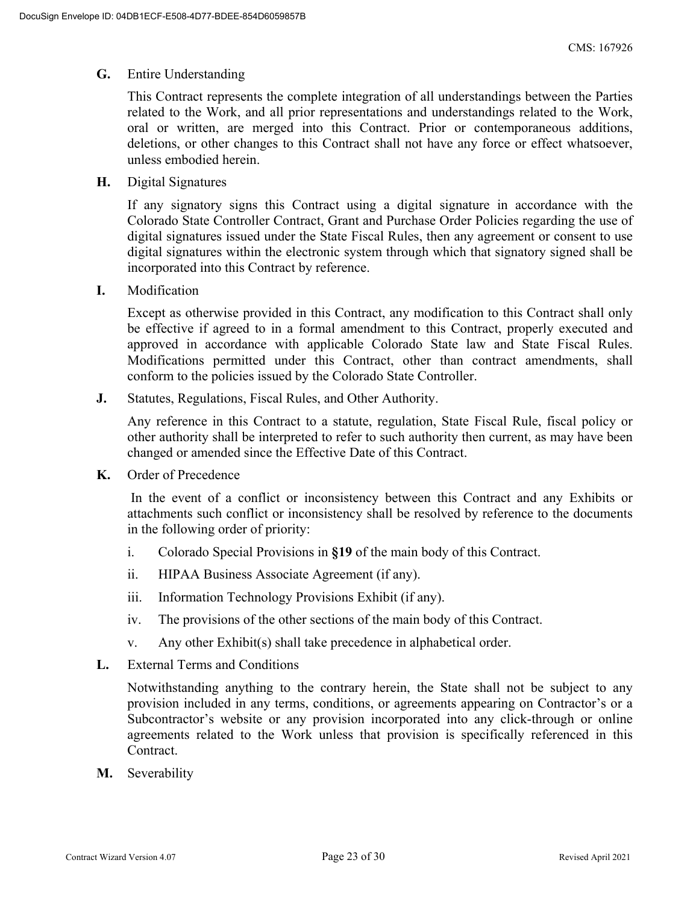#### **G.** Entire Understanding

This Contract represents the complete integration of all understandings between the Parties related to the Work, and all prior representations and understandings related to the Work, oral or written, are merged into this Contract. Prior or contemporaneous additions, deletions, or other changes to this Contract shall not have any force or effect whatsoever, unless embodied herein.

**H.** Digital Signatures

If any signatory signs this Contract using a digital signature in accordance with the Colorado State Controller Contract, Grant and Purchase Order Policies regarding the use of digital signatures issued under the State Fiscal Rules, then any agreement or consent to use digital signatures within the electronic system through which that signatory signed shall be incorporated into this Contract by reference.

**I.** Modification

Except as otherwise provided in this Contract, any modification to this Contract shall only be effective if agreed to in a formal amendment to this Contract, properly executed and approved in accordance with applicable Colorado State law and State Fiscal Rules. Modifications permitted under this Contract, other than contract amendments, shall conform to the policies issued by the Colorado State Controller.

**J.** Statutes, Regulations, Fiscal Rules, and Other Authority.

Any reference in this Contract to a statute, regulation, State Fiscal Rule, fiscal policy or other authority shall be interpreted to refer to such authority then current, as may have been changed or amended since the Effective Date of this Contract.

**K.** Order of Precedence

 In the event of a conflict or inconsistency between this Contract and any Exhibits or attachments such conflict or inconsistency shall be resolved by reference to the documents in the following order of priority:

- i. Colorado Special Provisions in **§19** of the main body of this Contract.
- ii. HIPAA Business Associate Agreement (if any).
- iii. Information Technology Provisions Exhibit (if any).
- iv. The provisions of the other sections of the main body of this Contract.
- v. Any other Exhibit(s) shall take precedence in alphabetical order.
- **L.** External Terms and Conditions

Notwithstanding anything to the contrary herein, the State shall not be subject to any provision included in any terms, conditions, or agreements appearing on Contractor's or a Subcontractor's website or any provision incorporated into any click-through or online agreements related to the Work unless that provision is specifically referenced in this Contract.

**M.** Severability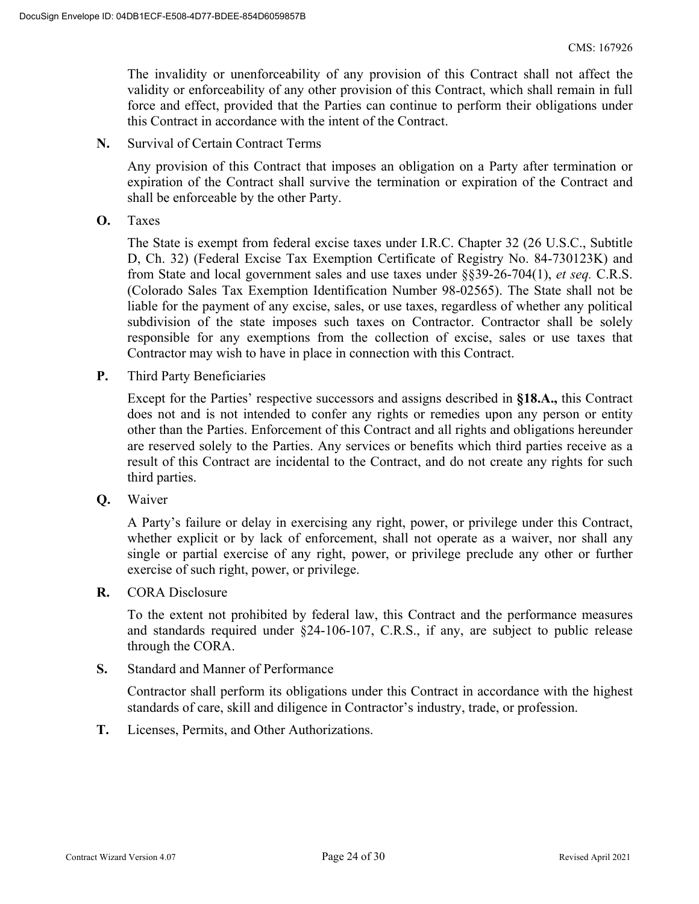The invalidity or unenforceability of any provision of this Contract shall not affect the validity or enforceability of any other provision of this Contract, which shall remain in full force and effect, provided that the Parties can continue to perform their obligations under this Contract in accordance with the intent of the Contract.

**N.** Survival of Certain Contract Terms

Any provision of this Contract that imposes an obligation on a Party after termination or expiration of the Contract shall survive the termination or expiration of the Contract and shall be enforceable by the other Party.

**O.** Taxes

The State is exempt from federal excise taxes under I.R.C. Chapter 32 (26 U.S.C., Subtitle D, Ch. 32) (Federal Excise Tax Exemption Certificate of Registry No. 84-730123K) and from State and local government sales and use taxes under §§39-26-704(1), *et seq.* C.R.S. (Colorado Sales Tax Exemption Identification Number 98-02565). The State shall not be liable for the payment of any excise, sales, or use taxes, regardless of whether any political subdivision of the state imposes such taxes on Contractor. Contractor shall be solely responsible for any exemptions from the collection of excise, sales or use taxes that Contractor may wish to have in place in connection with this Contract.

**P.** Third Party Beneficiaries

Except for the Parties' respective successors and assigns described in **§18.A.,** this Contract does not and is not intended to confer any rights or remedies upon any person or entity other than the Parties. Enforcement of this Contract and all rights and obligations hereunder are reserved solely to the Parties. Any services or benefits which third parties receive as a result of this Contract are incidental to the Contract, and do not create any rights for such third parties.

**Q.** Waiver

A Party's failure or delay in exercising any right, power, or privilege under this Contract, whether explicit or by lack of enforcement, shall not operate as a waiver, nor shall any single or partial exercise of any right, power, or privilege preclude any other or further exercise of such right, power, or privilege.

**R.** CORA Disclosure

To the extent not prohibited by federal law, this Contract and the performance measures and standards required under §24-106-107, C.R.S., if any, are subject to public release through the CORA.

**S.** Standard and Manner of Performance

Contractor shall perform its obligations under this Contract in accordance with the highest standards of care, skill and diligence in Contractor's industry, trade, or profession.

**T.** Licenses, Permits, and Other Authorizations.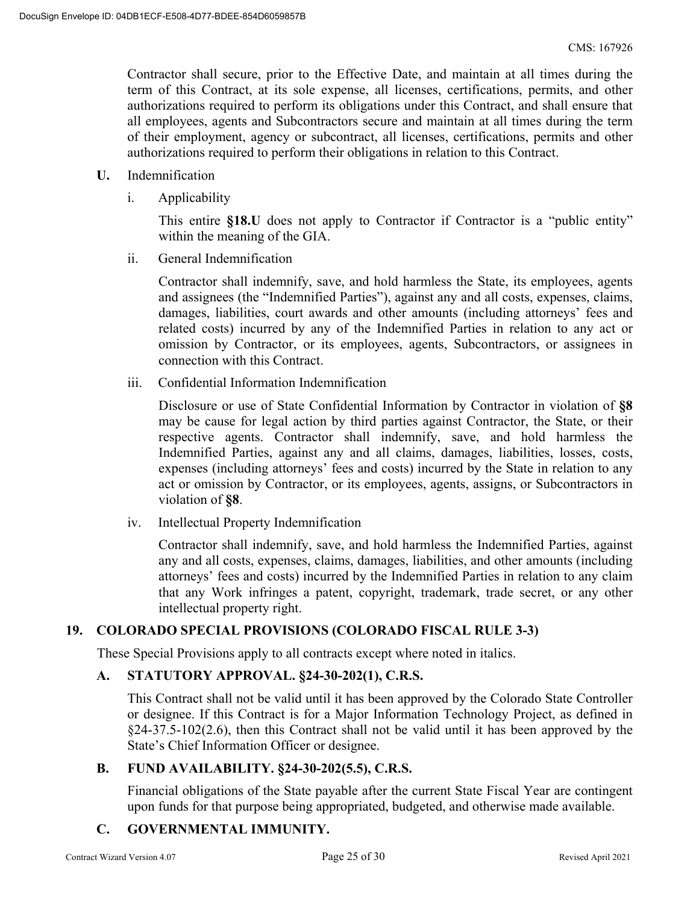Contractor shall secure, prior to the Effective Date, and maintain at all times during the term of this Contract, at its sole expense, all licenses, certifications, permits, and other authorizations required to perform its obligations under this Contract, and shall ensure that all employees, agents and Subcontractors secure and maintain at all times during the term of their employment, agency or subcontract, all licenses, certifications, permits and other authorizations required to perform their obligations in relation to this Contract.

- **U.** Indemnification
	- i. Applicability

This entire **§18.U** does not apply to Contractor if Contractor is a "public entity" within the meaning of the GIA.

ii. General Indemnification

Contractor shall indemnify, save, and hold harmless the State, its employees, agents and assignees (the "Indemnified Parties"), against any and all costs, expenses, claims, damages, liabilities, court awards and other amounts (including attorneys' fees and related costs) incurred by any of the Indemnified Parties in relation to any act or omission by Contractor, or its employees, agents, Subcontractors, or assignees in connection with this Contract.

iii. Confidential Information Indemnification

Disclosure or use of State Confidential Information by Contractor in violation of **§8** may be cause for legal action by third parties against Contractor, the State, or their respective agents. Contractor shall indemnify, save, and hold harmless the Indemnified Parties, against any and all claims, damages, liabilities, losses, costs, expenses (including attorneys' fees and costs) incurred by the State in relation to any act or omission by Contractor, or its employees, agents, assigns, or Subcontractors in violation of **§8**.

iv. Intellectual Property Indemnification

Contractor shall indemnify, save, and hold harmless the Indemnified Parties, against any and all costs, expenses, claims, damages, liabilities, and other amounts (including attorneys' fees and costs) incurred by the Indemnified Parties in relation to any claim that any Work infringes a patent, copyright, trademark, trade secret, or any other intellectual property right.

#### **19. COLORADO SPECIAL PROVISIONS (COLORADO FISCAL RULE 3-3)**

These Special Provisions apply to all contracts except where noted in italics.

#### **A. STATUTORY APPROVAL. §24-30-202(1), C.R.S.**

This Contract shall not be valid until it has been approved by the Colorado State Controller or designee. If this Contract is for a Major Information Technology Project, as defined in §24-37.5-102(2.6), then this Contract shall not be valid until it has been approved by the State's Chief Information Officer or designee.

#### **B. FUND AVAILABILITY. §24-30-202(5.5), C.R.S.**

Financial obligations of the State payable after the current State Fiscal Year are contingent upon funds for that purpose being appropriated, budgeted, and otherwise made available.

### **C. GOVERNMENTAL IMMUNITY.**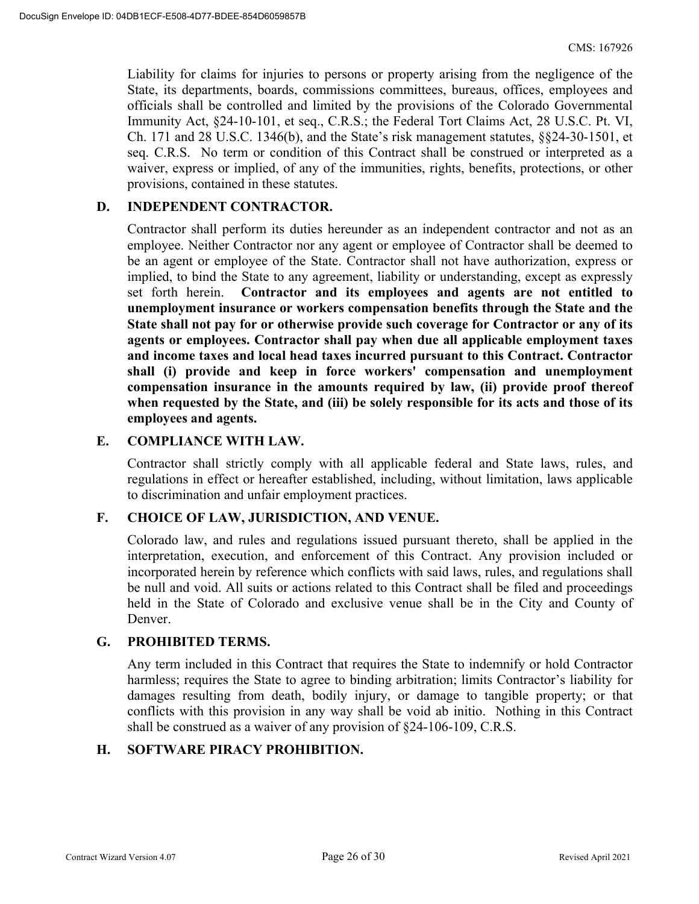Liability for claims for injuries to persons or property arising from the negligence of the State, its departments, boards, commissions committees, bureaus, offices, employees and officials shall be controlled and limited by the provisions of the Colorado Governmental Immunity Act, §24-10-101, et seq., C.R.S.; the Federal Tort Claims Act, 28 U.S.C. Pt. VI, Ch. 171 and 28 U.S.C. 1346(b), and the State's risk management statutes, §§24-30-1501, et seq. C.R.S. No term or condition of this Contract shall be construed or interpreted as a waiver, express or implied, of any of the immunities, rights, benefits, protections, or other provisions, contained in these statutes.

#### **D. INDEPENDENT CONTRACTOR.**

Contractor shall perform its duties hereunder as an independent contractor and not as an employee. Neither Contractor nor any agent or employee of Contractor shall be deemed to be an agent or employee of the State. Contractor shall not have authorization, express or implied, to bind the State to any agreement, liability or understanding, except as expressly set forth herein. **Contractor and its employees and agents are not entitled to unemployment insurance or workers compensation benefits through the State and the State shall not pay for or otherwise provide such coverage for Contractor or any of its agents or employees. Contractor shall pay when due all applicable employment taxes and income taxes and local head taxes incurred pursuant to this Contract. Contractor shall (i) provide and keep in force workers' compensation and unemployment compensation insurance in the amounts required by law, (ii) provide proof thereof when requested by the State, and (iii) be solely responsible for its acts and those of its employees and agents.** 

#### **E. COMPLIANCE WITH LAW.**

Contractor shall strictly comply with all applicable federal and State laws, rules, and regulations in effect or hereafter established, including, without limitation, laws applicable to discrimination and unfair employment practices.

#### **F. CHOICE OF LAW, JURISDICTION, AND VENUE.**

Colorado law, and rules and regulations issued pursuant thereto, shall be applied in the interpretation, execution, and enforcement of this Contract. Any provision included or incorporated herein by reference which conflicts with said laws, rules, and regulations shall be null and void. All suits or actions related to this Contract shall be filed and proceedings held in the State of Colorado and exclusive venue shall be in the City and County of Denver.

#### **G. PROHIBITED TERMS.**

Any term included in this Contract that requires the State to indemnify or hold Contractor harmless; requires the State to agree to binding arbitration; limits Contractor's liability for damages resulting from death, bodily injury, or damage to tangible property; or that conflicts with this provision in any way shall be void ab initio. Nothing in this Contract shall be construed as a waiver of any provision of §24-106-109, C.R.S.

#### **H. SOFTWARE PIRACY PROHIBITION.**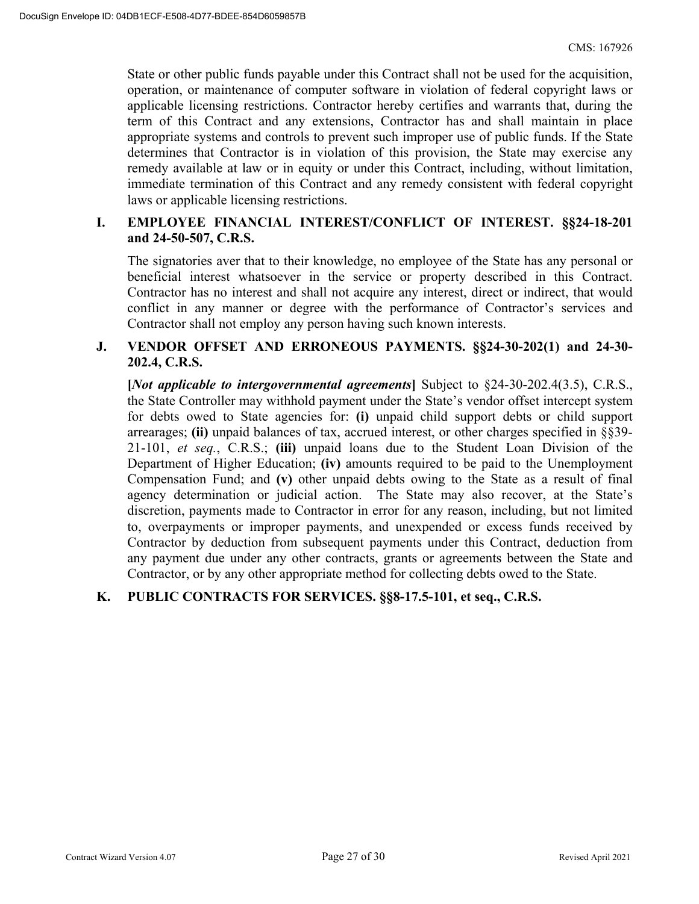State or other public funds payable under this Contract shall not be used for the acquisition, operation, or maintenance of computer software in violation of federal copyright laws or applicable licensing restrictions. Contractor hereby certifies and warrants that, during the term of this Contract and any extensions, Contractor has and shall maintain in place appropriate systems and controls to prevent such improper use of public funds. If the State determines that Contractor is in violation of this provision, the State may exercise any remedy available at law or in equity or under this Contract, including, without limitation, immediate termination of this Contract and any remedy consistent with federal copyright laws or applicable licensing restrictions.

#### **I. EMPLOYEE FINANCIAL INTEREST/CONFLICT OF INTEREST. §§24-18-201 and 24-50-507, C.R.S.**

The signatories aver that to their knowledge, no employee of the State has any personal or beneficial interest whatsoever in the service or property described in this Contract. Contractor has no interest and shall not acquire any interest, direct or indirect, that would conflict in any manner or degree with the performance of Contractor's services and Contractor shall not employ any person having such known interests.

#### **J. VENDOR OFFSET AND ERRONEOUS PAYMENTS. §§24-30-202(1) and 24-30- 202.4, C.R.S.**

**[***Not applicable to intergovernmental agreements***]** Subject to §24-30-202.4(3.5), C.R.S., the State Controller may withhold payment under the State's vendor offset intercept system for debts owed to State agencies for: **(i)** unpaid child support debts or child support arrearages; **(ii)** unpaid balances of tax, accrued interest, or other charges specified in §§39- 21-101, *et seq.*, C.R.S.; **(iii)** unpaid loans due to the Student Loan Division of the Department of Higher Education; **(iv)** amounts required to be paid to the Unemployment Compensation Fund; and **(v)** other unpaid debts owing to the State as a result of final agency determination or judicial action. The State may also recover, at the State's discretion, payments made to Contractor in error for any reason, including, but not limited to, overpayments or improper payments, and unexpended or excess funds received by Contractor by deduction from subsequent payments under this Contract, deduction from any payment due under any other contracts, grants or agreements between the State and Contractor, or by any other appropriate method for collecting debts owed to the State.

#### **K. PUBLIC CONTRACTS FOR SERVICES. §§8-17.5-101, et seq., C.R.S.**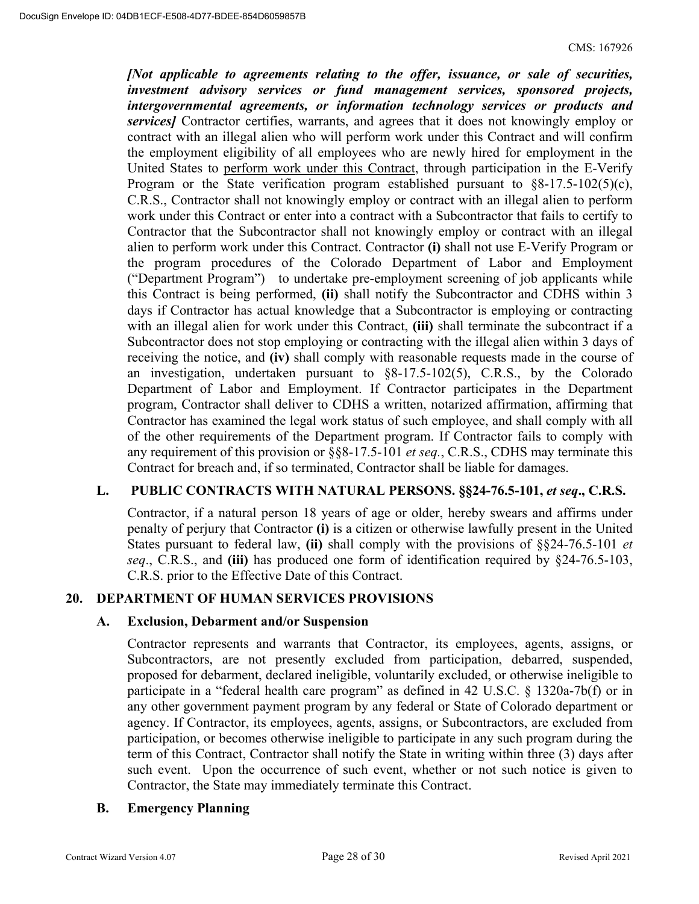*[Not applicable to agreements relating to the offer, issuance, or sale of securities, investment advisory services or fund management services, sponsored projects, intergovernmental agreements, or information technology services or products and services]* Contractor certifies, warrants, and agrees that it does not knowingly employ or contract with an illegal alien who will perform work under this Contract and will confirm the employment eligibility of all employees who are newly hired for employment in the United States to perform work under this Contract, through participation in the E-Verify Program or the State verification program established pursuant to  $\S 8-17.5-102(5)(c)$ , C.R.S., Contractor shall not knowingly employ or contract with an illegal alien to perform work under this Contract or enter into a contract with a Subcontractor that fails to certify to Contractor that the Subcontractor shall not knowingly employ or contract with an illegal alien to perform work under this Contract. Contractor **(i)** shall not use E-Verify Program or the program procedures of the Colorado Department of Labor and Employment ("Department Program") to undertake pre-employment screening of job applicants while this Contract is being performed, **(ii)** shall notify the Subcontractor and CDHS within 3 days if Contractor has actual knowledge that a Subcontractor is employing or contracting with an illegal alien for work under this Contract, **(iii)** shall terminate the subcontract if a Subcontractor does not stop employing or contracting with the illegal alien within 3 days of receiving the notice, and **(iv)** shall comply with reasonable requests made in the course of an investigation, undertaken pursuant to §8-17.5-102(5), C.R.S., by the Colorado Department of Labor and Employment. If Contractor participates in the Department program, Contractor shall deliver to CDHS a written, notarized affirmation, affirming that Contractor has examined the legal work status of such employee, and shall comply with all of the other requirements of the Department program. If Contractor fails to comply with any requirement of this provision or §§8-17.5-101 *et seq.*, C.R.S., CDHS may terminate this Contract for breach and, if so terminated, Contractor shall be liable for damages.

#### L. PUBLIC CONTRACTS WITH NATURAL PERSONS. §§24-76.5-101, *et seq.*, C.R.S.

Contractor, if a natural person 18 years of age or older, hereby swears and affirms under penalty of perjury that Contractor **(i)** is a citizen or otherwise lawfully present in the United States pursuant to federal law, **(ii)** shall comply with the provisions of §§24-76.5-101 *et seq*., C.R.S., and **(iii)** has produced one form of identification required by §24-76.5-103, C.R.S. prior to the Effective Date of this Contract.

#### **20. DEPARTMENT OF HUMAN SERVICES PROVISIONS**

#### **A. Exclusion, Debarment and/or Suspension**

Contractor represents and warrants that Contractor, its employees, agents, assigns, or Subcontractors, are not presently excluded from participation, debarred, suspended, proposed for debarment, declared ineligible, voluntarily excluded, or otherwise ineligible to participate in a "federal health care program" as defined in 42 U.S.C. § 1320a-7b(f) or in any other government payment program by any federal or State of Colorado department or agency. If Contractor, its employees, agents, assigns, or Subcontractors, are excluded from participation, or becomes otherwise ineligible to participate in any such program during the term of this Contract, Contractor shall notify the State in writing within three (3) days after such event. Upon the occurrence of such event, whether or not such notice is given to Contractor, the State may immediately terminate this Contract.

#### **B. Emergency Planning**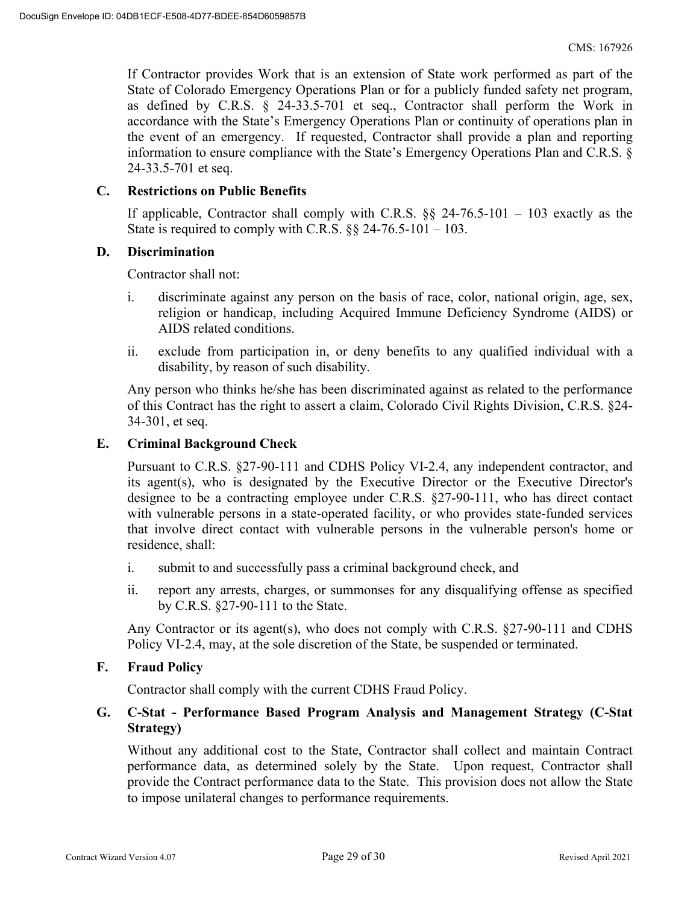If Contractor provides Work that is an extension of State work performed as part of the State of Colorado Emergency Operations Plan or for a publicly funded safety net program, as defined by C.R.S. § 24-33.5-701 et seq., Contractor shall perform the Work in accordance with the State's Emergency Operations Plan or continuity of operations plan in the event of an emergency. If requested, Contractor shall provide a plan and reporting information to ensure compliance with the State's Emergency Operations Plan and C.R.S. § 24-33.5-701 et seq.

#### **C. Restrictions on Public Benefits**

If applicable, Contractor shall comply with C.R.S.  $\S$ § 24-76.5-101 – 103 exactly as the State is required to comply with C.R.S.  $\S$ § 24-76.5-101 – 103.

#### **D. Discrimination**

Contractor shall not:

- i. discriminate against any person on the basis of race, color, national origin, age, sex, religion or handicap, including Acquired Immune Deficiency Syndrome (AIDS) or AIDS related conditions.
- ii. exclude from participation in, or deny benefits to any qualified individual with a disability, by reason of such disability.

Any person who thinks he/she has been discriminated against as related to the performance of this Contract has the right to assert a claim, Colorado Civil Rights Division, C.R.S. §24- 34-301, et seq.

#### **E. Criminal Background Check**

Pursuant to C.R.S. §27-90-111 and CDHS Policy VI-2.4, any independent contractor, and its agent(s), who is designated by the Executive Director or the Executive Director's designee to be a contracting employee under C.R.S. §27-90-111, who has direct contact with vulnerable persons in a state-operated facility, or who provides state-funded services that involve direct contact with vulnerable persons in the vulnerable person's home or residence, shall:

- i. submit to and successfully pass a criminal background check, and
- ii. report any arrests, charges, or summonses for any disqualifying offense as specified by C.R.S. §27-90-111 to the State.

Any Contractor or its agent(s), who does not comply with C.R.S. §27-90-111 and CDHS Policy VI-2.4, may, at the sole discretion of the State, be suspended or terminated.

#### **F. Fraud Policy**

Contractor shall comply with the current CDHS Fraud Policy.

#### **G. C-Stat - Performance Based Program Analysis and Management Strategy (C-Stat Strategy)**

Without any additional cost to the State, Contractor shall collect and maintain Contract performance data, as determined solely by the State. Upon request, Contractor shall provide the Contract performance data to the State. This provision does not allow the State to impose unilateral changes to performance requirements.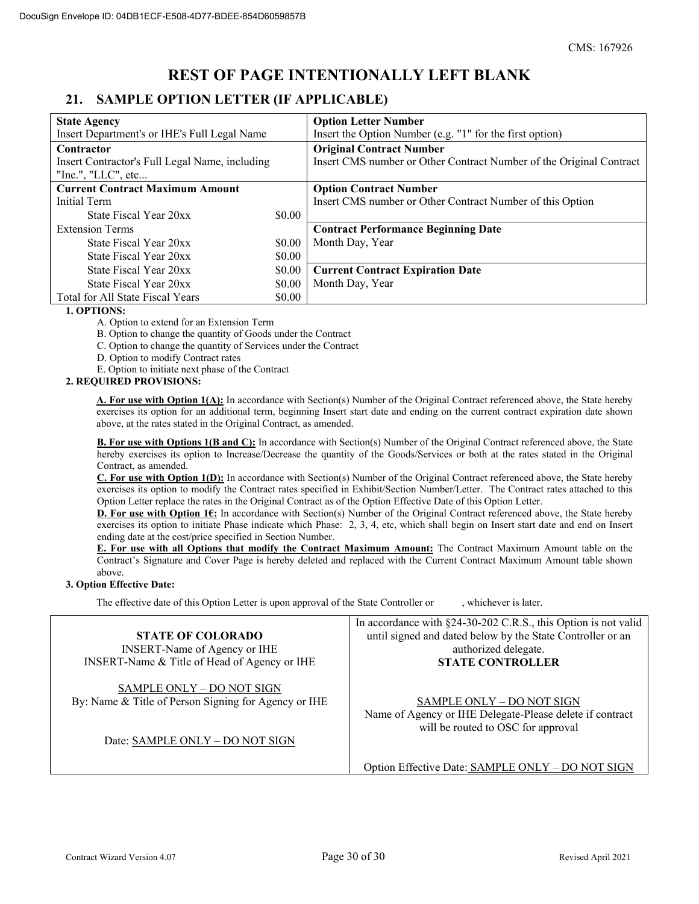# **REST OF PAGE INTENTIONALLY LEFT BLANK**

### **21. SAMPLE OPTION LETTER (IF APPLICABLE)**

| <b>State Agency</b>                            |        | <b>Option Letter Number</b>                                         |
|------------------------------------------------|--------|---------------------------------------------------------------------|
| Insert Department's or IHE's Full Legal Name   |        | Insert the Option Number (e.g. "1" for the first option)            |
| Contractor                                     |        | <b>Original Contract Number</b>                                     |
| Insert Contractor's Full Legal Name, including |        | Insert CMS number or Other Contract Number of the Original Contract |
| "Inc.", " $LLC$ ", etc                         |        |                                                                     |
| <b>Current Contract Maximum Amount</b>         |        | <b>Option Contract Number</b>                                       |
| <b>Initial Term</b>                            |        | Insert CMS number or Other Contract Number of this Option           |
| State Fiscal Year 20xx                         | \$0.00 |                                                                     |
| <b>Extension Terms</b>                         |        | <b>Contract Performance Beginning Date</b>                          |
| State Fiscal Year 20xx                         | \$0.00 | Month Day, Year                                                     |
| State Fiscal Year 20xx                         | \$0.00 |                                                                     |
| State Fiscal Year 20xx                         | \$0.00 | <b>Current Contract Expiration Date</b>                             |
| State Fiscal Year 20xx                         | \$0.00 | Month Day, Year                                                     |
| Total for All State Fiscal Years               | \$0.00 |                                                                     |

#### **1. OPTIONS:**

A. Option to extend for an Extension Term

B. Option to change the quantity of Goods under the Contract

C. Option to change the quantity of Services under the Contract

D. Option to modify Contract rates

E. Option to initiate next phase of the Contract

#### **2. REQUIRED PROVISIONS:**

**A. For use with Option 1(A):** In accordance with Section(s) Number of the Original Contract referenced above, the State hereby exercises its option for an additional term, beginning Insert start date and ending on the current contract expiration date shown above, at the rates stated in the Original Contract, as amended.

**B. For use with Options 1(B and C):** In accordance with Section(s) Number of the Original Contract referenced above, the State hereby exercises its option to Increase/Decrease the quantity of the Goods/Services or both at the rates stated in the Original Contract, as amended.

**C. For use with Option 1(D):** In accordance with Section(s) Number of the Original Contract referenced above, the State hereby exercises its option to modify the Contract rates specified in Exhibit/Section Number/Letter. The Contract rates attached to this Option Letter replace the rates in the Original Contract as of the Option Effective Date of this Option Letter.

**D. For use with Option 16:** In accordance with Section(s) Number of the Original Contract referenced above, the State hereby exercises its option to initiate Phase indicate which Phase: 2, 3, 4, etc, which shall begin on Insert start date and end on Insert ending date at the cost/price specified in Section Number.

**E. For use with all Options that modify the Contract Maximum Amount:** The Contract Maximum Amount table on the Contract's Signature and Cover Page is hereby deleted and replaced with the Current Contract Maximum Amount table shown above.

#### **3. Option Effective Date:**

The effective date of this Option Letter is upon approval of the State Controller or , whichever is later.

|                                                                                   | In accordance with §24-30-202 C.R.S., this Option is not valid                                                                     |
|-----------------------------------------------------------------------------------|------------------------------------------------------------------------------------------------------------------------------------|
| <b>STATE OF COLORADO</b>                                                          | until signed and dated below by the State Controller or an                                                                         |
| <b>INSERT-Name of Agency or IHE</b>                                               | authorized delegate.                                                                                                               |
| INSERT-Name & Title of Head of Agency or IHE                                      | <b>STATE CONTROLLER</b>                                                                                                            |
| SAMPLE ONLY - DO NOT SIGN<br>By: Name & Title of Person Signing for Agency or IHE | <b>SAMPLE ONLY - DO NOT SIGN</b><br>Name of Agency or IHE Delegate-Please delete if contract<br>will be routed to OSC for approval |
| Date: SAMPLE ONLY - DO NOT SIGN                                                   |                                                                                                                                    |

Option Effective Date: SAMPLE ONLY – DO NOT SIGN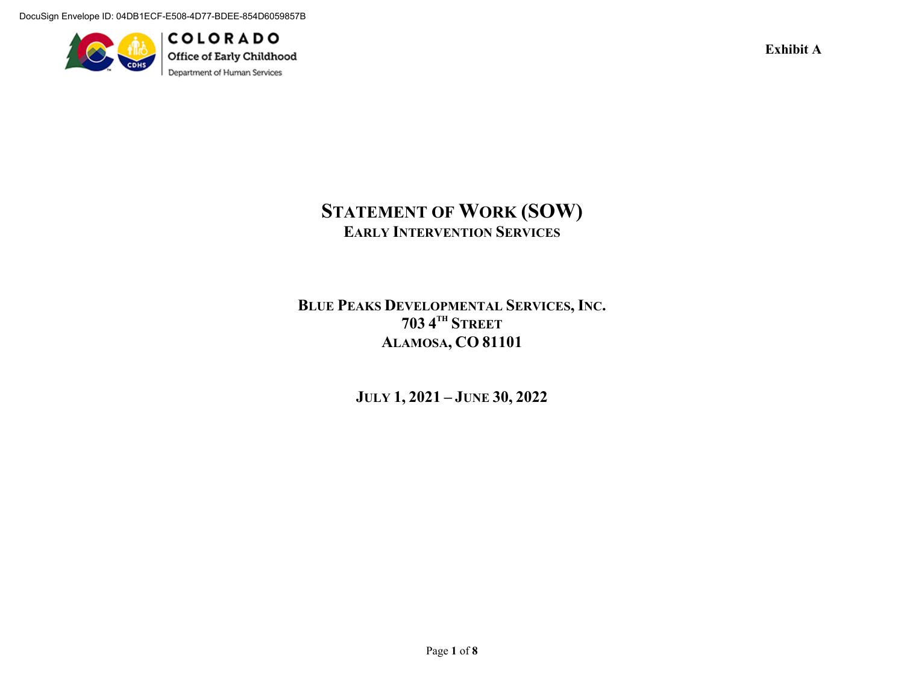DocuSign Envelope ID: 04DB1ECF-E508-4D77-BDEE-854D6059857B



**COLORADO** Office of Early Childhood Department of Human Services

**Exhibit A** 

# **STATEMENT OF WORK (SOW) EARLY INTERVENTION SERVICES**

# **BLUE PEAKS DEVELOPMENTAL SERVICES, INC. 703 4TH STREETALAMOSA, CO 81101**

**JULY 1, 2021 – JUNE 30, 2022** 

Page **1** of **8**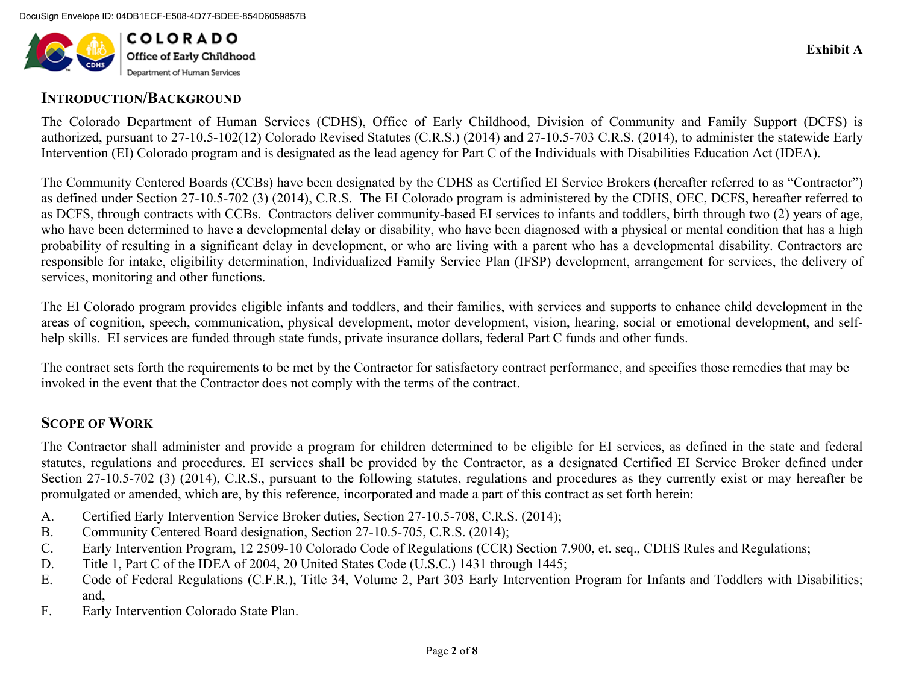

### **INTRODUCTION/BACKGROUND**

The Colorado Department of Human Services (CDHS), Office of Early Childhood, Division of Community and Family Support (DCFS) is authorized, pursuant to 27-10.5-102(12) Colorado Revised Statutes (C.R.S.) (2014) and 27-10.5-703 C.R.S. (2014), to administer the statewide Early Intervention (EI) Colorado program and is designated as the lead agency for Part C of the Individuals with Disabilities Education Act (IDEA).

The Community Centered Boards (CCBs) have been designated by the CDHS as Certified EI Service Brokers (hereafter referred to as "Contractor") as defined under Section 27-10.5-702 (3) (2014), C.R.S. The EI Colorado program is administered by the CDHS, OEC, DCFS, hereafter referred to as DCFS, through contracts with CCBs. Contractors deliver community-based EI services to infants and toddlers, birth through two (2) years of age, who have been determined to have a developmental delay or disability, who have been diagnosed with a physical or mental condition that has a high probability of resulting in a significant delay in development, or who are living with a parent who has a developmental disability. Contractors are responsible for intake, eligibility determination, Individualized Family Service Plan (IFSP) development, arrangement for services, the delivery of services, monitoring and other functions.

The EI Colorado program provides eligible infants and toddlers, and their families, with services and supports to enhance child development in the areas of cognition, speech, communication, physical development, motor development, vision, hearing, social or emotional development, and selfhelp skills. EI services are funded through state funds, private insurance dollars, federal Part C funds and other funds.

The contract sets forth the requirements to be met by the Contractor for satisfactory contract performance, and specifies those remedies that may be invoked in the event that the Contractor does not comply with the terms of the contract.

# **SCOPE OF WORK**

The Contractor shall administer and provide a program for children determined to be eligible for EI services, as defined in the state and federal statutes, regulations and procedures. EI services shall be provided by the Contractor, as a designated Certified EI Service Broker defined under Section 27-10.5-702 (3) (2014), C.R.S., pursuant to the following statutes, regulations and procedures as they currently exist or may hereafter be promulgated or amended, which are, by this reference, incorporated and made a part of this contract as set forth herein:

- A.Certified Early Intervention Service Broker duties, Section 27-10.5-708, C.R.S. (2014);
- B.Community Centered Board designation, Section 27-10.5-705, C.R.S. (2014);
- C.Early Intervention Program, 12 2509-10 Colorado Code of Regulations (CCR) Section 7.900, et. seq., CDHS Rules and Regulations;
- D.Title 1, Part C of the IDEA of 2004, 20 United States Code (U.S.C.) 1431 through 1445;
- E. Code of Federal Regulations (C.F.R.), Title 34, Volume 2, Part 303 Early Intervention Program for Infants and Toddlers with Disabilities; and,
- F.Early Intervention Colorado State Plan.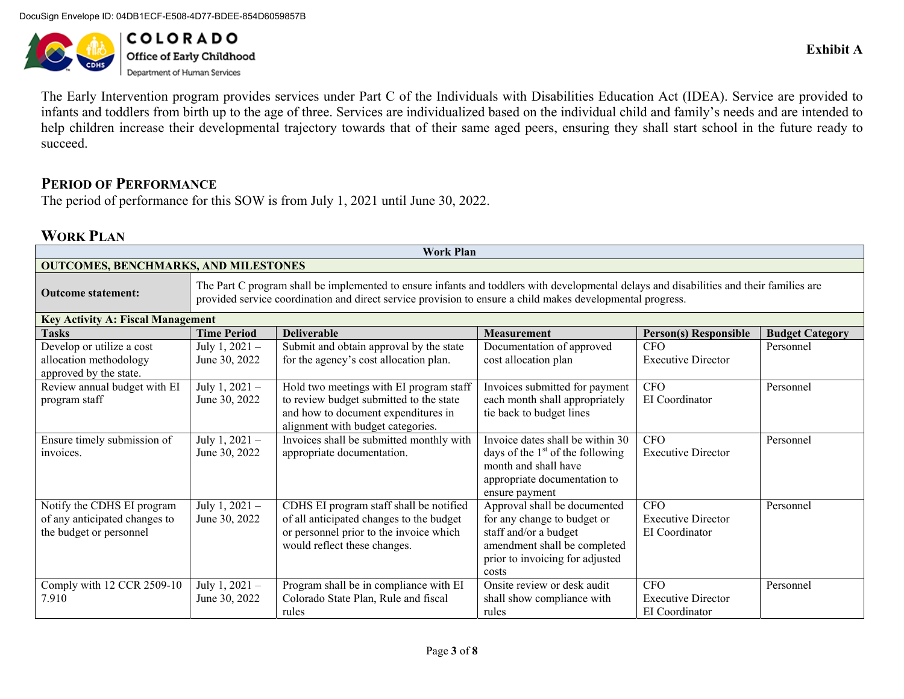DocuSign Envelope ID: 04DB1ECF-E508-4D77-BDEE-854D6059857B



**COLORADO Office of Early Childhood**<br>Department of Human Services

The Early Intervention program provides services under Part C of the Individuals with Disabilities Education Act (IDEA). Service are provided to infants and toddlers from birth up to the age of three. Services are individualized based on the individual child and family's needs and are intended to help children increase their developmental trajectory towards that of their same aged peers, ensuring they shall start school in the future ready to succeed.

### **PERIOD OF PERFORMANCE**

The period of performance for this SOW is from July 1, 2021 until June 30, 2022.

## **WORK PLAN**

|                                                                                        | <b>Work Plan</b>                                                                                                                                                                                                                                       |                                                                                                                                                                |                                                                                                                                                                  |                                                           |                        |  |  |  |
|----------------------------------------------------------------------------------------|--------------------------------------------------------------------------------------------------------------------------------------------------------------------------------------------------------------------------------------------------------|----------------------------------------------------------------------------------------------------------------------------------------------------------------|------------------------------------------------------------------------------------------------------------------------------------------------------------------|-----------------------------------------------------------|------------------------|--|--|--|
| <b>OUTCOMES, BENCHMARKS, AND MILESTONES</b>                                            |                                                                                                                                                                                                                                                        |                                                                                                                                                                |                                                                                                                                                                  |                                                           |                        |  |  |  |
| <b>Outcome statement:</b>                                                              | The Part C program shall be implemented to ensure infants and toddlers with developmental delays and disabilities and their families are<br>provided service coordination and direct service provision to ensure a child makes developmental progress. |                                                                                                                                                                |                                                                                                                                                                  |                                                           |                        |  |  |  |
| <b>Key Activity A: Fiscal Management</b>                                               |                                                                                                                                                                                                                                                        |                                                                                                                                                                |                                                                                                                                                                  |                                                           |                        |  |  |  |
| <b>Tasks</b>                                                                           | <b>Time Period</b>                                                                                                                                                                                                                                     | <b>Deliverable</b>                                                                                                                                             | <b>Measurement</b>                                                                                                                                               | <b>Person(s) Responsible</b>                              | <b>Budget Category</b> |  |  |  |
| Develop or utilize a cost<br>allocation methodology<br>approved by the state.          | July 1, $2021 -$<br>June 30, 2022                                                                                                                                                                                                                      | Submit and obtain approval by the state<br>for the agency's cost allocation plan.                                                                              | Documentation of approved<br>cost allocation plan                                                                                                                | <b>CFO</b><br><b>Executive Director</b>                   | Personnel              |  |  |  |
| Review annual budget with EI<br>program staff                                          | July 1, $2021 -$<br>June 30, 2022                                                                                                                                                                                                                      | Hold two meetings with EI program staff<br>to review budget submitted to the state<br>and how to document expenditures in<br>alignment with budget categories. | Invoices submitted for payment<br>each month shall appropriately<br>tie back to budget lines                                                                     | <b>CFO</b><br>EI Coordinator                              | Personnel              |  |  |  |
| Ensure timely submission of<br>invoices.                                               | July 1, $2021 -$<br>June 30, 2022                                                                                                                                                                                                                      | Invoices shall be submitted monthly with<br>appropriate documentation.                                                                                         | Invoice dates shall be within 30<br>days of the $1st$ of the following<br>month and shall have<br>appropriate documentation to<br>ensure payment                 | <b>CFO</b><br><b>Executive Director</b>                   | Personnel              |  |  |  |
| Notify the CDHS EI program<br>of any anticipated changes to<br>the budget or personnel | July 1, $2021 -$<br>June 30, 2022                                                                                                                                                                                                                      | CDHS EI program staff shall be notified<br>of all anticipated changes to the budget<br>or personnel prior to the invoice which<br>would reflect these changes. | Approval shall be documented<br>for any change to budget or<br>staff and/or a budget<br>amendment shall be completed<br>prior to invoicing for adjusted<br>costs | <b>CFO</b><br><b>Executive Director</b><br>EI Coordinator | Personnel              |  |  |  |
| Comply with 12 CCR 2509-10<br>7.910                                                    | July 1, $2021 -$<br>June 30, 2022                                                                                                                                                                                                                      | Program shall be in compliance with EI<br>Colorado State Plan, Rule and fiscal<br>rules                                                                        | Onsite review or desk audit<br>shall show compliance with<br>rules                                                                                               | <b>CFO</b><br><b>Executive Director</b><br>EI Coordinator | Personnel              |  |  |  |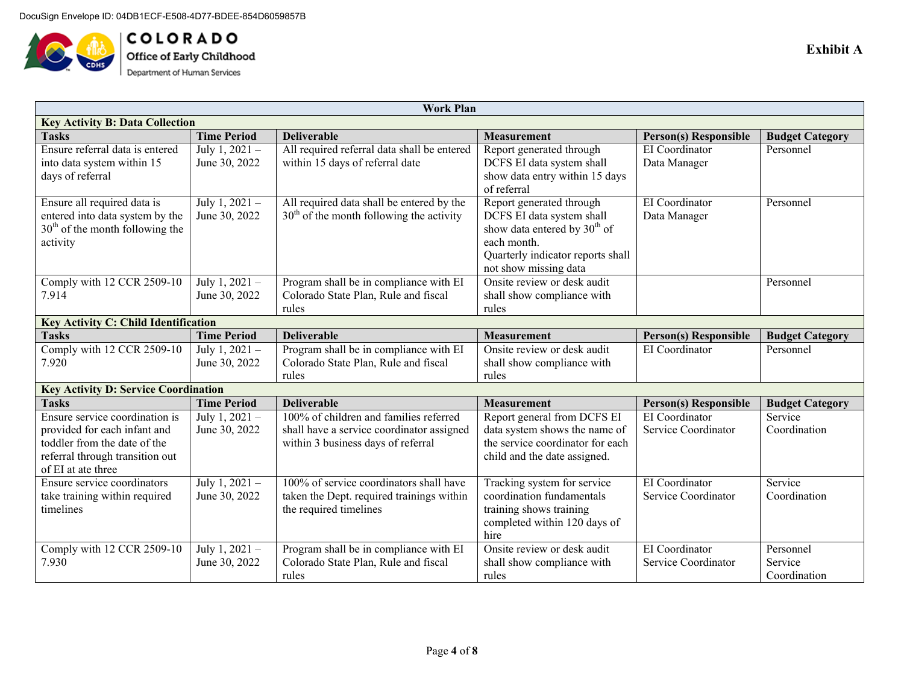

**COLORADO**<br>Office of Early Childhood<br>Department of Human Services

|                                             | <b>Work Plan</b>   |                                             |                                          |                              |                        |  |
|---------------------------------------------|--------------------|---------------------------------------------|------------------------------------------|------------------------------|------------------------|--|
| <b>Key Activity B: Data Collection</b>      |                    |                                             |                                          |                              |                        |  |
| <b>Tasks</b>                                | <b>Time Period</b> | <b>Deliverable</b>                          | Measurement                              | <b>Person(s) Responsible</b> | <b>Budget Category</b> |  |
| Ensure referral data is entered             | July 1, $2021 -$   | All required referral data shall be entered | Report generated through                 | EI Coordinator               | Personnel              |  |
| into data system within 15                  | June 30, 2022      | within 15 days of referral date             | DCFS EI data system shall                | Data Manager                 |                        |  |
| days of referral                            |                    |                                             | show data entry within 15 days           |                              |                        |  |
|                                             |                    |                                             | of referral                              |                              |                        |  |
| Ensure all required data is                 | July 1, $2021 -$   | All required data shall be entered by the   | Report generated through                 | EI Coordinator               | Personnel              |  |
| entered into data system by the             | June 30, 2022      | $30th$ of the month following the activity  | DCFS EI data system shall                | Data Manager                 |                        |  |
| $30th$ of the month following the           |                    |                                             | show data entered by 30 <sup>th</sup> of |                              |                        |  |
| activity                                    |                    |                                             | each month.                              |                              |                        |  |
|                                             |                    |                                             | Quarterly indicator reports shall        |                              |                        |  |
|                                             |                    |                                             | not show missing data                    |                              |                        |  |
| Comply with 12 CCR 2509-10                  | July 1, 2021 -     | Program shall be in compliance with EI      | Onsite review or desk audit              |                              | Personnel              |  |
| 7.914                                       | June 30, 2022      | Colorado State Plan, Rule and fiscal        | shall show compliance with               |                              |                        |  |
|                                             |                    | rules                                       | rules                                    |                              |                        |  |
| <b>Key Activity C: Child Identification</b> |                    |                                             |                                          |                              |                        |  |
| <b>Tasks</b>                                | <b>Time Period</b> | <b>Deliverable</b>                          | <b>Measurement</b>                       | <b>Person(s) Responsible</b> | <b>Budget Category</b> |  |
| Comply with 12 CCR 2509-10                  | July 1, $2021 -$   | Program shall be in compliance with EI      | Onsite review or desk audit              | EI Coordinator               | Personnel              |  |
| 7.920                                       | June 30, 2022      | Colorado State Plan, Rule and fiscal        | shall show compliance with               |                              |                        |  |
|                                             |                    | rules                                       | rules                                    |                              |                        |  |
| <b>Key Activity D: Service Coordination</b> |                    |                                             |                                          |                              |                        |  |
| <b>Tasks</b>                                | <b>Time Period</b> | <b>Deliverable</b>                          | <b>Measurement</b>                       | <b>Person(s) Responsible</b> | <b>Budget Category</b> |  |
| Ensure service coordination is              | July 1, 2021 -     | 100% of children and families referred      | Report general from DCFS EI              | EI Coordinator               | Service                |  |
| provided for each infant and                | June 30, 2022      | shall have a service coordinator assigned   | data system shows the name of            | Service Coordinator          | Coordination           |  |
| toddler from the date of the                |                    | within 3 business days of referral          | the service coordinator for each         |                              |                        |  |
| referral through transition out             |                    |                                             | child and the date assigned.             |                              |                        |  |
| of EI at ate three                          |                    |                                             |                                          |                              |                        |  |
| Ensure service coordinators                 | July 1, $2021 -$   | 100% of service coordinators shall have     | Tracking system for service              | EI Coordinator               | Service                |  |
| take training within required               | June 30, 2022      | taken the Dept. required trainings within   | coordination fundamentals                | Service Coordinator          | Coordination           |  |
| timelines                                   |                    | the required timelines                      | training shows training                  |                              |                        |  |
|                                             |                    |                                             | completed within 120 days of             |                              |                        |  |
|                                             |                    |                                             | hire                                     |                              |                        |  |
| Comply with 12 CCR 2509-10                  | July 1, 2021 -     | Program shall be in compliance with EI      | Onsite review or desk audit              | EI Coordinator               | Personnel              |  |
| 7.930                                       | June 30, 2022      | Colorado State Plan, Rule and fiscal        | shall show compliance with               | Service Coordinator          | Service                |  |
|                                             |                    | rules                                       | rules                                    |                              | Coordination           |  |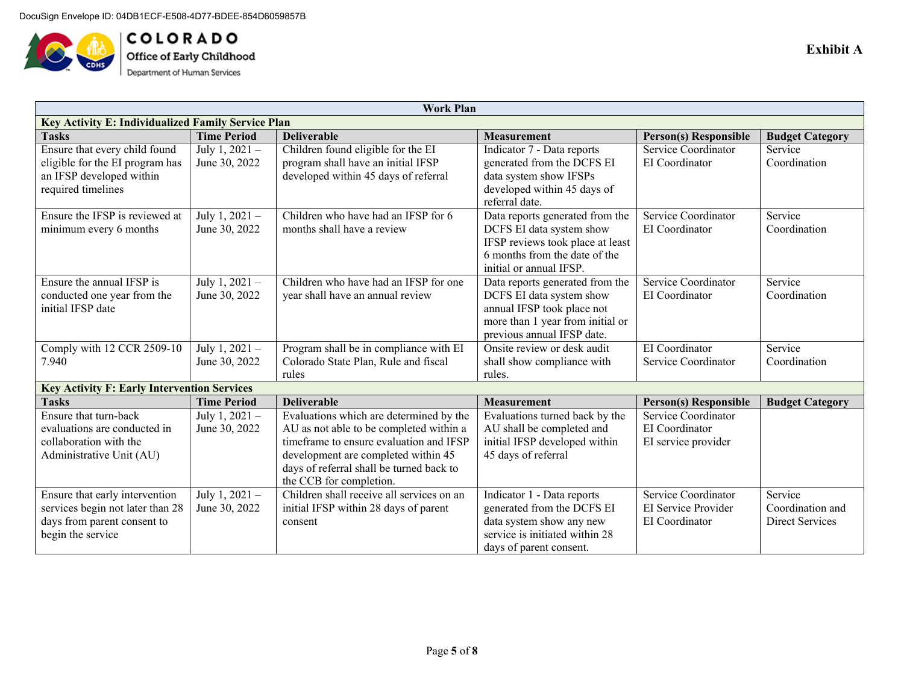

 $\begin{array}{l} \textbf{C O L O R A D O} \\ \textbf{Office of Early Childhood} \end{array}$ Department of Human Services

| <b>Work Plan</b>                                                   |                                                    |                                                                                    |                                                            |                                                     |                        |  |  |  |
|--------------------------------------------------------------------|----------------------------------------------------|------------------------------------------------------------------------------------|------------------------------------------------------------|-----------------------------------------------------|------------------------|--|--|--|
|                                                                    | Key Activity E: Individualized Family Service Plan |                                                                                    |                                                            |                                                     |                        |  |  |  |
| <b>Tasks</b>                                                       | <b>Time Period</b>                                 | <b>Deliverable</b>                                                                 | <b>Measurement</b>                                         | <b>Person(s) Responsible</b>                        | <b>Budget Category</b> |  |  |  |
| Ensure that every child found                                      | July 1, 2021 -                                     | Children found eligible for the EI                                                 | Indicator 7 - Data reports                                 | Service Coordinator                                 | Service                |  |  |  |
| eligible for the EI program has                                    | June 30, 2022                                      | program shall have an initial IFSP                                                 | generated from the DCFS EI                                 | EI Coordinator                                      | Coordination           |  |  |  |
| an IFSP developed within                                           |                                                    | developed within 45 days of referral                                               | data system show IFSPs                                     |                                                     |                        |  |  |  |
| required timelines                                                 |                                                    |                                                                                    | developed within 45 days of                                |                                                     |                        |  |  |  |
|                                                                    |                                                    |                                                                                    | referral date.                                             |                                                     |                        |  |  |  |
| Ensure the IFSP is reviewed at                                     | July 1, 2021 -                                     | Children who have had an IFSP for 6                                                | Data reports generated from the                            | Service Coordinator                                 | Service                |  |  |  |
| minimum every 6 months                                             | June 30, 2022                                      | months shall have a review                                                         | DCFS EI data system show                                   | EI Coordinator                                      | Coordination           |  |  |  |
|                                                                    |                                                    |                                                                                    | IFSP reviews took place at least                           |                                                     |                        |  |  |  |
|                                                                    |                                                    |                                                                                    | 6 months from the date of the                              |                                                     |                        |  |  |  |
|                                                                    |                                                    |                                                                                    | initial or annual IFSP.                                    |                                                     |                        |  |  |  |
| Ensure the annual IFSP is                                          | $\overline{\text{July 1, 2021}}$ –                 | Children who have had an IFSP for one                                              | Data reports generated from the                            | Service Coordinator                                 | Service                |  |  |  |
| conducted one year from the                                        | June 30, 2022                                      | year shall have an annual review                                                   | DCFS EI data system show                                   | EI Coordinator                                      | Coordination           |  |  |  |
| initial IFSP date                                                  |                                                    |                                                                                    | annual IFSP took place not                                 |                                                     |                        |  |  |  |
|                                                                    |                                                    |                                                                                    | more than 1 year from initial or                           |                                                     |                        |  |  |  |
|                                                                    |                                                    |                                                                                    | previous annual IFSP date.                                 |                                                     |                        |  |  |  |
| Comply with 12 CCR 2509-10                                         | July 1, 2021 -                                     | Program shall be in compliance with EI                                             | Onsite review or desk audit                                | EI Coordinator                                      | Service                |  |  |  |
| 7.940                                                              | June 30, 2022                                      | Colorado State Plan, Rule and fiscal                                               | shall show compliance with                                 | Service Coordinator                                 | Coordination           |  |  |  |
|                                                                    |                                                    | rules                                                                              | rules.                                                     |                                                     |                        |  |  |  |
| <b>Key Activity F: Early Intervention Services</b><br><b>Tasks</b> | <b>Time Period</b>                                 | <b>Deliverable</b>                                                                 | <b>Measurement</b>                                         |                                                     |                        |  |  |  |
| Ensure that turn-back                                              |                                                    |                                                                                    |                                                            | <b>Person(s) Responsible</b><br>Service Coordinator | <b>Budget Category</b> |  |  |  |
|                                                                    | July 1, 2021 -                                     | Evaluations which are determined by the                                            | Evaluations turned back by the                             | EI Coordinator                                      |                        |  |  |  |
| evaluations are conducted in<br>collaboration with the             | June 30, 2022                                      | AU as not able to be completed within a<br>timeframe to ensure evaluation and IFSP | AU shall be completed and<br>initial IFSP developed within |                                                     |                        |  |  |  |
| Administrative Unit (AU)                                           |                                                    | development are completed within 45                                                | 45 days of referral                                        | EI service provider                                 |                        |  |  |  |
|                                                                    |                                                    | days of referral shall be turned back to                                           |                                                            |                                                     |                        |  |  |  |
|                                                                    |                                                    | the CCB for completion.                                                            |                                                            |                                                     |                        |  |  |  |
| Ensure that early intervention                                     | July 1, 2021 -                                     | Children shall receive all services on an                                          | Indicator 1 - Data reports                                 | Service Coordinator                                 | Service                |  |  |  |
| services begin not later than 28                                   | June 30, 2022                                      | initial IFSP within 28 days of parent                                              | generated from the DCFS EI                                 | EI Service Provider                                 | Coordination and       |  |  |  |
| days from parent consent to                                        |                                                    | consent                                                                            | data system show any new                                   | EI Coordinator                                      | Direct Services        |  |  |  |
| begin the service                                                  |                                                    |                                                                                    | service is initiated within 28                             |                                                     |                        |  |  |  |
|                                                                    |                                                    |                                                                                    | days of parent consent.                                    |                                                     |                        |  |  |  |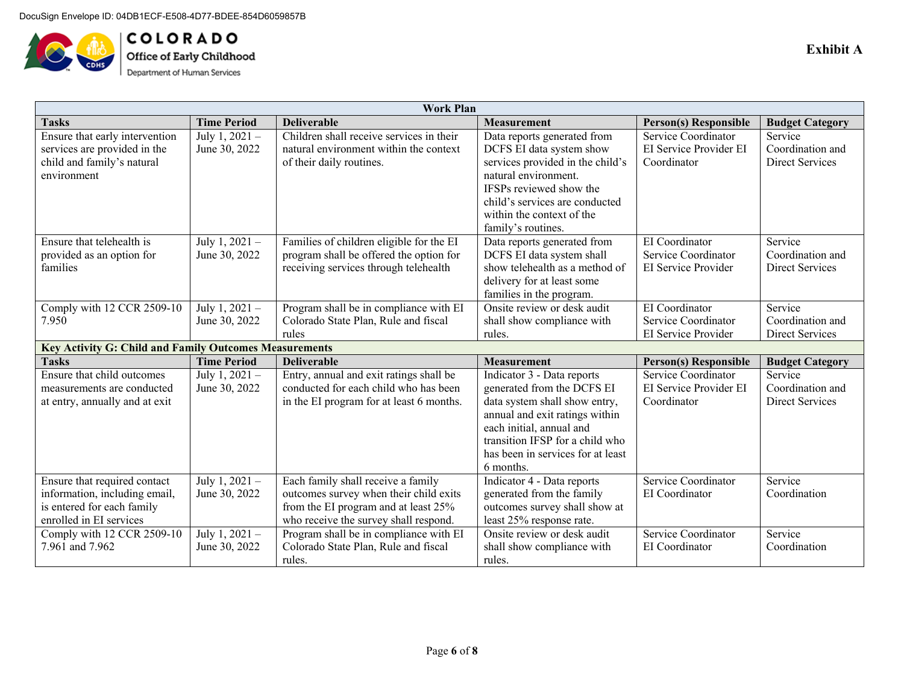

COLORADO Office of Early Childhood Department of Human Services

|                                                               |                    | <b>Work Plan</b>                         |                                   |                              |                        |
|---------------------------------------------------------------|--------------------|------------------------------------------|-----------------------------------|------------------------------|------------------------|
| <b>Tasks</b>                                                  | <b>Time Period</b> | <b>Deliverable</b>                       | <b>Measurement</b>                | <b>Person(s) Responsible</b> | <b>Budget Category</b> |
| Ensure that early intervention                                | July 1, 2021 -     | Children shall receive services in their | Data reports generated from       | Service Coordinator          | Service                |
| services are provided in the                                  | June 30, 2022      | natural environment within the context   | DCFS EI data system show          | EI Service Provider EI       | Coordination and       |
| child and family's natural                                    |                    | of their daily routines.                 | services provided in the child's  | Coordinator                  | Direct Services        |
| environment                                                   |                    |                                          | natural environment.              |                              |                        |
|                                                               |                    |                                          | IFSPs reviewed show the           |                              |                        |
|                                                               |                    |                                          | child's services are conducted    |                              |                        |
|                                                               |                    |                                          | within the context of the         |                              |                        |
|                                                               |                    |                                          | family's routines.                |                              |                        |
| Ensure that telehealth is                                     | July 1, 2021 $-$   | Families of children eligible for the EI | Data reports generated from       | EI Coordinator               | Service                |
| provided as an option for                                     | June 30, 2022      | program shall be offered the option for  | DCFS EI data system shall         | Service Coordinator          | Coordination and       |
| families                                                      |                    | receiving services through telehealth    | show telehealth as a method of    | EI Service Provider          | <b>Direct Services</b> |
|                                                               |                    |                                          | delivery for at least some        |                              |                        |
|                                                               |                    |                                          | families in the program.          |                              |                        |
| Comply with 12 CCR 2509-10                                    | July 1, $2021 -$   | Program shall be in compliance with EI   | Onsite review or desk audit       | EI Coordinator               | Service                |
| 7.950                                                         | June 30, 2022      | Colorado State Plan, Rule and fiscal     | shall show compliance with        | Service Coordinator          | Coordination and       |
|                                                               |                    | rules                                    | rules.                            | EI Service Provider          | <b>Direct Services</b> |
| <b>Key Activity G: Child and Family Outcomes Measurements</b> |                    |                                          |                                   |                              |                        |
| <b>Tasks</b>                                                  | <b>Time Period</b> | <b>Deliverable</b>                       | <b>Measurement</b>                | <b>Person(s) Responsible</b> | <b>Budget Category</b> |
| Ensure that child outcomes                                    | July 1, $2021 -$   | Entry, annual and exit ratings shall be  | Indicator 3 - Data reports        | Service Coordinator          | Service                |
| measurements are conducted                                    | June 30, 2022      | conducted for each child who has been    | generated from the DCFS EI        | EI Service Provider EI       | Coordination and       |
| at entry, annually and at exit                                |                    | in the EI program for at least 6 months. | data system shall show entry,     | Coordinator                  | <b>Direct Services</b> |
|                                                               |                    |                                          | annual and exit ratings within    |                              |                        |
|                                                               |                    |                                          | each initial, annual and          |                              |                        |
|                                                               |                    |                                          | transition IFSP for a child who   |                              |                        |
|                                                               |                    |                                          | has been in services for at least |                              |                        |
|                                                               |                    |                                          | 6 months.                         |                              |                        |
| Ensure that required contact                                  | July 1, $2021 -$   | Each family shall receive a family       | Indicator 4 - Data reports        | Service Coordinator          | Service                |
| information, including email,                                 | June 30, 2022      | outcomes survey when their child exits   | generated from the family         | EI Coordinator               | Coordination           |
| is entered for each family                                    |                    | from the EI program and at least 25%     | outcomes survey shall show at     |                              |                        |
| enrolled in EI services                                       |                    | who receive the survey shall respond.    | least 25% response rate.          |                              |                        |
| Comply with 12 CCR 2509-10                                    | July 1, 2021 -     | Program shall be in compliance with EI   | Onsite review or desk audit       | Service Coordinator          | Service                |
| 7.961 and 7.962                                               | June 30, 2022      | Colorado State Plan, Rule and fiscal     | shall show compliance with        | EI Coordinator               | Coordination           |
|                                                               |                    | rules.                                   | rules.                            |                              |                        |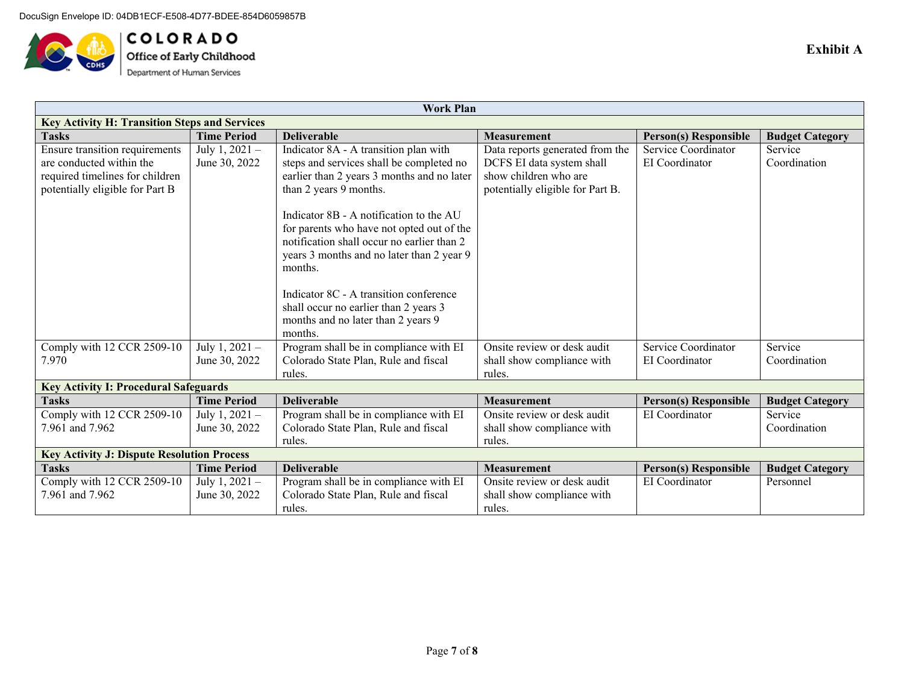

**COLORADO**<br>Office of Early Childhood<br>Department of Human Services

| <b>Work Plan</b>                                     |                    |                                            |                                  |                              |                        |  |  |
|------------------------------------------------------|--------------------|--------------------------------------------|----------------------------------|------------------------------|------------------------|--|--|
| <b>Key Activity H: Transition Steps and Services</b> |                    |                                            |                                  |                              |                        |  |  |
| <b>Tasks</b>                                         | <b>Time Period</b> | <b>Deliverable</b>                         | <b>Measurement</b>               | <b>Person(s) Responsible</b> | <b>Budget Category</b> |  |  |
| Ensure transition requirements                       | July 1, $2021 -$   | Indicator 8A - A transition plan with      | Data reports generated from the  | Service Coordinator          | Service                |  |  |
| are conducted within the                             | June 30, 2022      | steps and services shall be completed no   | DCFS EI data system shall        | EI Coordinator               | Coordination           |  |  |
| required timelines for children                      |                    | earlier than 2 years 3 months and no later | show children who are            |                              |                        |  |  |
| potentially eligible for Part B                      |                    | than 2 years 9 months.                     | potentially eligible for Part B. |                              |                        |  |  |
|                                                      |                    |                                            |                                  |                              |                        |  |  |
|                                                      |                    | Indicator 8B - A notification to the AU    |                                  |                              |                        |  |  |
|                                                      |                    | for parents who have not opted out of the  |                                  |                              |                        |  |  |
|                                                      |                    | notification shall occur no earlier than 2 |                                  |                              |                        |  |  |
|                                                      |                    | years 3 months and no later than 2 year 9  |                                  |                              |                        |  |  |
|                                                      |                    | months.                                    |                                  |                              |                        |  |  |
|                                                      |                    |                                            |                                  |                              |                        |  |  |
|                                                      |                    | Indicator 8C - A transition conference     |                                  |                              |                        |  |  |
|                                                      |                    | shall occur no earlier than 2 years 3      |                                  |                              |                        |  |  |
|                                                      |                    | months and no later than 2 years 9         |                                  |                              |                        |  |  |
|                                                      |                    | months.                                    |                                  |                              |                        |  |  |
| Comply with 12 CCR 2509-10                           | July 1, $2021 -$   | Program shall be in compliance with EI     | Onsite review or desk audit      | Service Coordinator          | Service                |  |  |
| 7.970                                                | June 30, 2022      | Colorado State Plan, Rule and fiscal       | shall show compliance with       | EI Coordinator               | Coordination           |  |  |
|                                                      |                    | rules.                                     | rules.                           |                              |                        |  |  |
| <b>Key Activity I: Procedural Safeguards</b>         |                    |                                            |                                  |                              |                        |  |  |
| <b>Tasks</b>                                         | <b>Time Period</b> | <b>Deliverable</b>                         | <b>Measurement</b>               | <b>Person(s) Responsible</b> | <b>Budget Category</b> |  |  |
| Comply with 12 CCR 2509-10                           | July 1, $2021 -$   | Program shall be in compliance with EI     | Onsite review or desk audit      | EI Coordinator               | Service                |  |  |
| 7.961 and 7.962                                      | June 30, 2022      | Colorado State Plan, Rule and fiscal       | shall show compliance with       |                              | Coordination           |  |  |
|                                                      |                    | rules.                                     | rules.                           |                              |                        |  |  |
| <b>Key Activity J: Dispute Resolution Process</b>    |                    |                                            |                                  |                              |                        |  |  |
| <b>Tasks</b>                                         | <b>Time Period</b> | <b>Deliverable</b>                         | <b>Measurement</b>               | <b>Person(s) Responsible</b> | <b>Budget Category</b> |  |  |
| Comply with 12 CCR 2509-10                           | July $1, 2021 -$   | Program shall be in compliance with EI     | Onsite review or desk audit      | EI Coordinator               | Personnel              |  |  |
| 7.961 and 7.962                                      | June 30, 2022      | Colorado State Plan, Rule and fiscal       | shall show compliance with       |                              |                        |  |  |
|                                                      |                    | rules.                                     | rules.                           |                              |                        |  |  |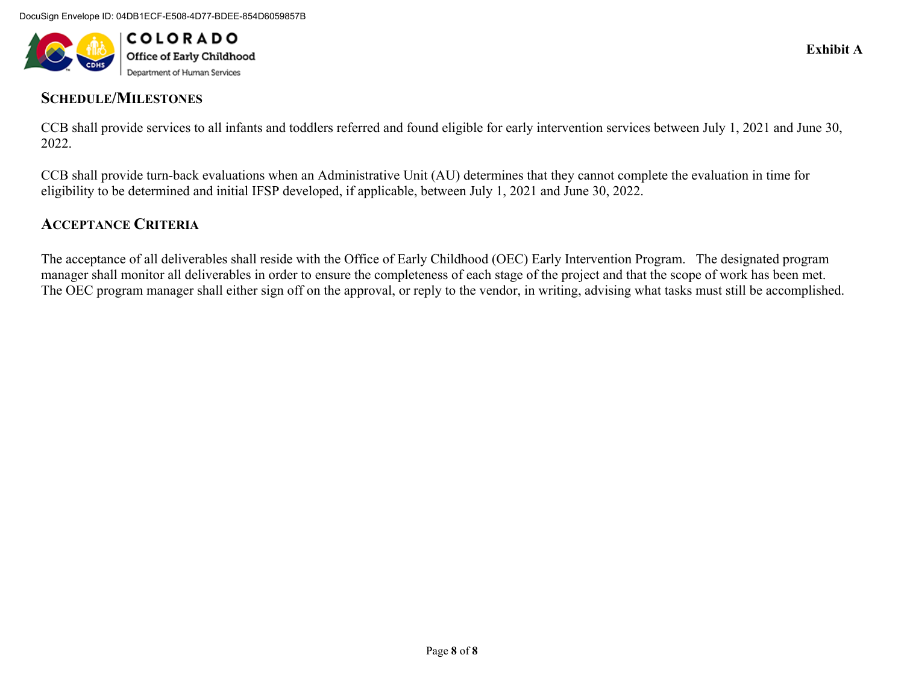

## **SCHEDULE/MILESTONES**

CCB shall provide services to all infants and toddlers referred and found eligible for early intervention services between July 1, 2021 and June 30, 2022.

CCB shall provide turn-back evaluations when an Administrative Unit (AU) determines that they cannot complete the evaluation in time for eligibility to be determined and initial IFSP developed, if applicable, between July 1, 2021 and June 30, 2022.

## **ACCEPTANCE CRITERIA**

The acceptance of all deliverables shall reside with the Office of Early Childhood (OEC) Early Intervention Program. The designated program manager shall monitor all deliverables in order to ensure the completeness of each stage of the project and that the scope of work has been met. The OEC program manager shall either sign off on the approval, or reply to the vendor, in writing, advising what tasks must still be accomplished.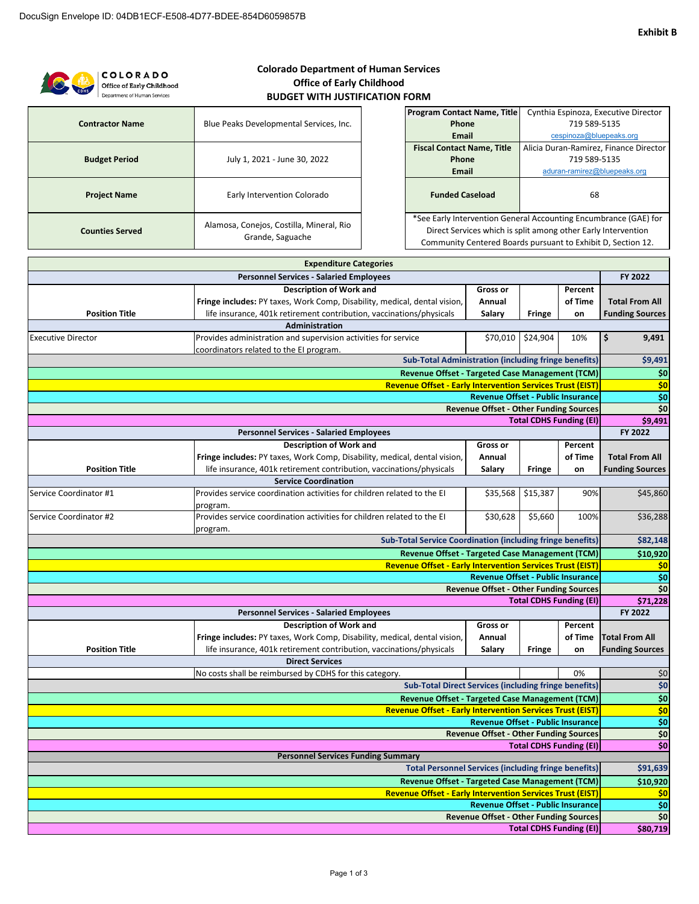**\$80,719**

**Total CDHS Funding (EI)**

| <b>Colorado Department of Human Services</b><br><b>COLORADO</b><br><b>Office of Early Childhood</b><br>Office of Early Childhood |                                                                           |                                                                  |                                                              |                         |              |                                        |  |  |
|----------------------------------------------------------------------------------------------------------------------------------|---------------------------------------------------------------------------|------------------------------------------------------------------|--------------------------------------------------------------|-------------------------|--------------|----------------------------------------|--|--|
| Department of Human Services                                                                                                     | <b>BUDGET WITH JUSTIFICATION FORM</b>                                     |                                                                  |                                                              |                         |              |                                        |  |  |
|                                                                                                                                  |                                                                           | <b>Program Contact Name, Title</b>                               |                                                              |                         |              | Cynthia Espinoza, Executive Director   |  |  |
| <b>Contractor Name</b>                                                                                                           | Blue Peaks Developmental Services, Inc.                                   | Phone                                                            |                                                              |                         | 719 589-5135 |                                        |  |  |
|                                                                                                                                  |                                                                           | Email                                                            |                                                              | cespinoza@bluepeaks.org |              |                                        |  |  |
|                                                                                                                                  |                                                                           | <b>Fiscal Contact Name, Title</b>                                |                                                              |                         |              | Alicia Duran-Ramirez, Finance Director |  |  |
| <b>Budget Period</b>                                                                                                             | July 1, 2021 - June 30, 2022                                              | Phone                                                            |                                                              | 719 589-5135            |              |                                        |  |  |
|                                                                                                                                  |                                                                           | <b>Email</b>                                                     |                                                              |                         |              | aduran-ramirez@bluepeaks.org           |  |  |
| <b>Project Name</b>                                                                                                              | Early Intervention Colorado                                               |                                                                  | <b>Funded Caseload</b>                                       |                         |              | 68                                     |  |  |
|                                                                                                                                  | Alamosa, Conejos, Costilla, Mineral, Rio                                  | *See Early Intervention General Accounting Encumbrance (GAE) for |                                                              |                         |              |                                        |  |  |
| <b>Counties Served</b>                                                                                                           | Grande, Saguache                                                          | Direct Services which is split among other Early Intervention    |                                                              |                         |              |                                        |  |  |
|                                                                                                                                  |                                                                           |                                                                  | Community Centered Boards pursuant to Exhibit D, Section 12. |                         |              |                                        |  |  |
|                                                                                                                                  |                                                                           |                                                                  |                                                              |                         |              |                                        |  |  |
|                                                                                                                                  | <b>Expenditure Categories</b>                                             |                                                                  |                                                              |                         |              |                                        |  |  |
|                                                                                                                                  | <b>Personnel Services - Salaried Employees</b>                            |                                                                  |                                                              |                         |              | FY 2022                                |  |  |
|                                                                                                                                  | <b>Description of Work and</b>                                            |                                                                  | <b>Gross or</b>                                              |                         | Percent      |                                        |  |  |
|                                                                                                                                  | Fringe includes: PY taxes, Work Comp, Disability, medical, dental vision, |                                                                  |                                                              |                         | of Time      | <b>Total From All</b>                  |  |  |
| <b>Position Title</b>                                                                                                            | life insurance, 401k retirement contribution, vaccinations/physicals      |                                                                  |                                                              | <b>Fringe</b>           | on           | <b>Funding Sources</b>                 |  |  |
|                                                                                                                                  | <b>Administration</b>                                                     |                                                                  |                                                              |                         |              |                                        |  |  |
| <b>Executive Director</b>                                                                                                        | Provides administration and supervision activities for service            |                                                                  | \$70,010                                                     | \$24,904                | 10%          | \$<br>9,491                            |  |  |
|                                                                                                                                  |                                                                           |                                                                  |                                                              |                         |              |                                        |  |  |

| Executive Director                                                | Provides administration and supervision activities for service<br>coordinators related to the EI program. |                                               | \$70,010 \$24,904 | 10%                            | Ş<br>9,491                                            |
|-------------------------------------------------------------------|-----------------------------------------------------------------------------------------------------------|-----------------------------------------------|-------------------|--------------------------------|-------------------------------------------------------|
| <b>Sub-Total Administration (including fringe benefits)</b>       |                                                                                                           |                                               |                   |                                | \$9,491                                               |
| <b>Revenue Offset - Targeted Case Management (TCM)</b>            |                                                                                                           |                                               |                   |                                |                                                       |
| <b>Revenue Offset - Early Intervention Services Trust (EIST)</b>  |                                                                                                           |                                               |                   |                                |                                                       |
|                                                                   |                                                                                                           | <b>Revenue Offset - Public Insurance</b>      |                   |                                | $\frac{$0}{$0}$                                       |
|                                                                   |                                                                                                           | <b>Revenue Offset - Other Funding Sources</b> |                   |                                | $\overline{\phantom{0}}$ \$0<br>\$9,491               |
| <b>Total CDHS Funding (EI)</b>                                    |                                                                                                           |                                               |                   |                                |                                                       |
|                                                                   | <b>Personnel Services - Salaried Employees</b>                                                            |                                               |                   |                                | FY 2022                                               |
|                                                                   | <b>Description of Work and</b>                                                                            | <b>Gross or</b>                               |                   | Percent                        |                                                       |
|                                                                   | Fringe includes: PY taxes, Work Comp, Disability, medical, dental vision,                                 | Annual                                        |                   | of Time                        | <b>Total From All</b>                                 |
| <b>Position Title</b>                                             | life insurance, 401k retirement contribution, vaccinations/physicals                                      | Salary                                        | Fringe            | on                             | <b>Funding Sources</b>                                |
|                                                                   | <b>Service Coordination</b>                                                                               |                                               |                   |                                |                                                       |
| Service Coordinator #1                                            | Provides service coordination activities for children related to the EI<br>program.                       | \$35,568                                      | \$15,387          | 90%                            | \$45,860                                              |
| Service Coordinator #2                                            | Provides service coordination activities for children related to the EI<br>program.                       | \$30,628                                      | \$5,660           | 100%                           | \$36,288                                              |
| <b>Sub-Total Service Coordination (including fringe benefits)</b> |                                                                                                           |                                               |                   |                                | \$82,148                                              |
| Revenue Offset - Targeted Case Management (TCM)                   |                                                                                                           |                                               |                   |                                | \$10,920                                              |
|                                                                   | <b>Revenue Offset - Early Intervention Services Trust (EIST)</b>                                          |                                               |                   |                                | \$0                                                   |
|                                                                   |                                                                                                           | <b>Revenue Offset - Public Insurance</b>      |                   |                                | \$0                                                   |
|                                                                   |                                                                                                           | <b>Revenue Offset - Other Funding Sources</b> |                   |                                | $\overline{\boldsymbol{\zeta_0}}$                     |
|                                                                   |                                                                                                           |                                               |                   | <b>Total CDHS Funding (EI)</b> | \$71,228                                              |
|                                                                   | <b>Personnel Services - Salaried Employees</b>                                                            |                                               |                   |                                | FY 2022                                               |
|                                                                   | <b>Description of Work and</b>                                                                            | <b>Gross or</b>                               |                   | Percent                        |                                                       |
|                                                                   | Fringe includes: PY taxes, Work Comp, Disability, medical, dental vision,                                 | Annual                                        |                   | of Time                        | <b>Total From All</b>                                 |
| <b>Position Title</b>                                             | life insurance, 401k retirement contribution, vaccinations/physicals<br><b>Direct Services</b>            | Salary                                        | Fringe            | on                             | <b>Funding Sources</b>                                |
|                                                                   | No costs shall be reimbursed by CDHS for this category.                                                   |                                               |                   | 0%                             | \$0                                                   |
|                                                                   | <b>Sub-Total Direct Services (including fringe benefits)</b>                                              |                                               |                   |                                | \$0                                                   |
|                                                                   | <b>Revenue Offset - Targeted Case Management (TCM)</b>                                                    |                                               |                   |                                |                                                       |
| <b>Revenue Offset - Early Intervention Services Trust (EIST)</b>  |                                                                                                           |                                               |                   |                                | $\frac{$0}{$0}$<br>$\frac{$0}{$0}$<br>$\frac{$0}{$0}$ |
| <b>Revenue Offset - Public Insurance</b>                          |                                                                                                           |                                               |                   |                                |                                                       |
| <b>Revenue Offset - Other Funding Sources</b>                     |                                                                                                           |                                               |                   |                                |                                                       |
| <b>Total CDHS Funding (EI)</b>                                    |                                                                                                           |                                               |                   |                                | $\overline{\xi_0}$                                    |
| <b>Personnel Services Funding Summary</b>                         |                                                                                                           |                                               |                   |                                |                                                       |
| <b>Total Personnel Services (including fringe benefits)</b>       |                                                                                                           |                                               |                   | \$91,639                       |                                                       |
| <b>Revenue Offset - Targeted Case Management (TCM)</b>            |                                                                                                           |                                               |                   |                                | \$10,920                                              |
| <b>Revenue Offset - Early Intervention Services Trust (EIST)</b>  |                                                                                                           |                                               |                   |                                | \$0                                                   |
| <b>Revenue Offset - Public Insurance</b>                          |                                                                                                           |                                               |                   |                                | \$0<br>$\overline{\xi_0}$                             |
| <b>Revenue Offset - Other Funding Sources</b>                     |                                                                                                           |                                               |                   |                                |                                                       |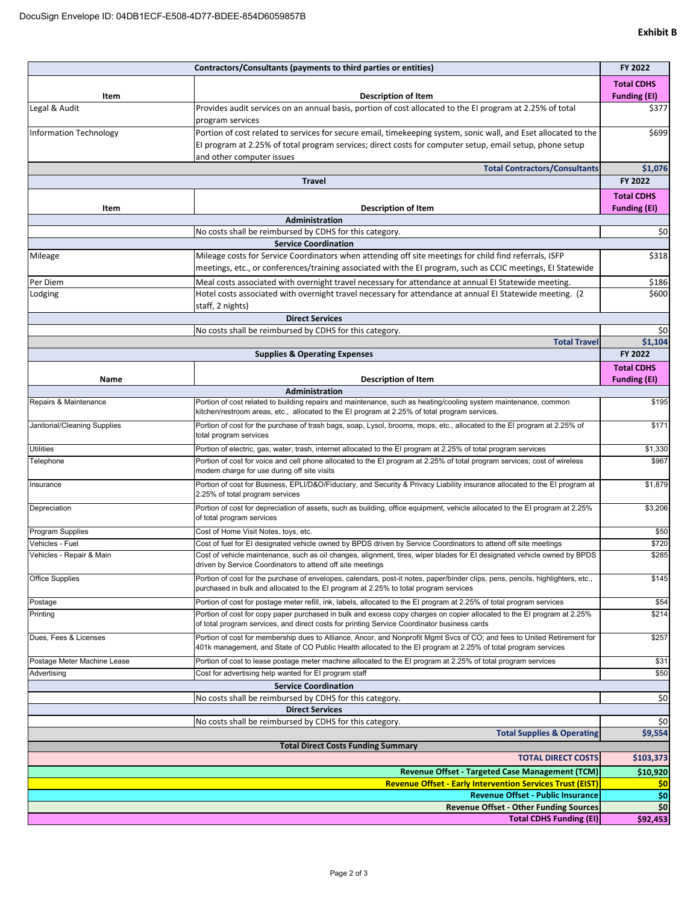|                                                                                                                     | Contractors/Consultants (payments to third parties or entities)                                                                                                                                                                           |                              |  |  |
|---------------------------------------------------------------------------------------------------------------------|-------------------------------------------------------------------------------------------------------------------------------------------------------------------------------------------------------------------------------------------|------------------------------|--|--|
|                                                                                                                     |                                                                                                                                                                                                                                           | <b>Total CDHS</b>            |  |  |
| Item                                                                                                                | <b>Description of Item</b>                                                                                                                                                                                                                | <b>Funding (EI)</b><br>\$377 |  |  |
| Legal & Audit                                                                                                       | Provides audit services on an annual basis, portion of cost allocated to the EI program at 2.25% of total<br>program services                                                                                                             |                              |  |  |
| <b>Information Technology</b>                                                                                       | Portion of cost related to services for secure email, timekeeping system, sonic wall, and Eset allocated to the                                                                                                                           |                              |  |  |
|                                                                                                                     | El program at 2.25% of total program services; direct costs for computer setup, email setup, phone setup                                                                                                                                  |                              |  |  |
|                                                                                                                     | and other computer issues                                                                                                                                                                                                                 |                              |  |  |
|                                                                                                                     | <b>Total Contractors/Consultants</b>                                                                                                                                                                                                      | \$1,076                      |  |  |
|                                                                                                                     | <b>Travel</b>                                                                                                                                                                                                                             | FY 2022                      |  |  |
|                                                                                                                     |                                                                                                                                                                                                                                           | <b>Total CDHS</b>            |  |  |
| Item                                                                                                                | <b>Description of Item</b>                                                                                                                                                                                                                | <b>Funding (EI)</b>          |  |  |
| <b>Administration</b><br>No costs shall be reimbursed by CDHS for this category.                                    |                                                                                                                                                                                                                                           |                              |  |  |
|                                                                                                                     | <b>Service Coordination</b>                                                                                                                                                                                                               | \$0                          |  |  |
| Mileage                                                                                                             | Mileage costs for Service Coordinators when attending off site meetings for child find referrals, ISFP                                                                                                                                    | \$318                        |  |  |
|                                                                                                                     | meetings, etc., or conferences/training associated with the EI program, such as CCIC meetings, EI Statewide                                                                                                                               |                              |  |  |
| Per Diem                                                                                                            | Meal costs associated with overnight travel necessary for attendance at annual EI Statewide meeting.                                                                                                                                      | \$186                        |  |  |
| Lodging                                                                                                             | Hotel costs associated with overnight travel necessary for attendance at annual EI Statewide meeting. (2                                                                                                                                  | \$600                        |  |  |
|                                                                                                                     | staff, 2 nights)                                                                                                                                                                                                                          |                              |  |  |
|                                                                                                                     | <b>Direct Services</b>                                                                                                                                                                                                                    |                              |  |  |
|                                                                                                                     | No costs shall be reimbursed by CDHS for this category.                                                                                                                                                                                   | \$0                          |  |  |
|                                                                                                                     | <b>Total Travel</b>                                                                                                                                                                                                                       | \$1,104                      |  |  |
|                                                                                                                     | <b>Supplies &amp; Operating Expenses</b>                                                                                                                                                                                                  | FY 2022                      |  |  |
|                                                                                                                     |                                                                                                                                                                                                                                           | <b>Total CDHS</b>            |  |  |
| Name                                                                                                                | <b>Description of Item</b>                                                                                                                                                                                                                | <b>Funding (EI)</b>          |  |  |
| Repairs & Maintenance                                                                                               | Administration<br>Portion of cost related to building repairs and maintenance, such as heating/cooling system maintenance, common                                                                                                         | \$195                        |  |  |
|                                                                                                                     | kitchen/restroom areas, etc., allocated to the EI program at 2.25% of total program services.                                                                                                                                             |                              |  |  |
| Janitorial/Cleaning Supplies                                                                                        | Portion of cost for the purchase of trash bags, soap, Lysol, brooms, mops, etc., allocated to the El program at 2.25% of<br>total program services                                                                                        | \$171                        |  |  |
| Utilities                                                                                                           | Portion of electric, gas, water, trash, internet allocated to the EI program at 2.25% of total program services                                                                                                                           | \$1,330                      |  |  |
| Telephone                                                                                                           | Portion of cost for voice and cell phone allocated to the EI program at 2.25% of total program services; cost of wireless<br>modem charge for use during off site visits                                                                  |                              |  |  |
| Insurance                                                                                                           | Portion of cost for Business, EPLI/D&O/Fiduciary, and Security & Privacy Liability insurance allocated to the EI program at<br>2.25% of total program services                                                                            |                              |  |  |
| Depreciation                                                                                                        | Portion of cost for depreciation of assets, such as building, office equipment, vehicle allocated to the EI program at 2.25%<br>of total program services                                                                                 |                              |  |  |
| Program Supplies                                                                                                    | Cost of Home Visit Notes, toys, etc.                                                                                                                                                                                                      |                              |  |  |
| Vehicles - Fuel                                                                                                     | Cost of fuel for El designated vehicle owned by BPDS driven by Service Coordinators to attend off site meetings                                                                                                                           |                              |  |  |
| Vehicles - Repair & Main                                                                                            | Cost of vehicle maintenance, such as oil changes, alignment, tires, wiper blades for El designated vehicle owned by BPDS<br>driven by Service Coordinators to attend off site meetings                                                    |                              |  |  |
| Office Supplies                                                                                                     | Portion of cost for the purchase of envelopes, calendars, post-it notes, paper/binder clips, pens, pencils, highlighters, etc.,<br>purchased in bulk and allocated to the EI program at 2.25% to total program services                   |                              |  |  |
| Postage                                                                                                             | Portion of cost for postage meter refill, ink, labels, allocated to the EI program at 2.25% of total program services                                                                                                                     |                              |  |  |
| Printing                                                                                                            | Portion of cost for copy paper purchased in bulk and excess copy charges on copier allocated to the EI program at 2.25%<br>of total program services, and direct costs for printing Service Coordinator business cards                    | \$214                        |  |  |
| Dues, Fees & Licenses                                                                                               | Portion of cost for membership dues to Alliance, Ancor, and Nonprofit Mgmt Svcs of CO; and fees to United Retirement for<br>401k management, and State of CO Public Health allocated to the EI program at 2.25% of total program services | \$257                        |  |  |
| Postage Meter Machine Lease                                                                                         | Portion of cost to lease postage meter machine allocated to the EI program at 2.25% of total program services                                                                                                                             | \$31                         |  |  |
| Advertising                                                                                                         | Cost for advertising help wanted for EI program staff                                                                                                                                                                                     | \$50                         |  |  |
|                                                                                                                     | <b>Service Coordination</b>                                                                                                                                                                                                               |                              |  |  |
|                                                                                                                     | No costs shall be reimbursed by CDHS for this category.                                                                                                                                                                                   | \$0                          |  |  |
|                                                                                                                     | <b>Direct Services</b>                                                                                                                                                                                                                    |                              |  |  |
|                                                                                                                     | No costs shall be reimbursed by CDHS for this category.                                                                                                                                                                                   | \$0                          |  |  |
|                                                                                                                     | <b>Total Supplies &amp; Operating</b>                                                                                                                                                                                                     | \$9,554                      |  |  |
|                                                                                                                     | <b>Total Direct Costs Funding Summary</b>                                                                                                                                                                                                 |                              |  |  |
|                                                                                                                     | <b>TOTAL DIRECT COSTS</b>                                                                                                                                                                                                                 | \$103,373<br>\$10,920        |  |  |
| Revenue Offset - Targeted Case Management (TCM)<br><b>Revenue Offset - Early Intervention Services Trust (EIST)</b> |                                                                                                                                                                                                                                           |                              |  |  |
| <b>Revenue Offset - Public Insurance</b>                                                                            |                                                                                                                                                                                                                                           |                              |  |  |
| <b>Revenue Offset - Other Funding Sources</b>                                                                       |                                                                                                                                                                                                                                           |                              |  |  |
|                                                                                                                     | <b>Total CDHS Funding (EI)</b>                                                                                                                                                                                                            | \$0<br>\$92,453              |  |  |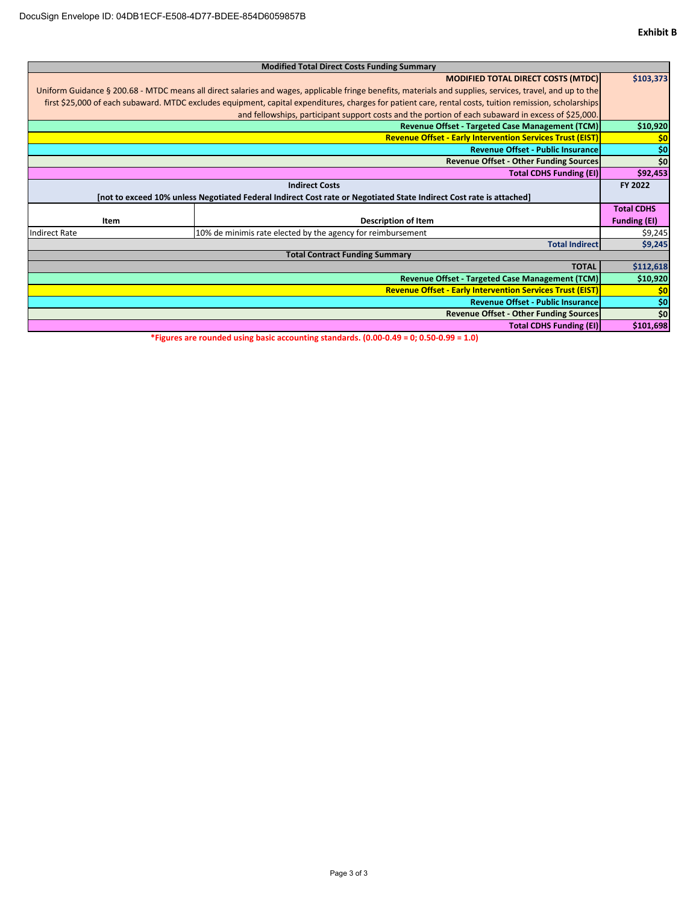| <b>Modified Total Direct Costs Funding Summary</b>                                                                                                        |                                                                  |                     |  |  |
|-----------------------------------------------------------------------------------------------------------------------------------------------------------|------------------------------------------------------------------|---------------------|--|--|
|                                                                                                                                                           | <b>MODIFIED TOTAL DIRECT COSTS (MTDC)</b>                        | \$103,373           |  |  |
| Uniform Guidance § 200.68 - MTDC means all direct salaries and wages, applicable fringe benefits, materials and supplies, services, travel, and up to the |                                                                  |                     |  |  |
| first \$25,000 of each subaward. MTDC excludes equipment, capital expenditures, charges for patient care, rental costs, tuition remission, scholarships   |                                                                  |                     |  |  |
| and fellowships, participant support costs and the portion of each subaward in excess of \$25,000.                                                        |                                                                  |                     |  |  |
|                                                                                                                                                           | <b>Revenue Offset - Targeted Case Management (TCM)</b>           | \$10,920            |  |  |
|                                                                                                                                                           | <b>Revenue Offset - Early Intervention Services Trust (EIST)</b> | \$0                 |  |  |
|                                                                                                                                                           | <b>Revenue Offset - Public Insurance</b>                         | \$0                 |  |  |
|                                                                                                                                                           | <b>Revenue Offset - Other Funding Sources</b>                    | \$0                 |  |  |
|                                                                                                                                                           | <b>Total CDHS Funding (EI)</b>                                   | \$92,453            |  |  |
| <b>Indirect Costs</b>                                                                                                                                     |                                                                  | FY 2022             |  |  |
| [not to exceed 10% unless Negotiated Federal Indirect Cost rate or Negotiated State Indirect Cost rate is attached]                                       |                                                                  |                     |  |  |
|                                                                                                                                                           |                                                                  | <b>Total CDHS</b>   |  |  |
| Item                                                                                                                                                      | <b>Description of Item</b>                                       | <b>Funding (EI)</b> |  |  |
|                                                                                                                                                           |                                                                  |                     |  |  |
| 10% de minimis rate elected by the agency for reimbursement<br>Indirect Rate                                                                              |                                                                  | \$9,245             |  |  |
| <b>Total Indirect</b><br><b>Total Contract Funding Summary</b>                                                                                            |                                                                  | \$9,245             |  |  |
| <b>TOTAL</b>                                                                                                                                              |                                                                  | \$112,618           |  |  |
|                                                                                                                                                           |                                                                  | \$10,920            |  |  |
| Revenue Offset - Targeted Case Management (TCM)<br><b>Revenue Offset - Early Intervention Services Trust (EIST)</b>                                       |                                                                  | \$0                 |  |  |
| <b>Revenue Offset - Public Insurance</b>                                                                                                                  |                                                                  |                     |  |  |
| <b>Revenue Offset - Other Funding Sources</b>                                                                                                             |                                                                  |                     |  |  |
| <b>Total CDHS Funding (EI)</b>                                                                                                                            |                                                                  |                     |  |  |
|                                                                                                                                                           |                                                                  |                     |  |  |

**\*Figures are rounded using basic accounting standards. (0.00‐0.49 = 0; 0.50‐0.99 = 1.0)**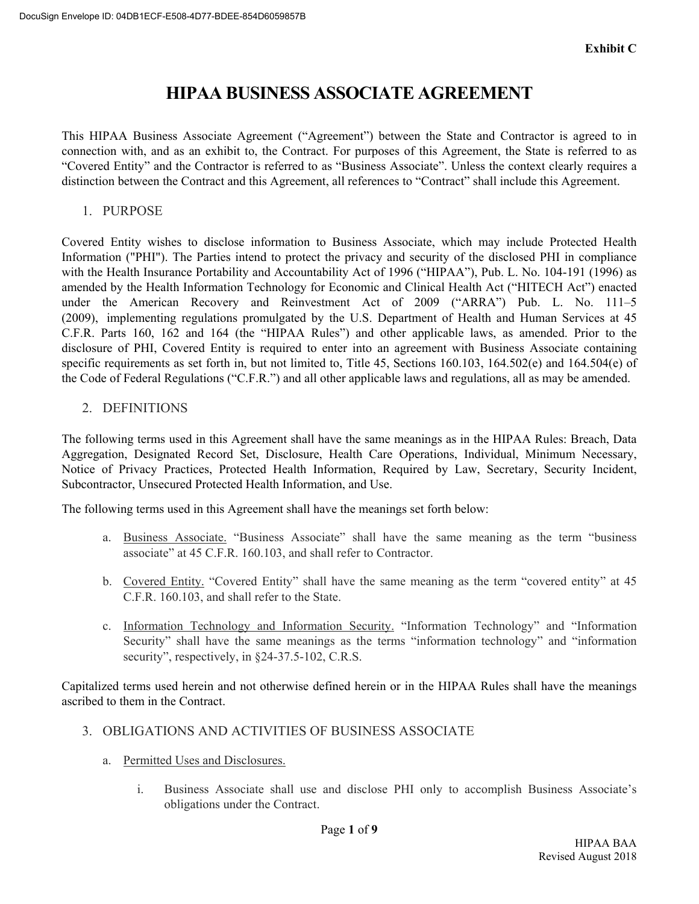# **HIPAA BUSINESS ASSOCIATE AGREEMENT**

This HIPAA Business Associate Agreement ("Agreement") between the State and Contractor is agreed to in connection with, and as an exhibit to, the Contract. For purposes of this Agreement, the State is referred to as "Covered Entity" and the Contractor is referred to as "Business Associate". Unless the context clearly requires a distinction between the Contract and this Agreement, all references to "Contract" shall include this Agreement.

1. PURPOSE

Covered Entity wishes to disclose information to Business Associate, which may include Protected Health Information ("PHI"). The Parties intend to protect the privacy and security of the disclosed PHI in compliance with the Health Insurance Portability and Accountability Act of 1996 ("HIPAA"), Pub. L. No. 104-191 (1996) as amended by the Health Information Technology for Economic and Clinical Health Act ("HITECH Act") enacted under the American Recovery and Reinvestment Act of 2009 ("ARRA") Pub. L. No. 111–5 (2009), implementing regulations promulgated by the U.S. Department of Health and Human Services at 45 C.F.R. Parts 160, 162 and 164 (the "HIPAA Rules") and other applicable laws, as amended. Prior to the disclosure of PHI, Covered Entity is required to enter into an agreement with Business Associate containing specific requirements as set forth in, but not limited to, Title 45, Sections 160.103, 164.502(e) and 164.504(e) of the Code of Federal Regulations ("C.F.R.") and all other applicable laws and regulations, all as may be amended.

2. DEFINITIONS

The following terms used in this Agreement shall have the same meanings as in the HIPAA Rules: Breach, Data Aggregation, Designated Record Set, Disclosure, Health Care Operations, Individual, Minimum Necessary, Notice of Privacy Practices, Protected Health Information, Required by Law, Secretary, Security Incident, Subcontractor, Unsecured Protected Health Information, and Use.

The following terms used in this Agreement shall have the meanings set forth below:

- a. Business Associate. "Business Associate" shall have the same meaning as the term "business associate" at 45 C.F.R. 160.103, and shall refer to Contractor.
- b. Covered Entity. "Covered Entity" shall have the same meaning as the term "covered entity" at 45 C.F.R. 160.103, and shall refer to the State.
- c. Information Technology and Information Security. "Information Technology" and "Information Security" shall have the same meanings as the terms "information technology" and "information security", respectively, in  $§24-37.5-102$ , C.R.S.

Capitalized terms used herein and not otherwise defined herein or in the HIPAA Rules shall have the meanings ascribed to them in the Contract.

- 3. OBLIGATIONS AND ACTIVITIES OF BUSINESS ASSOCIATE
	- a. Permitted Uses and Disclosures.
		- i. Business Associate shall use and disclose PHI only to accomplish Business Associate's obligations under the Contract.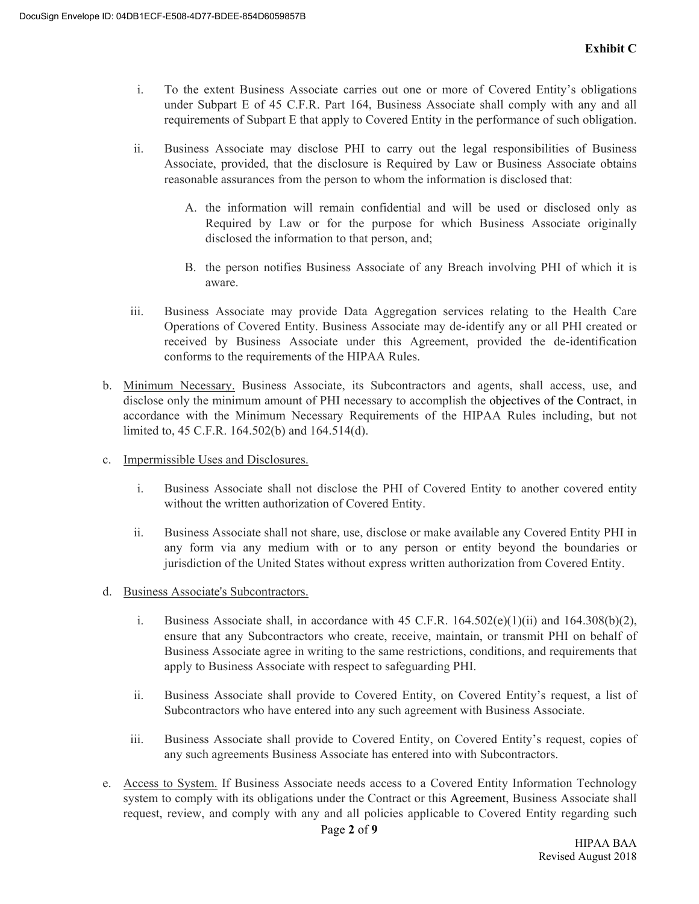- i. To the extent Business Associate carries out one or more of Covered Entity's obligations under Subpart E of 45 C.F.R. Part 164, Business Associate shall comply with any and all requirements of Subpart E that apply to Covered Entity in the performance of such obligation.
- ii. Business Associate may disclose PHI to carry out the legal responsibilities of Business Associate, provided, that the disclosure is Required by Law or Business Associate obtains reasonable assurances from the person to whom the information is disclosed that:
	- A. the information will remain confidential and will be used or disclosed only as Required by Law or for the purpose for which Business Associate originally disclosed the information to that person, and;
	- B. the person notifies Business Associate of any Breach involving PHI of which it is aware.
- iii. Business Associate may provide Data Aggregation services relating to the Health Care Operations of Covered Entity. Business Associate may de-identify any or all PHI created or received by Business Associate under this Agreement, provided the de-identification conforms to the requirements of the HIPAA Rules.
- b. Minimum Necessary. Business Associate, its Subcontractors and agents, shall access, use, and disclose only the minimum amount of PHI necessary to accomplish the objectives of the Contract, in accordance with the Minimum Necessary Requirements of the HIPAA Rules including, but not limited to, 45 C.F.R. 164.502(b) and 164.514(d).
- c. Impermissible Uses and Disclosures.
	- i. Business Associate shall not disclose the PHI of Covered Entity to another covered entity without the written authorization of Covered Entity.
	- ii. Business Associate shall not share, use, disclose or make available any Covered Entity PHI in any form via any medium with or to any person or entity beyond the boundaries or jurisdiction of the United States without express written authorization from Covered Entity.
- d. Business Associate's Subcontractors.
	- i. Business Associate shall, in accordance with 45 C.F.R.  $164.502(e)(1)(ii)$  and  $164.308(b)(2)$ , ensure that any Subcontractors who create, receive, maintain, or transmit PHI on behalf of Business Associate agree in writing to the same restrictions, conditions, and requirements that apply to Business Associate with respect to safeguarding PHI.
	- ii. Business Associate shall provide to Covered Entity, on Covered Entity's request, a list of Subcontractors who have entered into any such agreement with Business Associate.
	- iii. Business Associate shall provide to Covered Entity, on Covered Entity's request, copies of any such agreements Business Associate has entered into with Subcontractors.
- e. Access to System. If Business Associate needs access to a Covered Entity Information Technology system to comply with its obligations under the Contract or this Agreement, Business Associate shall request, review, and comply with any and all policies applicable to Covered Entity regarding such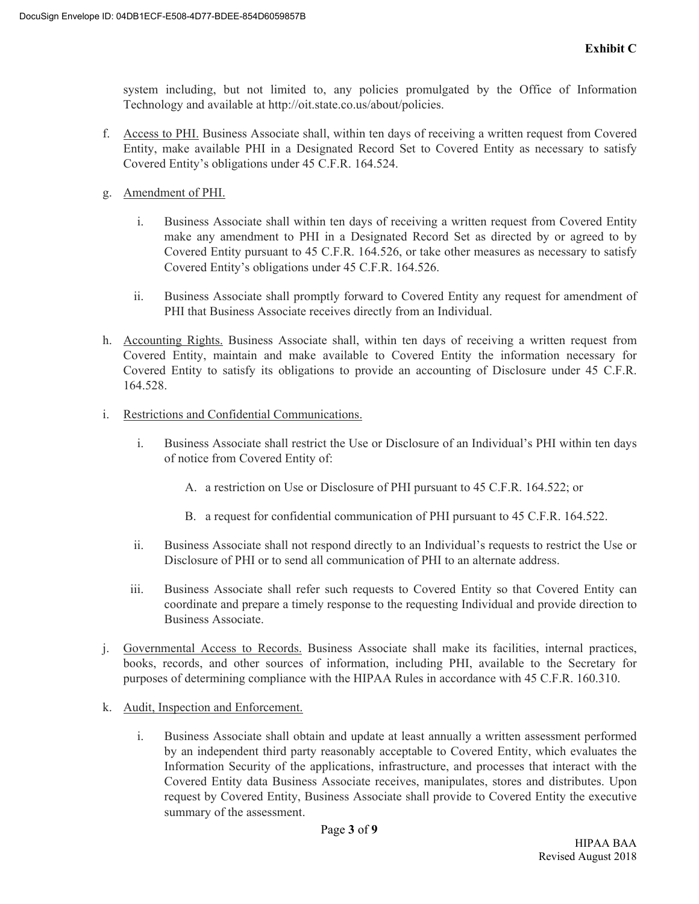system including, but not limited to, any policies promulgated by the Office of Information Technology and available at http://oit.state.co.us/about/policies.

- f. Access to PHI. Business Associate shall, within ten days of receiving a written request from Covered Entity, make available PHI in a Designated Record Set to Covered Entity as necessary to satisfy Covered Entity's obligations under 45 C.F.R. 164.524.
- g. Amendment of PHI.
	- i. Business Associate shall within ten days of receiving a written request from Covered Entity make any amendment to PHI in a Designated Record Set as directed by or agreed to by Covered Entity pursuant to 45 C.F.R. 164.526, or take other measures as necessary to satisfy Covered Entity's obligations under 45 C.F.R. 164.526.
	- ii. Business Associate shall promptly forward to Covered Entity any request for amendment of PHI that Business Associate receives directly from an Individual.
- h. Accounting Rights. Business Associate shall, within ten days of receiving a written request from Covered Entity, maintain and make available to Covered Entity the information necessary for Covered Entity to satisfy its obligations to provide an accounting of Disclosure under 45 C.F.R. 164.528.
- i. Restrictions and Confidential Communications.
	- i. Business Associate shall restrict the Use or Disclosure of an Individual's PHI within ten days of notice from Covered Entity of:
		- A. a restriction on Use or Disclosure of PHI pursuant to 45 C.F.R. 164.522; or
		- B. a request for confidential communication of PHI pursuant to 45 C.F.R. 164.522.
	- ii. Business Associate shall not respond directly to an Individual's requests to restrict the Use or Disclosure of PHI or to send all communication of PHI to an alternate address.
	- iii. Business Associate shall refer such requests to Covered Entity so that Covered Entity can coordinate and prepare a timely response to the requesting Individual and provide direction to Business Associate.
- j. Governmental Access to Records. Business Associate shall make its facilities, internal practices, books, records, and other sources of information, including PHI, available to the Secretary for purposes of determining compliance with the HIPAA Rules in accordance with 45 C.F.R. 160.310.
- k. Audit, Inspection and Enforcement.
	- i. Business Associate shall obtain and update at least annually a written assessment performed by an independent third party reasonably acceptable to Covered Entity, which evaluates the Information Security of the applications, infrastructure, and processes that interact with the Covered Entity data Business Associate receives, manipulates, stores and distributes. Upon request by Covered Entity, Business Associate shall provide to Covered Entity the executive summary of the assessment.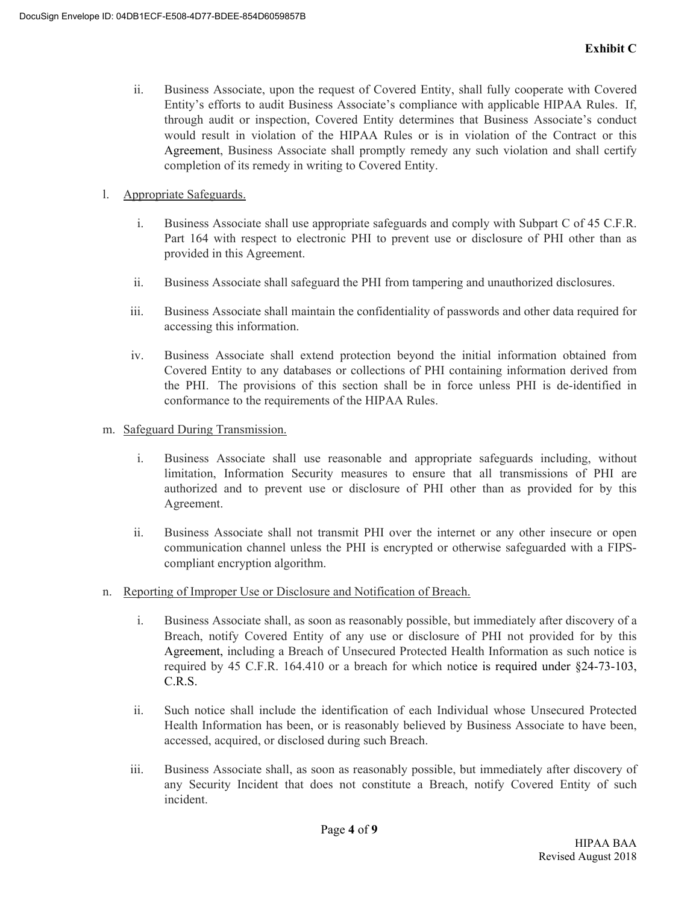- ii. Business Associate, upon the request of Covered Entity, shall fully cooperate with Covered Entity's efforts to audit Business Associate's compliance with applicable HIPAA Rules. If, through audit or inspection, Covered Entity determines that Business Associate's conduct would result in violation of the HIPAA Rules or is in violation of the Contract or this Agreement, Business Associate shall promptly remedy any such violation and shall certify completion of its remedy in writing to Covered Entity.
- l. Appropriate Safeguards.
	- i. Business Associate shall use appropriate safeguards and comply with Subpart C of 45 C.F.R. Part 164 with respect to electronic PHI to prevent use or disclosure of PHI other than as provided in this Agreement.
	- ii. Business Associate shall safeguard the PHI from tampering and unauthorized disclosures.
	- iii. Business Associate shall maintain the confidentiality of passwords and other data required for accessing this information.
	- iv. Business Associate shall extend protection beyond the initial information obtained from Covered Entity to any databases or collections of PHI containing information derived from the PHI. The provisions of this section shall be in force unless PHI is de-identified in conformance to the requirements of the HIPAA Rules.
- m. Safeguard During Transmission.
	- i. Business Associate shall use reasonable and appropriate safeguards including, without limitation, Information Security measures to ensure that all transmissions of PHI are authorized and to prevent use or disclosure of PHI other than as provided for by this Agreement.
	- ii. Business Associate shall not transmit PHI over the internet or any other insecure or open communication channel unless the PHI is encrypted or otherwise safeguarded with a FIPScompliant encryption algorithm.
- n. Reporting of Improper Use or Disclosure and Notification of Breach.
	- i. Business Associate shall, as soon as reasonably possible, but immediately after discovery of a Breach, notify Covered Entity of any use or disclosure of PHI not provided for by this Agreement, including a Breach of Unsecured Protected Health Information as such notice is required by 45 C.F.R. 164.410 or a breach for which notice is required under §24-73-103, C.R.S.
	- ii. Such notice shall include the identification of each Individual whose Unsecured Protected Health Information has been, or is reasonably believed by Business Associate to have been, accessed, acquired, or disclosed during such Breach.
	- iii. Business Associate shall, as soon as reasonably possible, but immediately after discovery of any Security Incident that does not constitute a Breach, notify Covered Entity of such incident.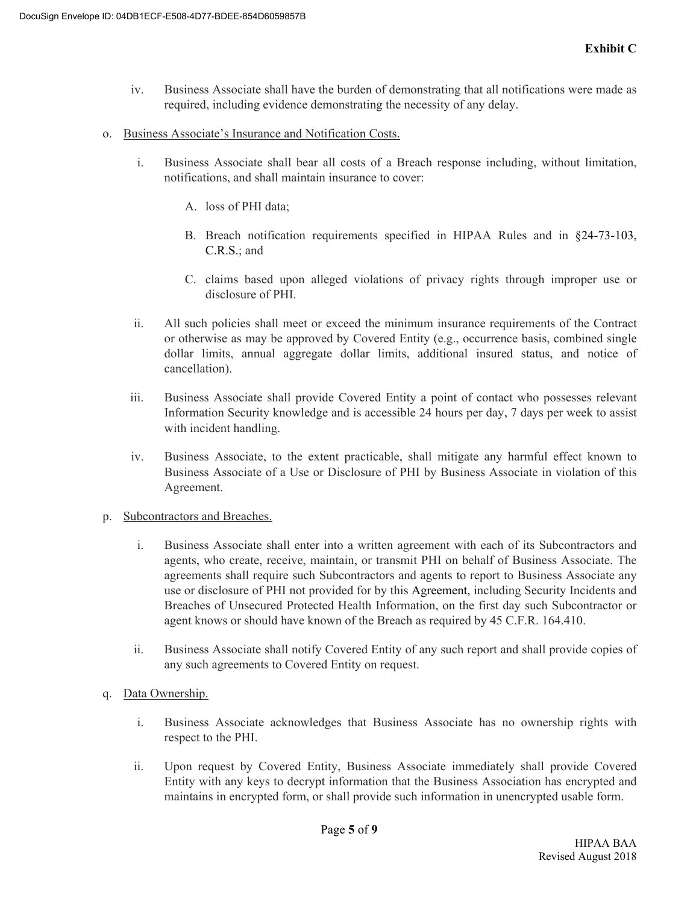- iv. Business Associate shall have the burden of demonstrating that all notifications were made as required, including evidence demonstrating the necessity of any delay.
- o. Business Associate's Insurance and Notification Costs.
	- i. Business Associate shall bear all costs of a Breach response including, without limitation, notifications, and shall maintain insurance to cover:
		- A. loss of PHI data;
		- B. Breach notification requirements specified in HIPAA Rules and in §24-73-103, C.R.S.; and
		- C. claims based upon alleged violations of privacy rights through improper use or disclosure of PHI.
	- ii. All such policies shall meet or exceed the minimum insurance requirements of the Contract or otherwise as may be approved by Covered Entity (e.g., occurrence basis, combined single dollar limits, annual aggregate dollar limits, additional insured status, and notice of cancellation).
	- iii. Business Associate shall provide Covered Entity a point of contact who possesses relevant Information Security knowledge and is accessible 24 hours per day, 7 days per week to assist with incident handling.
	- iv. Business Associate, to the extent practicable, shall mitigate any harmful effect known to Business Associate of a Use or Disclosure of PHI by Business Associate in violation of this Agreement.
- p. Subcontractors and Breaches.
	- i. Business Associate shall enter into a written agreement with each of its Subcontractors and agents, who create, receive, maintain, or transmit PHI on behalf of Business Associate. The agreements shall require such Subcontractors and agents to report to Business Associate any use or disclosure of PHI not provided for by this Agreement, including Security Incidents and Breaches of Unsecured Protected Health Information, on the first day such Subcontractor or agent knows or should have known of the Breach as required by 45 C.F.R. 164.410.
	- ii. Business Associate shall notify Covered Entity of any such report and shall provide copies of any such agreements to Covered Entity on request.
- q. Data Ownership.
	- i. Business Associate acknowledges that Business Associate has no ownership rights with respect to the PHI.
	- ii. Upon request by Covered Entity, Business Associate immediately shall provide Covered Entity with any keys to decrypt information that the Business Association has encrypted and maintains in encrypted form, or shall provide such information in unencrypted usable form.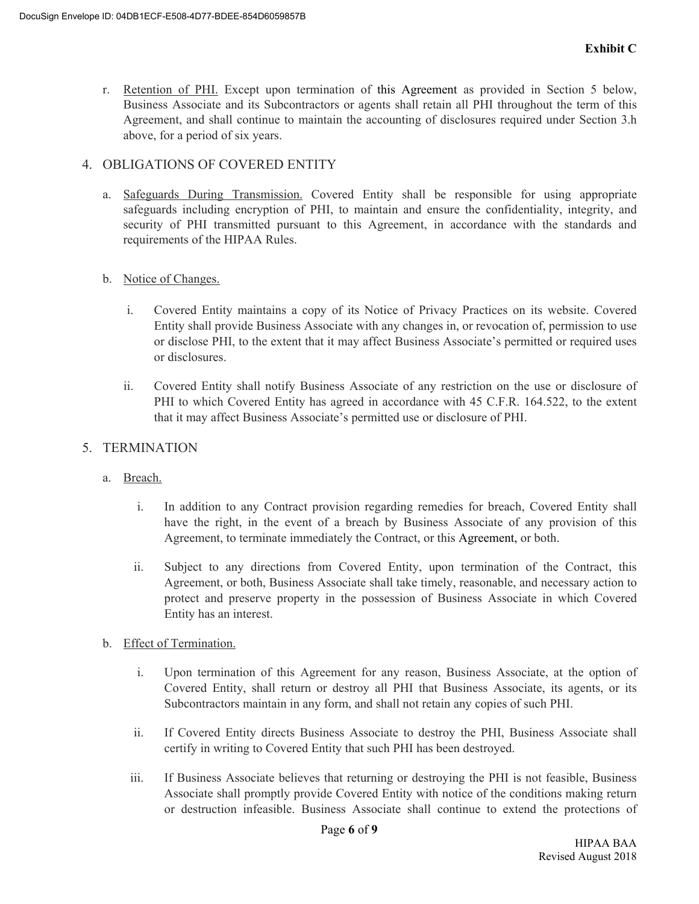r. Retention of PHI. Except upon termination of this Agreement as provided in Section 5 below, Business Associate and its Subcontractors or agents shall retain all PHI throughout the term of this Agreement, and shall continue to maintain the accounting of disclosures required under Section 3.h above, for a period of six years.

#### 4. OBLIGATIONS OF COVERED ENTITY

a. Safeguards During Transmission. Covered Entity shall be responsible for using appropriate safeguards including encryption of PHI, to maintain and ensure the confidentiality, integrity, and security of PHI transmitted pursuant to this Agreement, in accordance with the standards and requirements of the HIPAA Rules.

#### b. Notice of Changes.

- i. Covered Entity maintains a copy of its Notice of Privacy Practices on its website. Covered Entity shall provide Business Associate with any changes in, or revocation of, permission to use or disclose PHI, to the extent that it may affect Business Associate's permitted or required uses or disclosures.
- ii. Covered Entity shall notify Business Associate of any restriction on the use or disclosure of PHI to which Covered Entity has agreed in accordance with 45 C.F.R. 164.522, to the extent that it may affect Business Associate's permitted use or disclosure of PHI.

#### 5. TERMINATION

- a. Breach.
	- i. In addition to any Contract provision regarding remedies for breach, Covered Entity shall have the right, in the event of a breach by Business Associate of any provision of this Agreement, to terminate immediately the Contract, or this Agreement, or both.
	- ii. Subject to any directions from Covered Entity, upon termination of the Contract, this Agreement, or both, Business Associate shall take timely, reasonable, and necessary action to protect and preserve property in the possession of Business Associate in which Covered Entity has an interest.
- b. Effect of Termination.
	- i. Upon termination of this Agreement for any reason, Business Associate, at the option of Covered Entity, shall return or destroy all PHI that Business Associate, its agents, or its Subcontractors maintain in any form, and shall not retain any copies of such PHI.
	- ii. If Covered Entity directs Business Associate to destroy the PHI, Business Associate shall certify in writing to Covered Entity that such PHI has been destroyed.
	- iii. If Business Associate believes that returning or destroying the PHI is not feasible, Business Associate shall promptly provide Covered Entity with notice of the conditions making return or destruction infeasible. Business Associate shall continue to extend the protections of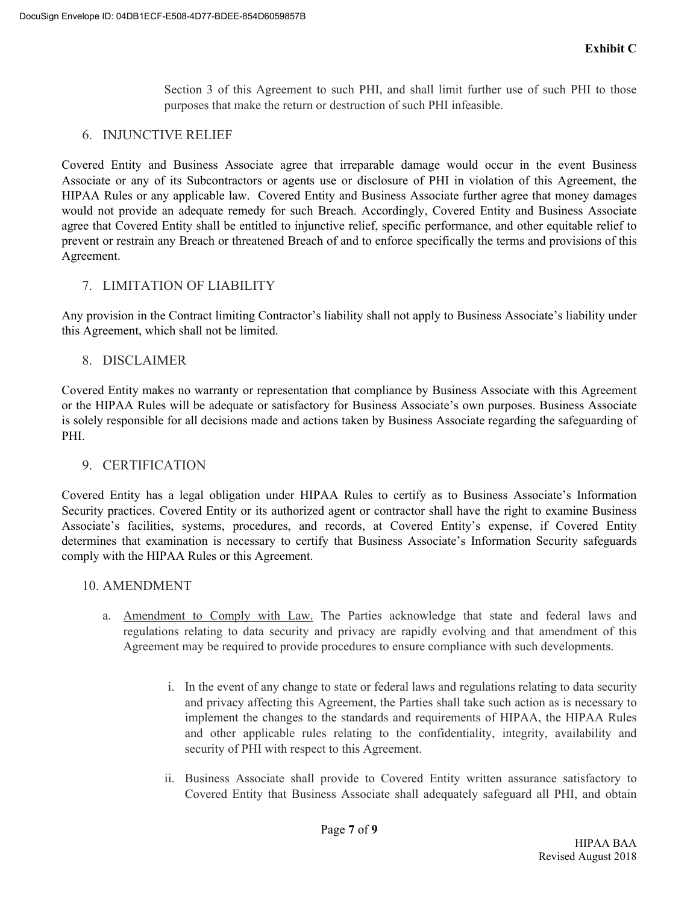Section 3 of this Agreement to such PHI, and shall limit further use of such PHI to those purposes that make the return or destruction of such PHI infeasible.

#### 6. INJUNCTIVE RELIEF

Covered Entity and Business Associate agree that irreparable damage would occur in the event Business Associate or any of its Subcontractors or agents use or disclosure of PHI in violation of this Agreement, the HIPAA Rules or any applicable law. Covered Entity and Business Associate further agree that money damages would not provide an adequate remedy for such Breach. Accordingly, Covered Entity and Business Associate agree that Covered Entity shall be entitled to injunctive relief, specific performance, and other equitable relief to prevent or restrain any Breach or threatened Breach of and to enforce specifically the terms and provisions of this Agreement.

#### 7. LIMITATION OF LIABILITY

Any provision in the Contract limiting Contractor's liability shall not apply to Business Associate's liability under this Agreement, which shall not be limited.

#### 8. DISCLAIMER

Covered Entity makes no warranty or representation that compliance by Business Associate with this Agreement or the HIPAA Rules will be adequate or satisfactory for Business Associate's own purposes. Business Associate is solely responsible for all decisions made and actions taken by Business Associate regarding the safeguarding of PHI.

#### 9. CERTIFICATION

Covered Entity has a legal obligation under HIPAA Rules to certify as to Business Associate's Information Security practices. Covered Entity or its authorized agent or contractor shall have the right to examine Business Associate's facilities, systems, procedures, and records, at Covered Entity's expense, if Covered Entity determines that examination is necessary to certify that Business Associate's Information Security safeguards comply with the HIPAA Rules or this Agreement.

#### 10. AMENDMENT

- a. Amendment to Comply with Law. The Parties acknowledge that state and federal laws and regulations relating to data security and privacy are rapidly evolving and that amendment of this Agreement may be required to provide procedures to ensure compliance with such developments.
	- i. In the event of any change to state or federal laws and regulations relating to data security and privacy affecting this Agreement, the Parties shall take such action as is necessary to implement the changes to the standards and requirements of HIPAA, the HIPAA Rules and other applicable rules relating to the confidentiality, integrity, availability and security of PHI with respect to this Agreement.
	- ii. Business Associate shall provide to Covered Entity written assurance satisfactory to Covered Entity that Business Associate shall adequately safeguard all PHI, and obtain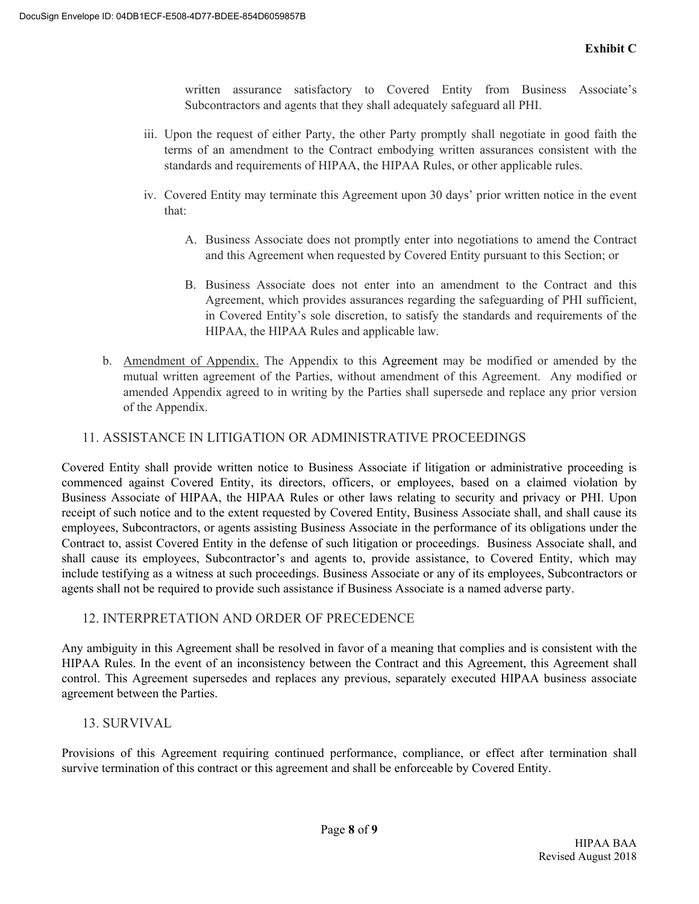written assurance satisfactory to Covered Entity from Business Associate's Subcontractors and agents that they shall adequately safeguard all PHI.

- iii. Upon the request of either Party, the other Party promptly shall negotiate in good faith the terms of an amendment to the Contract embodying written assurances consistent with the standards and requirements of HIPAA, the HIPAA Rules, or other applicable rules.
- iv. Covered Entity may terminate this Agreement upon 30 days' prior written notice in the event that:
	- A. Business Associate does not promptly enter into negotiations to amend the Contract and this Agreement when requested by Covered Entity pursuant to this Section; or
	- B. Business Associate does not enter into an amendment to the Contract and this Agreement, which provides assurances regarding the safeguarding of PHI sufficient, in Covered Entity's sole discretion, to satisfy the standards and requirements of the HIPAA, the HIPAA Rules and applicable law.
- b. Amendment of Appendix. The Appendix to this Agreement may be modified or amended by the mutual written agreement of the Parties, without amendment of this Agreement. Any modified or amended Appendix agreed to in writing by the Parties shall supersede and replace any prior version of the Appendix.

#### 11. ASSISTANCE IN LITIGATION OR ADMINISTRATIVE PROCEEDINGS

Covered Entity shall provide written notice to Business Associate if litigation or administrative proceeding is commenced against Covered Entity, its directors, officers, or employees, based on a claimed violation by Business Associate of HIPAA, the HIPAA Rules or other laws relating to security and privacy or PHI. Upon receipt of such notice and to the extent requested by Covered Entity, Business Associate shall, and shall cause its employees, Subcontractors, or agents assisting Business Associate in the performance of its obligations under the Contract to, assist Covered Entity in the defense of such litigation or proceedings. Business Associate shall, and shall cause its employees, Subcontractor's and agents to, provide assistance, to Covered Entity, which may include testifying as a witness at such proceedings. Business Associate or any of its employees, Subcontractors or agents shall not be required to provide such assistance if Business Associate is a named adverse party.

#### 12. INTERPRETATION AND ORDER OF PRECEDENCE

Any ambiguity in this Agreement shall be resolved in favor of a meaning that complies and is consistent with the HIPAA Rules. In the event of an inconsistency between the Contract and this Agreement, this Agreement shall control. This Agreement supersedes and replaces any previous, separately executed HIPAA business associate agreement between the Parties.

#### 13. SURVIVAL

Provisions of this Agreement requiring continued performance, compliance, or effect after termination shall survive termination of this contract or this agreement and shall be enforceable by Covered Entity.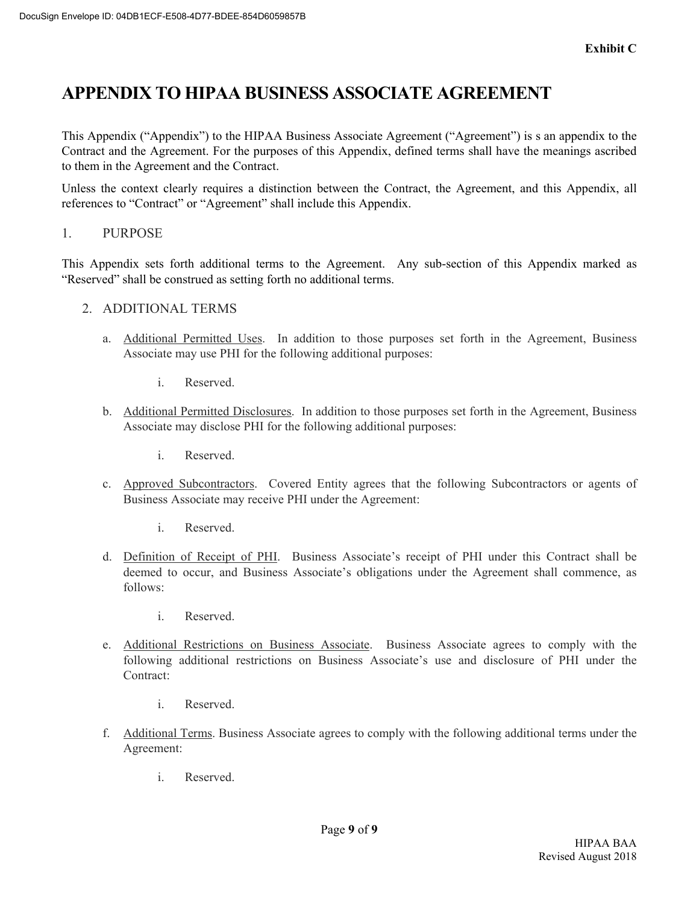# **APPENDIX TO HIPAA BUSINESS ASSOCIATE AGREEMENT**

This Appendix ("Appendix") to the HIPAA Business Associate Agreement ("Agreement") is s an appendix to the Contract and the Agreement. For the purposes of this Appendix, defined terms shall have the meanings ascribed to them in the Agreement and the Contract.

Unless the context clearly requires a distinction between the Contract, the Agreement, and this Appendix, all references to "Contract" or "Agreement" shall include this Appendix.

1. PURPOSE

This Appendix sets forth additional terms to the Agreement. Any sub-section of this Appendix marked as "Reserved" shall be construed as setting forth no additional terms.

- 2. ADDITIONAL TERMS
	- a. Additional Permitted Uses. In addition to those purposes set forth in the Agreement, Business Associate may use PHI for the following additional purposes:
		- i. Reserved.
	- b. Additional Permitted Disclosures. In addition to those purposes set forth in the Agreement, Business Associate may disclose PHI for the following additional purposes:
		- i. Reserved.
	- c. Approved Subcontractors. Covered Entity agrees that the following Subcontractors or agents of Business Associate may receive PHI under the Agreement:
		- i. Reserved.
	- d. Definition of Receipt of PHI. Business Associate's receipt of PHI under this Contract shall be deemed to occur, and Business Associate's obligations under the Agreement shall commence, as follows:
		- i. Reserved.
	- e. Additional Restrictions on Business Associate. Business Associate agrees to comply with the following additional restrictions on Business Associate's use and disclosure of PHI under the Contract:
		- i. Reserved.
	- f. Additional Terms. Business Associate agrees to comply with the following additional terms under the Agreement:
		- i. Reserved.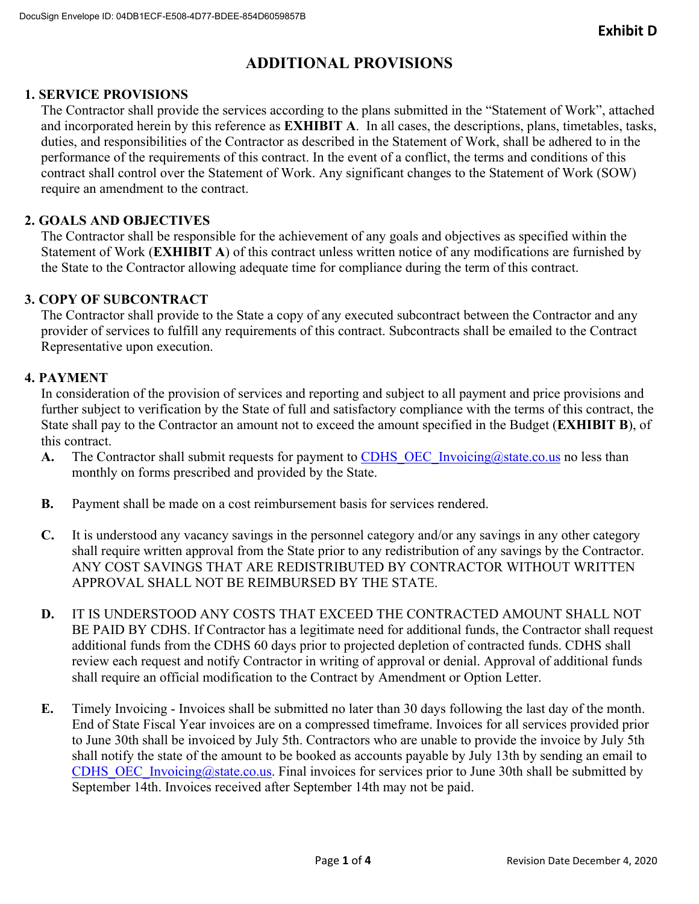# **ADDITIONAL PROVISIONS**

#### **1. SERVICE PROVISIONS**

The Contractor shall provide the services according to the plans submitted in the "Statement of Work", attached and incorporated herein by this reference as **EXHIBIT A**. In all cases, the descriptions, plans, timetables, tasks, duties, and responsibilities of the Contractor as described in the Statement of Work, shall be adhered to in the performance of the requirements of this contract. In the event of a conflict, the terms and conditions of this contract shall control over the Statement of Work. Any significant changes to the Statement of Work (SOW) require an amendment to the contract.

#### **2. GOALS AND OBJECTIVES**

The Contractor shall be responsible for the achievement of any goals and objectives as specified within the Statement of Work (**EXHIBIT A**) of this contract unless written notice of any modifications are furnished by the State to the Contractor allowing adequate time for compliance during the term of this contract.

#### **3. COPY OF SUBCONTRACT**

The Contractor shall provide to the State a copy of any executed subcontract between the Contractor and any provider of services to fulfill any requirements of this contract. Subcontracts shall be emailed to the Contract Representative upon execution.

#### **4. PAYMENT**

In consideration of the provision of services and reporting and subject to all payment and price provisions and further subject to verification by the State of full and satisfactory compliance with the terms of this contract, the State shall pay to the Contractor an amount not to exceed the amount specified in the Budget (**EXHIBIT B**), of this contract.

- **A.** The Contractor shall submit requests for payment to CDHS OEC Invoicing@state.co.us no less than monthly on forms prescribed and provided by the State.
- **B.** Payment shall be made on a cost reimbursement basis for services rendered.
- **C.** It is understood any vacancy savings in the personnel category and/or any savings in any other category shall require written approval from the State prior to any redistribution of any savings by the Contractor. ANY COST SAVINGS THAT ARE REDISTRIBUTED BY CONTRACTOR WITHOUT WRITTEN APPROVAL SHALL NOT BE REIMBURSED BY THE STATE.
- **D.** IT IS UNDERSTOOD ANY COSTS THAT EXCEED THE CONTRACTED AMOUNT SHALL NOT BE PAID BY CDHS. If Contractor has a legitimate need for additional funds, the Contractor shall request additional funds from the CDHS 60 days prior to projected depletion of contracted funds. CDHS shall review each request and notify Contractor in writing of approval or denial. Approval of additional funds shall require an official modification to the Contract by Amendment or Option Letter.
- **E.** Timely Invoicing Invoices shall be submitted no later than 30 days following the last day of the month. End of State Fiscal Year invoices are on a compressed timeframe. Invoices for all services provided prior to June 30th shall be invoiced by July 5th. Contractors who are unable to provide the invoice by July 5th shall notify the state of the amount to be booked as accounts payable by July 13th by sending an email to CDHS\_OEC\_Invoicing@state.co.us. Final invoices for services prior to June 30th shall be submitted by September 14th. Invoices received after September 14th may not be paid.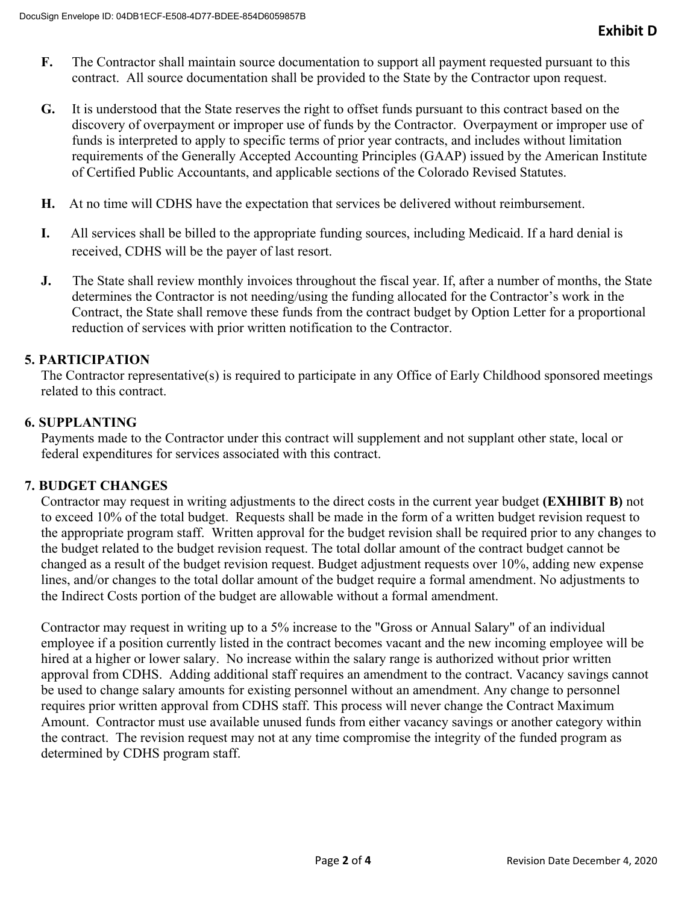- **F.** The Contractor shall maintain source documentation to support all payment requested pursuant to this contract. All source documentation shall be provided to the State by the Contractor upon request.
- **G.** It is understood that the State reserves the right to offset funds pursuant to this contract based on the discovery of overpayment or improper use of funds by the Contractor. Overpayment or improper use of funds is interpreted to apply to specific terms of prior year contracts, and includes without limitation requirements of the Generally Accepted Accounting Principles (GAAP) issued by the American Institute of Certified Public Accountants, and applicable sections of the Colorado Revised Statutes.
- **H.** At no time will CDHS have the expectation that services be delivered without reimbursement.
- **I.** All services shall be billed to the appropriate funding sources, including Medicaid. If a hard denial is received, CDHS will be the payer of last resort.
- **J.** The State shall review monthly invoices throughout the fiscal year. If, after a number of months, the State determines the Contractor is not needing/using the funding allocated for the Contractor's work in the Contract, the State shall remove these funds from the contract budget by Option Letter for a proportional reduction of services with prior written notification to the Contractor.

#### **5. PARTICIPATION**

The Contractor representative(s) is required to participate in any Office of Early Childhood sponsored meetings related to this contract.

#### **6. SUPPLANTING**

Payments made to the Contractor under this contract will supplement and not supplant other state, local or federal expenditures for services associated with this contract.

#### **7. BUDGET CHANGES**

Contractor may request in writing adjustments to the direct costs in the current year budget **(EXHIBIT B)** not to exceed 10% of the total budget. Requests shall be made in the form of a written budget revision request to the appropriate program staff. Written approval for the budget revision shall be required prior to any changes to the budget related to the budget revision request. The total dollar amount of the contract budget cannot be changed as a result of the budget revision request. Budget adjustment requests over 10%, adding new expense lines, and/or changes to the total dollar amount of the budget require a formal amendment. No adjustments to the Indirect Costs portion of the budget are allowable without a formal amendment.

Contractor may request in writing up to a 5% increase to the "Gross or Annual Salary" of an individual employee if a position currently listed in the contract becomes vacant and the new incoming employee will be hired at a higher or lower salary. No increase within the salary range is authorized without prior written approval from CDHS. Adding additional staff requires an amendment to the contract. Vacancy savings cannot be used to change salary amounts for existing personnel without an amendment. Any change to personnel requires prior written approval from CDHS staff. This process will never change the Contract Maximum Amount. Contractor must use available unused funds from either vacancy savings or another category within the contract. The revision request may not at any time compromise the integrity of the funded program as determined by CDHS program staff.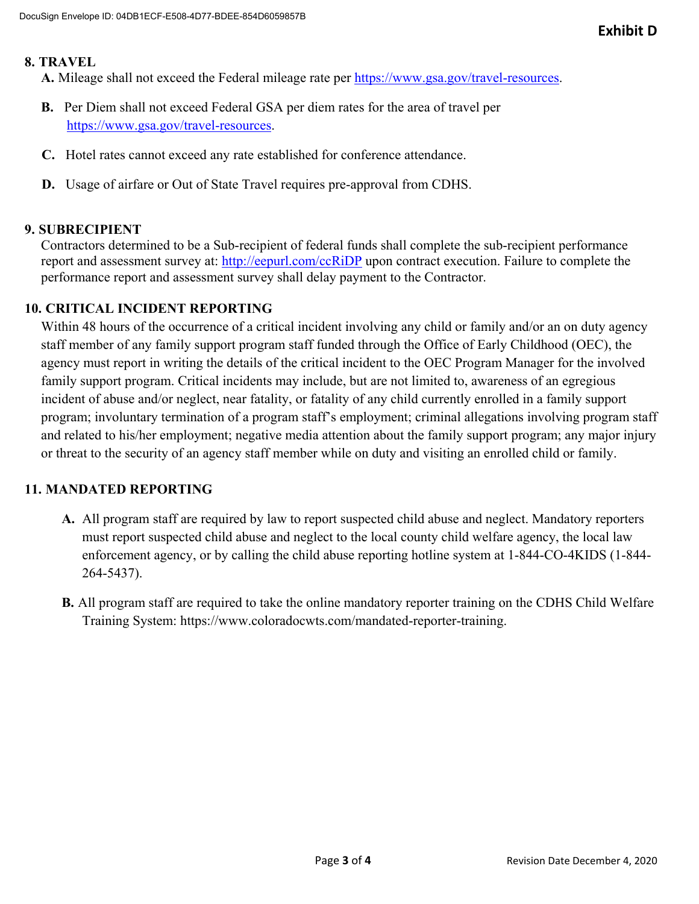#### **8. TRAVEL**

**A.** Mileage shall not exceed the Federal mileage rate per https://www.gsa.gov/travel-resources.

- **B.** Per Diem shall not exceed Federal GSA per diem rates for the area of travel per https://www.gsa.gov/travel-resources.
- **C.** Hotel rates cannot exceed any rate established for conference attendance.
- **D.** Usage of airfare or Out of State Travel requires pre-approval from CDHS.

#### **9. SUBRECIPIENT**

Contractors determined to be a Sub-recipient of federal funds shall complete the sub-recipient performance report and assessment survey at: http://eepurl.com/ccRiDP upon contract execution. Failure to complete the performance report and assessment survey shall delay payment to the Contractor.

#### **10. CRITICAL INCIDENT REPORTING**

Within 48 hours of the occurrence of a critical incident involving any child or family and/or an on duty agency staff member of any family support program staff funded through the Office of Early Childhood (OEC), the agency must report in writing the details of the critical incident to the OEC Program Manager for the involved family support program. Critical incidents may include, but are not limited to, awareness of an egregious incident of abuse and/or neglect, near fatality, or fatality of any child currently enrolled in a family support program; involuntary termination of a program staff's employment; criminal allegations involving program staff and related to his/her employment; negative media attention about the family support program; any major injury or threat to the security of an agency staff member while on duty and visiting an enrolled child or family.

#### **11. MANDATED REPORTING**

- **A.** All program staff are required by law to report suspected child abuse and neglect. Mandatory reporters must report suspected child abuse and neglect to the local county child welfare agency, the local law enforcement agency, or by calling the child abuse reporting hotline system at 1-844-CO-4KIDS (1-844- 264-5437).
- **B.** All program staff are required to take the online mandatory reporter training on the CDHS Child Welfare Training System: https://www.coloradocwts.com/mandated-reporter-training.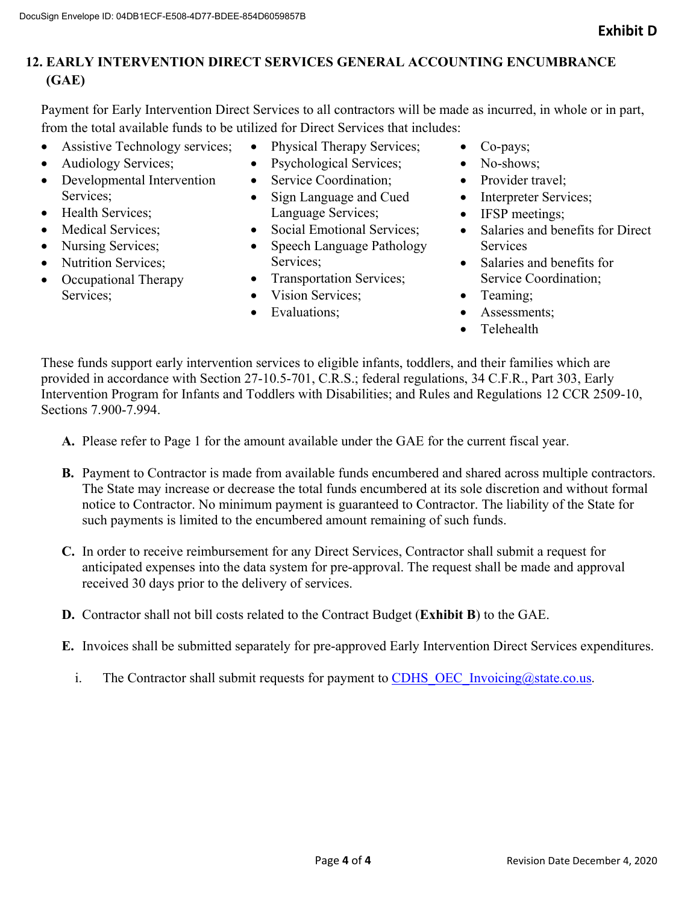## **12. EARLY INTERVENTION DIRECT SERVICES GENERAL ACCOUNTING ENCUMBRANCE (GAE)**

Payment for Early Intervention Direct Services to all contractors will be made as incurred, in whole or in part, from the total available funds to be utilized for Direct Services that includes:

- Assistive Technology services;
- Audiology Services;
- Developmental Intervention Services;
- Health Services;
- Medical Services:
- Nursing Services;
- Nutrition Services;
- Occupational Therapy Services;
- Physical Therapy Services;
- Psychological Services;
- Service Coordination:
- Sign Language and Cued Language Services;
- Social Emotional Services;
- Speech Language Pathology Services;
- Transportation Services;
- Vision Services:
- Evaluations:
- Co-pays;
- No-shows;
- Provider travel:
- Interpreter Services;
- IFSP meetings;
- Salaries and benefits for Direct **Services**
- Salaries and benefits for Service Coordination;
- Teaming:
- Assessments;
- **•** Telehealth

These funds support early intervention services to eligible infants, toddlers, and their families which are provided in accordance with Section 27-10.5-701, C.R.S.; federal regulations, 34 C.F.R., Part 303, Early Intervention Program for Infants and Toddlers with Disabilities; and Rules and Regulations 12 CCR 2509-10, Sections 7.900-7.994.

- **A.** Please refer to Page 1 for the amount available under the GAE for the current fiscal year.
- **B.** Payment to Contractor is made from available funds encumbered and shared across multiple contractors. The State may increase or decrease the total funds encumbered at its sole discretion and without formal notice to Contractor. No minimum payment is guaranteed to Contractor. The liability of the State for such payments is limited to the encumbered amount remaining of such funds.
- **C.** In order to receive reimbursement for any Direct Services, Contractor shall submit a request for anticipated expenses into the data system for pre-approval. The request shall be made and approval received 30 days prior to the delivery of services.
- **D.** Contractor shall not bill costs related to the Contract Budget (**Exhibit B**) to the GAE.
- **E.** Invoices shall be submitted separately for pre-approved Early Intervention Direct Services expenditures.
	- i. The Contractor shall submit requests for payment to CDHS OEC Invoicing@state.co.us.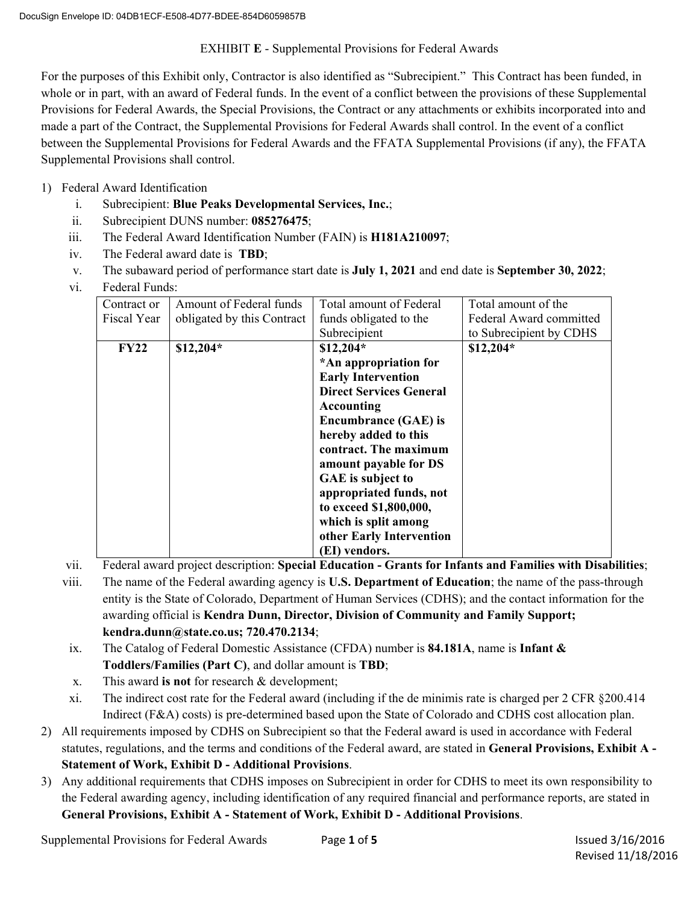#### EXHIBIT **E** - Supplemental Provisions for Federal Awards

For the purposes of this Exhibit only, Contractor is also identified as "Subrecipient." This Contract has been funded, in whole or in part, with an award of Federal funds. In the event of a conflict between the provisions of these Supplemental Provisions for Federal Awards, the Special Provisions, the Contract or any attachments or exhibits incorporated into and made a part of the Contract, the Supplemental Provisions for Federal Awards shall control. In the event of a conflict between the Supplemental Provisions for Federal Awards and the FFATA Supplemental Provisions (if any), the FFATA Supplemental Provisions shall control.

- 1) Federal Award Identification
	- i. Subrecipient: **Blue Peaks Developmental Services, Inc.**;
	- ii. Subrecipient DUNS number: **085276475**;
	- iii. The Federal Award Identification Number (FAIN) is **H181A210097**;
	- iv. The Federal award date is **TBD**;
	- v. The subaward period of performance start date is **July 1, 2021** and end date is **September 30, 2022**;
	- vi. Federal Funds:

| Contract or | Amount of Federal funds    | Total amount of Federal        | Total amount of the     |
|-------------|----------------------------|--------------------------------|-------------------------|
| Fiscal Year | obligated by this Contract | funds obligated to the         | Federal Award committed |
|             |                            | Subrecipient                   | to Subrecipient by CDHS |
| <b>FY22</b> | $$12,204*$                 | $$12,204*$                     | $$12,204*$              |
|             |                            | *An appropriation for          |                         |
|             |                            | <b>Early Intervention</b>      |                         |
|             |                            | <b>Direct Services General</b> |                         |
|             |                            | <b>Accounting</b>              |                         |
|             |                            | <b>Encumbrance (GAE) is</b>    |                         |
|             |                            | hereby added to this           |                         |
|             |                            | contract. The maximum          |                         |
|             |                            | amount payable for DS          |                         |
|             |                            | GAE is subject to              |                         |
|             |                            | appropriated funds, not        |                         |
|             |                            | to exceed \$1,800,000,         |                         |
|             |                            | which is split among           |                         |
|             |                            | other Early Intervention       |                         |
|             |                            | (EI) vendors.                  |                         |

vii. Federal award project description: **Special Education - Grants for Infants and Families with Disabilities**;

- viii. The name of the Federal awarding agency is **U.S. Department of Education**; the name of the pass-through entity is the State of Colorado, Department of Human Services (CDHS); and the contact information for the awarding official is **Kendra Dunn, Director, Division of Community and Family Support; kendra.dunn@state.co.us; 720.470.2134**;
- ix. The Catalog of Federal Domestic Assistance (CFDA) number is **84.181A**, name is **Infant & Toddlers/Families (Part C)**, and dollar amount is **TBD**;
- x. This award **is not** for research & development;
- xi. The indirect cost rate for the Federal award (including if the de minimis rate is charged per 2 CFR §200.414 Indirect (F&A) costs) is pre-determined based upon the State of Colorado and CDHS cost allocation plan.
- 2) All requirements imposed by CDHS on Subrecipient so that the Federal award is used in accordance with Federal statutes, regulations, and the terms and conditions of the Federal award, are stated in **General Provisions, Exhibit A - Statement of Work, Exhibit D - Additional Provisions**.
- 3) Any additional requirements that CDHS imposes on Subrecipient in order for CDHS to meet its own responsibility to the Federal awarding agency, including identification of any required financial and performance reports, are stated in **General Provisions, Exhibit A - Statement of Work, Exhibit D - Additional Provisions**.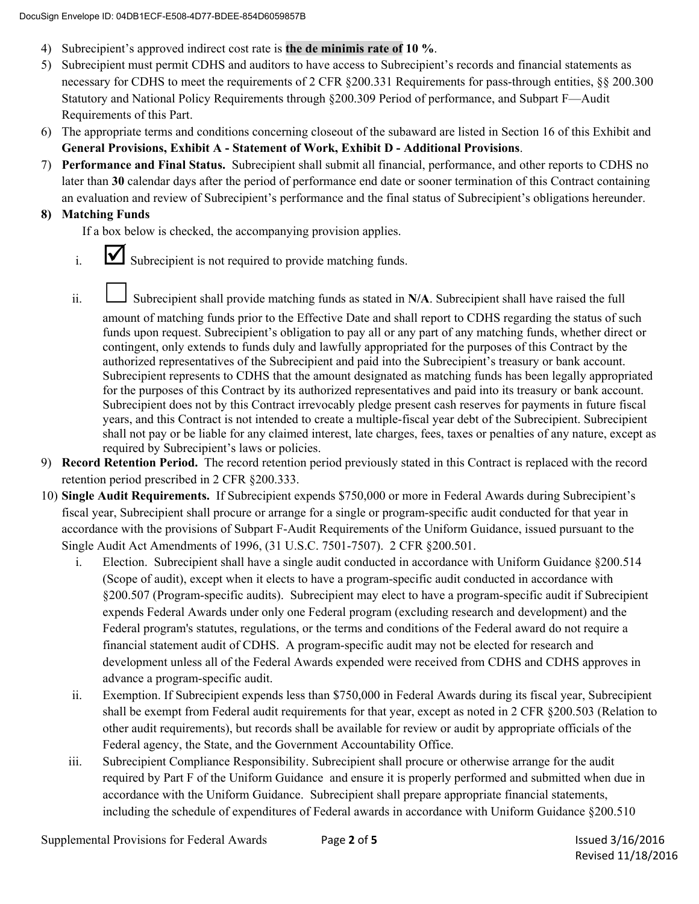- 4) Subrecipient's approved indirect cost rate is **the de minimis rate of 10 %**.
- 5) Subrecipient must permit CDHS and auditors to have access to Subrecipient's records and financial statements as necessary for CDHS to meet the requirements of 2 CFR §200.331 Requirements for pass-through entities, §§ 200.300 Statutory and National Policy Requirements through §200.309 Period of performance, and Subpart F—Audit Requirements of this Part.
- 6) The appropriate terms and conditions concerning closeout of the subaward are listed in Section 16 of this Exhibit and **General Provisions, Exhibit A - Statement of Work, Exhibit D - Additional Provisions**.
- 7) **Performance and Final Status.** Subrecipient shall submit all financial, performance, and other reports to CDHS no later than **30** calendar days after the period of performance end date or sooner termination of this Contract containing an evaluation and review of Subrecipient's performance and the final status of Subrecipient's obligations hereunder.

#### **8) Matching Funds**

If a box below is checked, the accompanying provision applies.

- $i.$   $\blacksquare$  Subrecipient is not required to provide matching funds.
- ii. Subrecipient shall provide matching funds as stated in N/A. Subrecipient shall have raised the full

amount of matching funds prior to the Effective Date and shall report to CDHS regarding the status of such funds upon request. Subrecipient's obligation to pay all or any part of any matching funds, whether direct or contingent, only extends to funds duly and lawfully appropriated for the purposes of this Contract by the authorized representatives of the Subrecipient and paid into the Subrecipient's treasury or bank account. Subrecipient represents to CDHS that the amount designated as matching funds has been legally appropriated for the purposes of this Contract by its authorized representatives and paid into its treasury or bank account. Subrecipient does not by this Contract irrevocably pledge present cash reserves for payments in future fiscal years, and this Contract is not intended to create a multiple-fiscal year debt of the Subrecipient. Subrecipient shall not pay or be liable for any claimed interest, late charges, fees, taxes or penalties of any nature, except as required by Subrecipient's laws or policies.

- 9) **Record Retention Period.** The record retention period previously stated in this Contract is replaced with the record retention period prescribed in 2 CFR §200.333.
- 10) **Single Audit Requirements.** If Subrecipient expends \$750,000 or more in Federal Awards during Subrecipient's fiscal year, Subrecipient shall procure or arrange for a single or program-specific audit conducted for that year in accordance with the provisions of Subpart F-Audit Requirements of the Uniform Guidance, issued pursuant to the Single Audit Act Amendments of 1996, (31 U.S.C. 7501-7507). 2 CFR §200.501.
	- i. Election. Subrecipient shall have a single audit conducted in accordance with Uniform Guidance §200.514 (Scope of audit), except when it elects to have a program-specific audit conducted in accordance with §200.507 (Program-specific audits). Subrecipient may elect to have a program-specific audit if Subrecipient expends Federal Awards under only one Federal program (excluding research and development) and the Federal program's statutes, regulations, or the terms and conditions of the Federal award do not require a financial statement audit of CDHS. A program-specific audit may not be elected for research and development unless all of the Federal Awards expended were received from CDHS and CDHS approves in advance a program-specific audit.
	- ii. Exemption. If Subrecipient expends less than \$750,000 in Federal Awards during its fiscal year, Subrecipient shall be exempt from Federal audit requirements for that year, except as noted in 2 CFR §200.503 (Relation to other audit requirements), but records shall be available for review or audit by appropriate officials of the Federal agency, the State, and the Government Accountability Office.
	- iii. Subrecipient Compliance Responsibility. Subrecipient shall procure or otherwise arrange for the audit required by Part F of the Uniform Guidance and ensure it is properly performed and submitted when due in accordance with the Uniform Guidance. Subrecipient shall prepare appropriate financial statements, including the schedule of expenditures of Federal awards in accordance with Uniform Guidance §200.510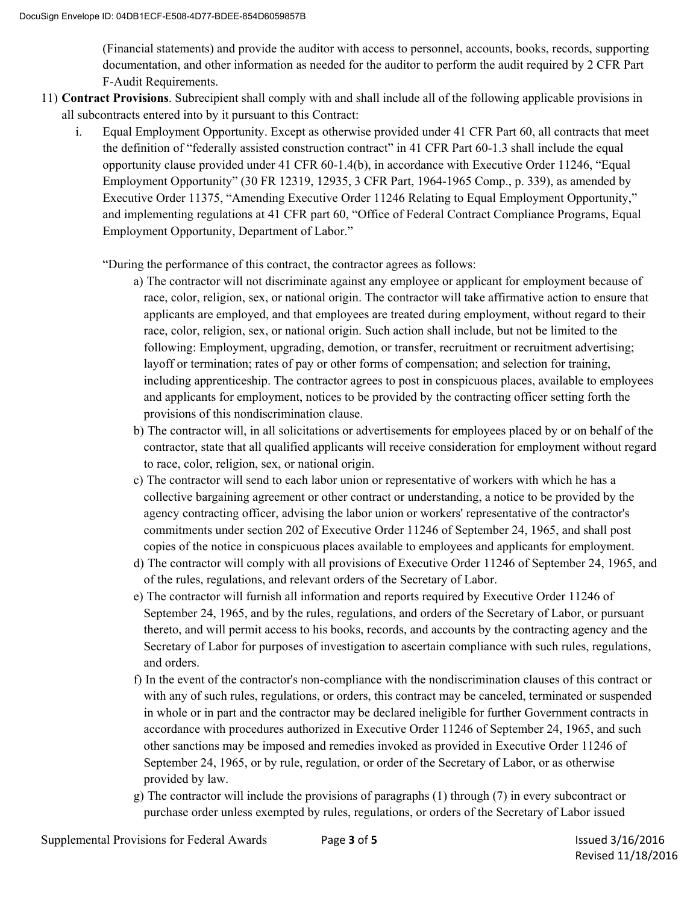(Financial statements) and provide the auditor with access to personnel, accounts, books, records, supporting documentation, and other information as needed for the auditor to perform the audit required by 2 CFR Part F-Audit Requirements.

- 11) **Contract Provisions**. Subrecipient shall comply with and shall include all of the following applicable provisions in all subcontracts entered into by it pursuant to this Contract:
	- i. Equal Employment Opportunity. Except as otherwise provided under 41 CFR Part 60, all contracts that meet the definition of "federally assisted construction contract" in 41 CFR Part 60-1.3 shall include the equal opportunity clause provided under 41 CFR 60-1.4(b), in accordance with Executive Order 11246, "Equal Employment Opportunity" (30 FR 12319, 12935, 3 CFR Part, 1964-1965 Comp., p. 339), as amended by Executive Order 11375, "Amending Executive Order 11246 Relating to Equal Employment Opportunity," and implementing regulations at 41 CFR part 60, "Office of Federal Contract Compliance Programs, Equal Employment Opportunity, Department of Labor."

"During the performance of this contract, the contractor agrees as follows:

- a) The contractor will not discriminate against any employee or applicant for employment because of race, color, religion, sex, or national origin. The contractor will take affirmative action to ensure that applicants are employed, and that employees are treated during employment, without regard to their race, color, religion, sex, or national origin. Such action shall include, but not be limited to the following: Employment, upgrading, demotion, or transfer, recruitment or recruitment advertising; layoff or termination; rates of pay or other forms of compensation; and selection for training, including apprenticeship. The contractor agrees to post in conspicuous places, available to employees and applicants for employment, notices to be provided by the contracting officer setting forth the provisions of this nondiscrimination clause.
- b) The contractor will, in all solicitations or advertisements for employees placed by or on behalf of the contractor, state that all qualified applicants will receive consideration for employment without regard to race, color, religion, sex, or national origin.
- c) The contractor will send to each labor union or representative of workers with which he has a collective bargaining agreement or other contract or understanding, a notice to be provided by the agency contracting officer, advising the labor union or workers' representative of the contractor's commitments under section 202 of Executive Order 11246 of September 24, 1965, and shall post copies of the notice in conspicuous places available to employees and applicants for employment.
- d) The contractor will comply with all provisions of Executive Order 11246 of September 24, 1965, and of the rules, regulations, and relevant orders of the Secretary of Labor.
- e) The contractor will furnish all information and reports required by Executive Order 11246 of September 24, 1965, and by the rules, regulations, and orders of the Secretary of Labor, or pursuant thereto, and will permit access to his books, records, and accounts by the contracting agency and the Secretary of Labor for purposes of investigation to ascertain compliance with such rules, regulations, and orders.
- f) In the event of the contractor's non-compliance with the nondiscrimination clauses of this contract or with any of such rules, regulations, or orders, this contract may be canceled, terminated or suspended in whole or in part and the contractor may be declared ineligible for further Government contracts in accordance with procedures authorized in Executive Order 11246 of September 24, 1965, and such other sanctions may be imposed and remedies invoked as provided in Executive Order 11246 of September 24, 1965, or by rule, regulation, or order of the Secretary of Labor, or as otherwise provided by law.
- g) The contractor will include the provisions of paragraphs (1) through (7) in every subcontract or purchase order unless exempted by rules, regulations, or orders of the Secretary of Labor issued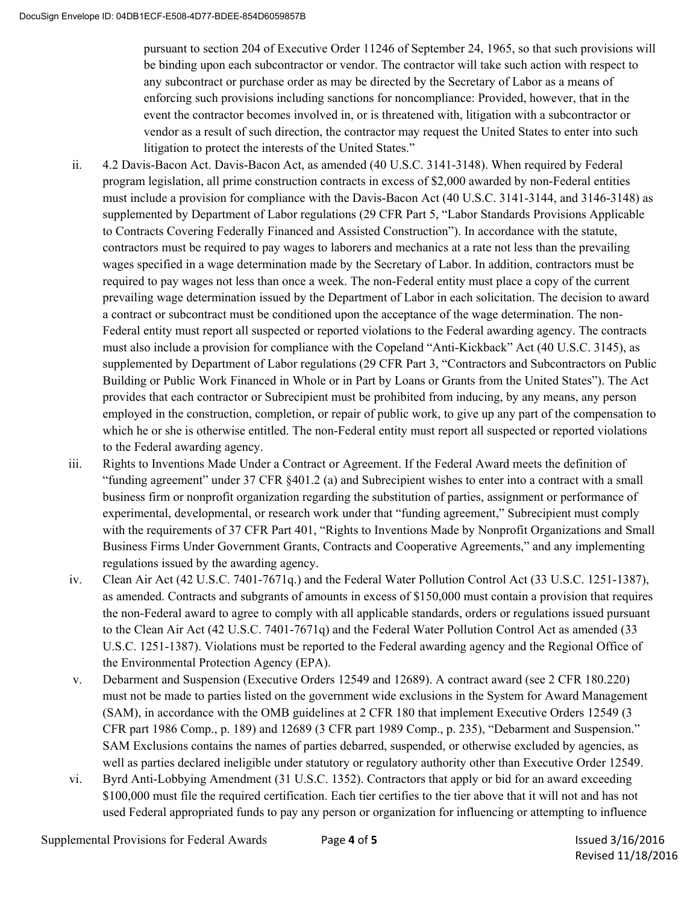pursuant to section 204 of Executive Order 11246 of September 24, 1965, so that such provisions will be binding upon each subcontractor or vendor. The contractor will take such action with respect to any subcontract or purchase order as may be directed by the Secretary of Labor as a means of enforcing such provisions including sanctions for noncompliance: Provided, however, that in the event the contractor becomes involved in, or is threatened with, litigation with a subcontractor or vendor as a result of such direction, the contractor may request the United States to enter into such litigation to protect the interests of the United States."

- ii. 4.2 Davis-Bacon Act. Davis-Bacon Act, as amended (40 U.S.C. 3141-3148). When required by Federal program legislation, all prime construction contracts in excess of \$2,000 awarded by non-Federal entities must include a provision for compliance with the Davis-Bacon Act (40 U.S.C. 3141-3144, and 3146-3148) as supplemented by Department of Labor regulations (29 CFR Part 5, "Labor Standards Provisions Applicable to Contracts Covering Federally Financed and Assisted Construction"). In accordance with the statute, contractors must be required to pay wages to laborers and mechanics at a rate not less than the prevailing wages specified in a wage determination made by the Secretary of Labor. In addition, contractors must be required to pay wages not less than once a week. The non-Federal entity must place a copy of the current prevailing wage determination issued by the Department of Labor in each solicitation. The decision to award a contract or subcontract must be conditioned upon the acceptance of the wage determination. The non-Federal entity must report all suspected or reported violations to the Federal awarding agency. The contracts must also include a provision for compliance with the Copeland "Anti-Kickback" Act (40 U.S.C. 3145), as supplemented by Department of Labor regulations (29 CFR Part 3, "Contractors and Subcontractors on Public Building or Public Work Financed in Whole or in Part by Loans or Grants from the United States"). The Act provides that each contractor or Subrecipient must be prohibited from inducing, by any means, any person employed in the construction, completion, or repair of public work, to give up any part of the compensation to which he or she is otherwise entitled. The non-Federal entity must report all suspected or reported violations to the Federal awarding agency.
- iii. Rights to Inventions Made Under a Contract or Agreement. If the Federal Award meets the definition of "funding agreement" under 37 CFR §401.2 (a) and Subrecipient wishes to enter into a contract with a small business firm or nonprofit organization regarding the substitution of parties, assignment or performance of experimental, developmental, or research work under that "funding agreement," Subrecipient must comply with the requirements of 37 CFR Part 401, "Rights to Inventions Made by Nonprofit Organizations and Small Business Firms Under Government Grants, Contracts and Cooperative Agreements," and any implementing regulations issued by the awarding agency.
- iv. Clean Air Act (42 U.S.C. 7401-7671q.) and the Federal Water Pollution Control Act (33 U.S.C. 1251-1387), as amended. Contracts and subgrants of amounts in excess of \$150,000 must contain a provision that requires the non-Federal award to agree to comply with all applicable standards, orders or regulations issued pursuant to the Clean Air Act (42 U.S.C. 7401-7671q) and the Federal Water Pollution Control Act as amended (33 U.S.C. 1251-1387). Violations must be reported to the Federal awarding agency and the Regional Office of the Environmental Protection Agency (EPA).
- v. Debarment and Suspension (Executive Orders 12549 and 12689). A contract award (see 2 CFR 180.220) must not be made to parties listed on the government wide exclusions in the System for Award Management (SAM), in accordance with the OMB guidelines at 2 CFR 180 that implement Executive Orders 12549 (3 CFR part 1986 Comp., p. 189) and 12689 (3 CFR part 1989 Comp., p. 235), "Debarment and Suspension." SAM Exclusions contains the names of parties debarred, suspended, or otherwise excluded by agencies, as well as parties declared ineligible under statutory or regulatory authority other than Executive Order 12549.
- vi. Byrd Anti-Lobbying Amendment (31 U.S.C. 1352). Contractors that apply or bid for an award exceeding \$100,000 must file the required certification. Each tier certifies to the tier above that it will not and has not used Federal appropriated funds to pay any person or organization for influencing or attempting to influence